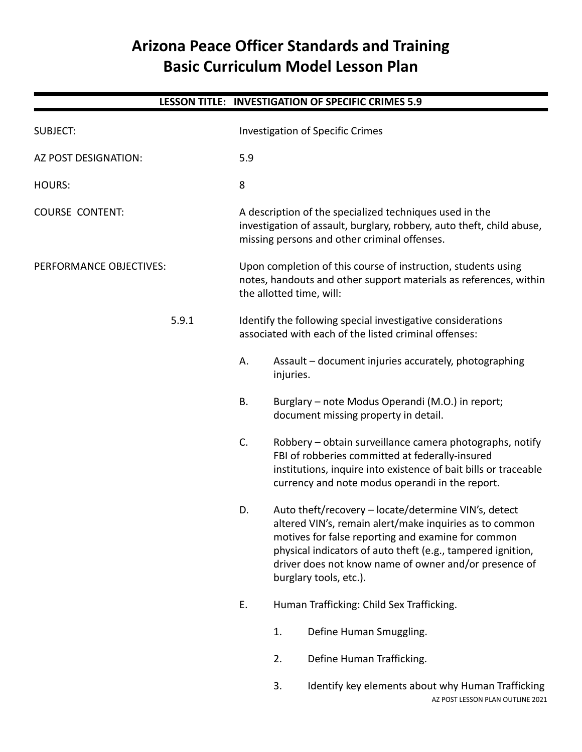# **Arizona Peace Officer Standards and Training Basic Curriculum Model Lesson Plan**

|                         |       |                                                                                                                                                                                  |                                                                                                                                                                                                                                                                                                                         | LESSON TITLE: INVESTIGATION OF SPECIFIC CRIMES 5.9                                                                                                                                                                                |  |
|-------------------------|-------|----------------------------------------------------------------------------------------------------------------------------------------------------------------------------------|-------------------------------------------------------------------------------------------------------------------------------------------------------------------------------------------------------------------------------------------------------------------------------------------------------------------------|-----------------------------------------------------------------------------------------------------------------------------------------------------------------------------------------------------------------------------------|--|
| <b>SUBJECT:</b>         |       | <b>Investigation of Specific Crimes</b>                                                                                                                                          |                                                                                                                                                                                                                                                                                                                         |                                                                                                                                                                                                                                   |  |
| AZ POST DESIGNATION:    |       | 5.9                                                                                                                                                                              |                                                                                                                                                                                                                                                                                                                         |                                                                                                                                                                                                                                   |  |
| <b>HOURS:</b>           |       | 8                                                                                                                                                                                |                                                                                                                                                                                                                                                                                                                         |                                                                                                                                                                                                                                   |  |
| <b>COURSE CONTENT:</b>  |       | A description of the specialized techniques used in the<br>investigation of assault, burglary, robbery, auto theft, child abuse,<br>missing persons and other criminal offenses. |                                                                                                                                                                                                                                                                                                                         |                                                                                                                                                                                                                                   |  |
| PERFORMANCE OBJECTIVES: |       | Upon completion of this course of instruction, students using<br>notes, handouts and other support materials as references, within<br>the allotted time, will:                   |                                                                                                                                                                                                                                                                                                                         |                                                                                                                                                                                                                                   |  |
|                         | 5.9.1 | Identify the following special investigative considerations<br>associated with each of the listed criminal offenses:                                                             |                                                                                                                                                                                                                                                                                                                         |                                                                                                                                                                                                                                   |  |
|                         |       | А.                                                                                                                                                                               | injuries.                                                                                                                                                                                                                                                                                                               | Assault - document injuries accurately, photographing                                                                                                                                                                             |  |
|                         |       | В.                                                                                                                                                                               |                                                                                                                                                                                                                                                                                                                         | Burglary - note Modus Operandi (M.O.) in report;<br>document missing property in detail.                                                                                                                                          |  |
|                         |       | C.                                                                                                                                                                               |                                                                                                                                                                                                                                                                                                                         | Robbery – obtain surveillance camera photographs, notify<br>FBI of robberies committed at federally-insured<br>institutions, inquire into existence of bait bills or traceable<br>currency and note modus operandi in the report. |  |
|                         |       | D.                                                                                                                                                                               | Auto theft/recovery - locate/determine VIN's, detect<br>altered VIN's, remain alert/make inquiries as to common<br>motives for false reporting and examine for common<br>physical indicators of auto theft (e.g., tampered ignition,<br>driver does not know name of owner and/or presence of<br>burglary tools, etc.). |                                                                                                                                                                                                                                   |  |
|                         |       | Ε.                                                                                                                                                                               |                                                                                                                                                                                                                                                                                                                         | Human Trafficking: Child Sex Trafficking.                                                                                                                                                                                         |  |
|                         |       |                                                                                                                                                                                  | 1.                                                                                                                                                                                                                                                                                                                      | Define Human Smuggling.                                                                                                                                                                                                           |  |
|                         |       |                                                                                                                                                                                  | 2.                                                                                                                                                                                                                                                                                                                      | Define Human Trafficking.                                                                                                                                                                                                         |  |
|                         |       |                                                                                                                                                                                  | 3.                                                                                                                                                                                                                                                                                                                      | Identify key elements about why Human Trafficking<br>AZ POST LESSON PLAN OUTLINE 2021                                                                                                                                             |  |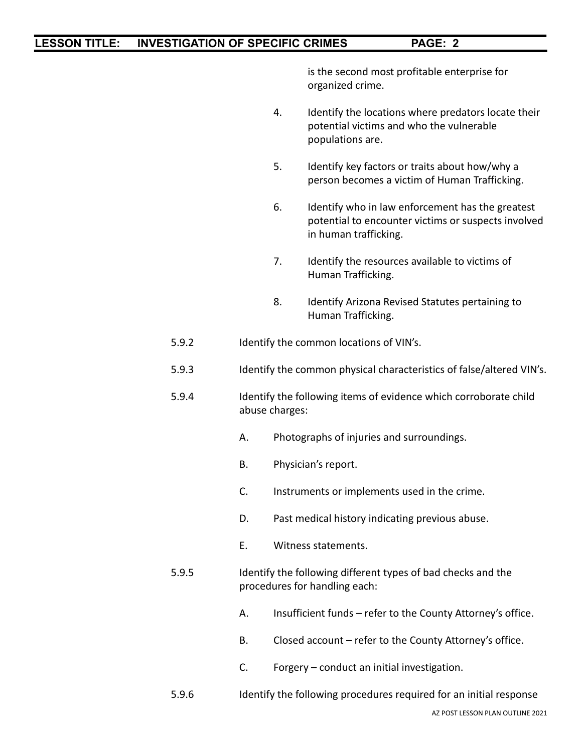is the second most profitable enterprise for organized crime.

- 4. Identify the locations where predators locate their potential victims and who the vulnerable populations are.
- 5. Identify key factors or traits about how/why a person becomes a victim of Human Trafficking.
- 6. Identify who in law enforcement has the greatest potential to encounter victims or suspects involved in human trafficking.
- 7. Identify the resources available to victims of Human Trafficking.
- 8. Identify Arizona Revised Statutes pertaining to Human Trafficking.
- 5.9.2 Identify the common locations of VIN's.
- 5.9.3 Identify the common physical characteristics of false/altered VIN's.
- 5.9.4 Identify the following items of evidence which corroborate child abuse charges:
	- A. Photographs of injuries and surroundings.
	- B. Physician's report.
	- C. Instruments or implements used in the crime.
	- D. Past medical history indicating previous abuse.
	- E. Witness statements.
- 5.9.5 Identify the following different types of bad checks and the procedures for handling each:
	- A. Insufficient funds refer to the County Attorney's office.
	- B. Closed account refer to the County Attorney's office.
	- C. Forgery conduct an initial investigation.
- 5.9.6 Identify the following procedures required for an initial response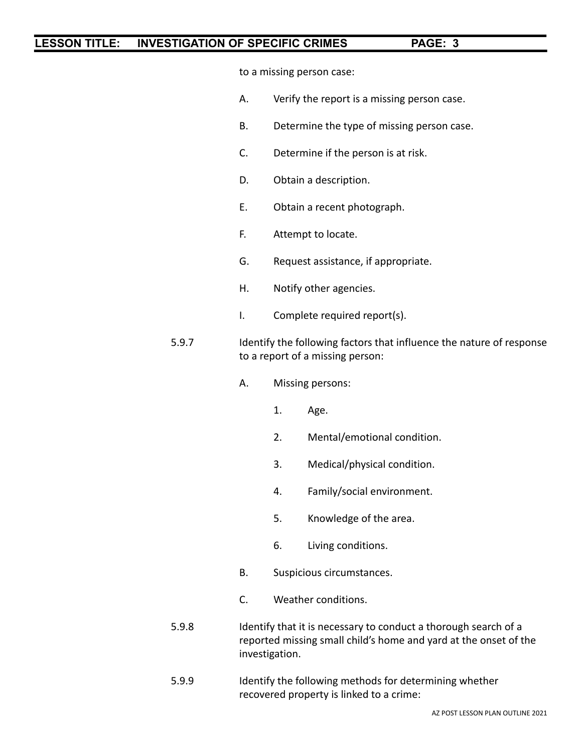to a missing person case:

- A. Verify the report is a missing person case.
- B. Determine the type of missing person case.
- C. Determine if the person is at risk.
- D. Obtain a description.
- E. Obtain a recent photograph.
- F. Attempt to locate.
- G. Request assistance, if appropriate.
- H. Notify other agencies.
- I. Complete required report(s).
- 5.9.7 Identify the following factors that influence the nature of response to a report of a missing person:
	- A. Missing persons:
		- 1. Age.
		- 2. Mental/emotional condition.
		- 3. Medical/physical condition.
		- 4. Family/social environment.
		- 5. Knowledge of the area.
		- 6. Living conditions.
	- B. Suspicious circumstances.
	- C. Weather conditions.
- 5.9.8 Identify that it is necessary to conduct a thorough search of a reported missing small child's home and yard at the onset of the investigation.
- 5.9.9 Identify the following methods for determining whether recovered property is linked to a crime: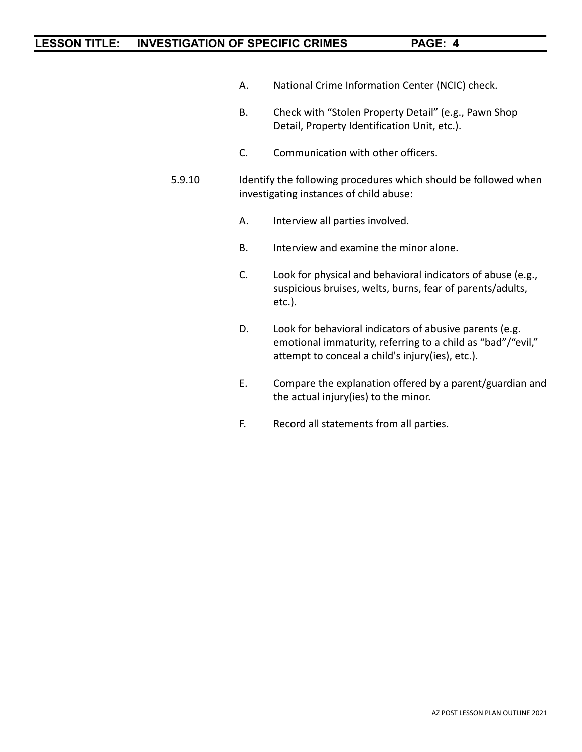- A. National Crime Information Center (NCIC) check.
- B. Check with "Stolen Property Detail" (e.g., Pawn Shop Detail, Property Identification Unit, etc.).
- C. Communication with other officers.
- 5.9.10 Identify the following procedures which should be followed when investigating instances of child abuse:
	- A. Interview all parties involved.
	- B. Interview and examine the minor alone.
	- C. Look for physical and behavioral indicators of abuse (e.g., suspicious bruises, welts, burns, fear of parents/adults, etc.).
	- D. Look for behavioral indicators of abusive parents (e.g. emotional immaturity, referring to a child as "bad"/"evil," attempt to conceal a child's injury(ies), etc.).
	- E. Compare the explanation offered by a parent/guardian and the actual injury(ies) to the minor.
	- F. Record all statements from all parties.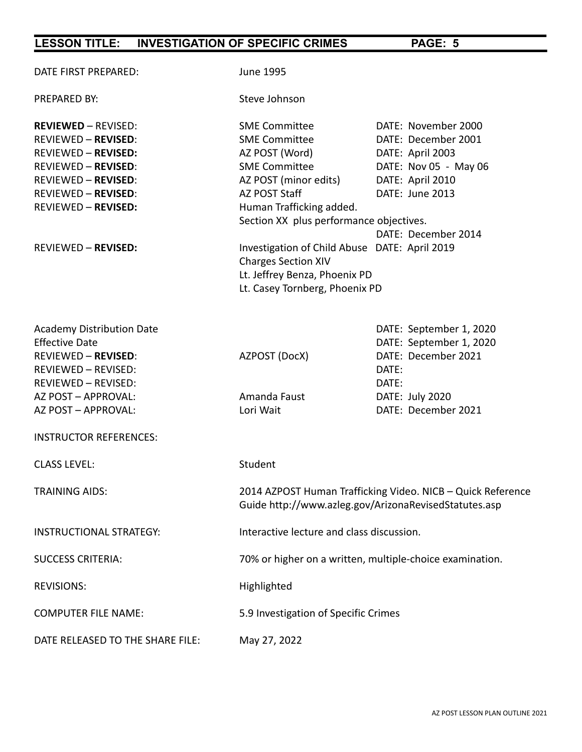| DATE FIRST PREPARED:                                                                                                                                                                                           | June 1995                                                                                                                                                                                               |                                                                                                                                       |  |
|----------------------------------------------------------------------------------------------------------------------------------------------------------------------------------------------------------------|---------------------------------------------------------------------------------------------------------------------------------------------------------------------------------------------------------|---------------------------------------------------------------------------------------------------------------------------------------|--|
| PREPARED BY:                                                                                                                                                                                                   | Steve Johnson                                                                                                                                                                                           |                                                                                                                                       |  |
| <b>REVIEWED - REVISED:</b><br><b>REVIEWED - REVISED:</b><br><b>REVIEWED - REVISED:</b><br><b>REVIEWED - REVISED:</b><br><b>REVIEWED - REVISED:</b><br><b>REVIEWED - REVISED:</b><br><b>REVIEWED - REVISED:</b> | <b>SME Committee</b><br><b>SME Committee</b><br>AZ POST (Word)<br><b>SME Committee</b><br>AZ POST (minor edits)<br>AZ POST Staff<br>Human Trafficking added.<br>Section XX plus performance objectives. | DATE: November 2000<br>DATE: December 2001<br>DATE: April 2003<br>DATE: Nov 05 - May 06<br>DATE: April 2010<br>DATE: June 2013        |  |
| <b>REVIEWED - REVISED:</b>                                                                                                                                                                                     | Investigation of Child Abuse DATE: April 2019<br><b>Charges Section XIV</b><br>Lt. Jeffrey Benza, Phoenix PD<br>Lt. Casey Tornberg, Phoenix PD                                                          | DATE: December 2014                                                                                                                   |  |
| <b>Academy Distribution Date</b><br><b>Effective Date</b><br><b>REVIEWED - REVISED:</b><br>REVIEWED - REVISED:<br>REVIEWED - REVISED:<br>AZ POST - APPROVAL:<br>AZ POST - APPROVAL:                            | AZPOST (DocX)<br>Amanda Faust<br>Lori Wait                                                                                                                                                              | DATE: September 1, 2020<br>DATE: September 1, 2020<br>DATE: December 2021<br>DATE:<br>DATE:<br>DATE: July 2020<br>DATE: December 2021 |  |
| <b>INSTRUCTOR REFERENCES:</b>                                                                                                                                                                                  |                                                                                                                                                                                                         |                                                                                                                                       |  |
| <b>CLASS LEVEL:</b>                                                                                                                                                                                            | Student                                                                                                                                                                                                 |                                                                                                                                       |  |
| <b>TRAINING AIDS:</b>                                                                                                                                                                                          | 2014 AZPOST Human Trafficking Video. NICB - Quick Reference<br>Guide http://www.azleg.gov/ArizonaRevisedStatutes.asp                                                                                    |                                                                                                                                       |  |
| <b>INSTRUCTIONAL STRATEGY:</b>                                                                                                                                                                                 | Interactive lecture and class discussion.                                                                                                                                                               |                                                                                                                                       |  |
| <b>SUCCESS CRITERIA:</b>                                                                                                                                                                                       | 70% or higher on a written, multiple-choice examination.                                                                                                                                                |                                                                                                                                       |  |
| <b>REVISIONS:</b>                                                                                                                                                                                              | Highlighted                                                                                                                                                                                             |                                                                                                                                       |  |
| <b>COMPUTER FILE NAME:</b>                                                                                                                                                                                     | 5.9 Investigation of Specific Crimes                                                                                                                                                                    |                                                                                                                                       |  |
| DATE RELEASED TO THE SHARE FILE:                                                                                                                                                                               | May 27, 2022                                                                                                                                                                                            |                                                                                                                                       |  |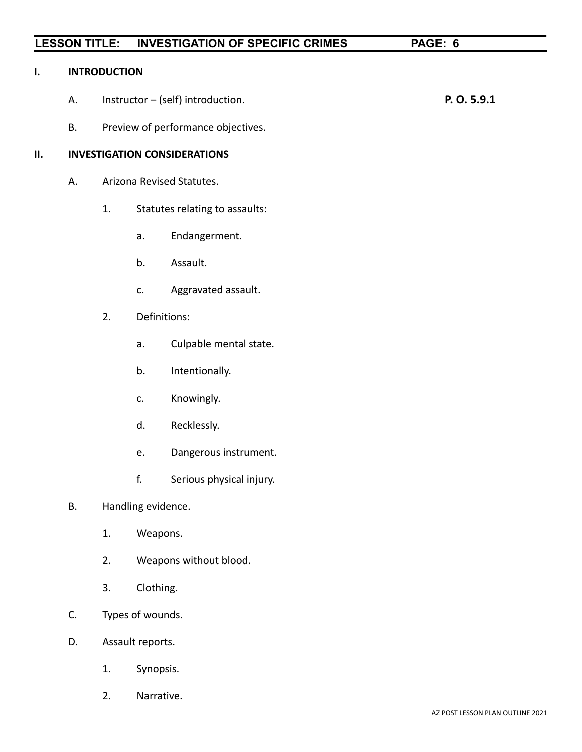#### **I. INTRODUCTION**

- A. Instructor (self) introduction. **P. O. 5.9.1**
- B. Preview of performance objectives.

#### **II. INVESTIGATION CONSIDERATIONS**

- A. Arizona Revised Statutes.
	- 1. Statutes relating to assaults:
		- a. Endangerment.
		- b. Assault.
		- c. Aggravated assault.
	- 2. Definitions:
		- a. Culpable mental state.
		- b. Intentionally.
		- c. Knowingly.
		- d. Recklessly.
		- e. Dangerous instrument.
		- f. Serious physical injury.
- B. Handling evidence.
	- 1. Weapons.
	- 2. Weapons without blood.
	- 3. Clothing.
- C. Types of wounds.
- D. Assault reports.
	- 1. Synopsis.
	- 2. Narrative.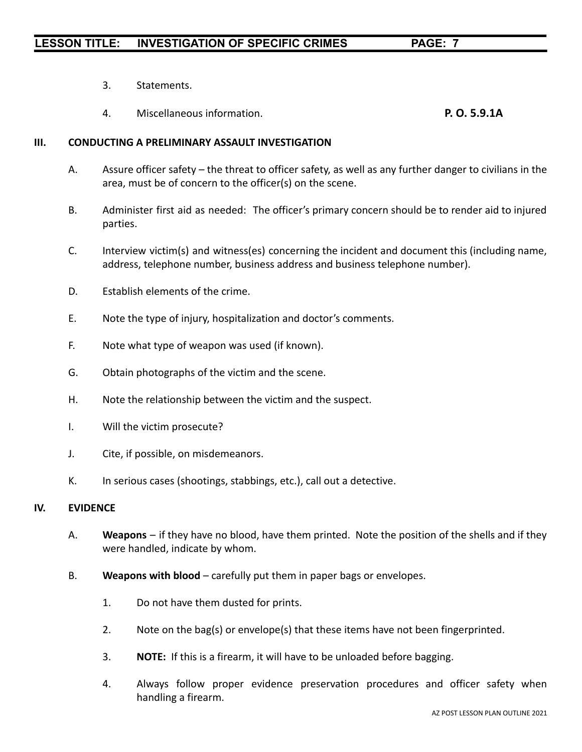- 3. Statements.
- 4. Miscellaneous information. **P. O. 5.9.1A**

#### **III. CONDUCTING A PRELIMINARY ASSAULT INVESTIGATION**

- A. Assure officer safety the threat to officer safety, as well as any further danger to civilians in the area, must be of concern to the officer(s) on the scene.
- B. Administer first aid as needed: The officer's primary concern should be to render aid to injured parties.
- C. Interview victim(s) and witness(es) concerning the incident and document this (including name, address, telephone number, business address and business telephone number).
- D. Establish elements of the crime.
- E. Note the type of injury, hospitalization and doctor's comments.
- F. Note what type of weapon was used (if known).
- G. Obtain photographs of the victim and the scene.
- H. Note the relationship between the victim and the suspect.
- I. Will the victim prosecute?
- J. Cite, if possible, on misdemeanors.
- K. In serious cases (shootings, stabbings, etc.), call out a detective.

#### **IV. EVIDENCE**

- A. **Weapons** if they have no blood, have them printed. Note the position of the shells and if they were handled, indicate by whom.
- B. **Weapons with blood** carefully put them in paper bags or envelopes.
	- 1. Do not have them dusted for prints.
	- 2. Note on the bag(s) or envelope(s) that these items have not been fingerprinted.
	- 3. **NOTE:** If this is a firearm, it will have to be unloaded before bagging.
	- 4. Always follow proper evidence preservation procedures and officer safety when handling a firearm.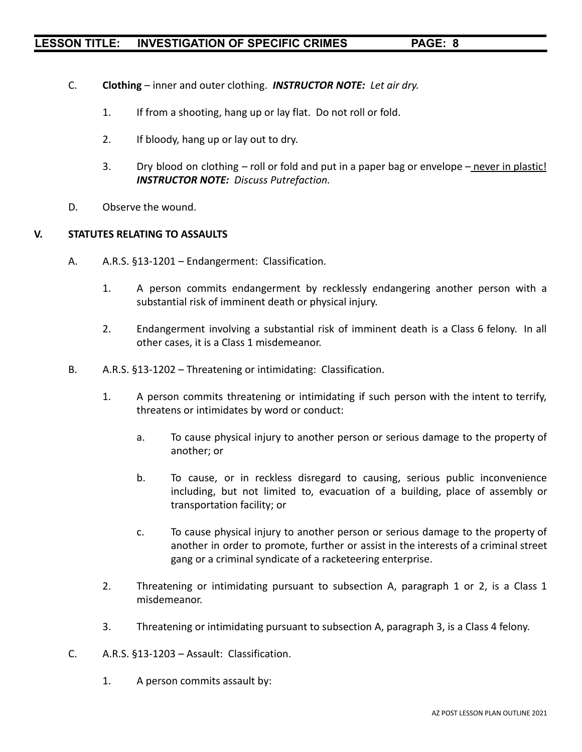- C. **Clothing** inner and outer clothing. *INSTRUCTOR NOTE: Let air dry.*
	- 1. If from a shooting, hang up or lay flat. Do not roll or fold.
	- 2. If bloody, hang up or lay out to dry.
	- 3. Dry blood on clothing roll or fold and put in a paper bag or envelope never in plastic! *INSTRUCTOR NOTE: Discuss Putrefaction.*
- D. Observe the wound.

#### **V. STATUTES RELATING TO ASSAULTS**

- A. A.R.S. §13-1201 Endangerment: Classification.
	- 1. A person commits endangerment by recklessly endangering another person with a substantial risk of imminent death or physical injury.
	- 2. Endangerment involving a substantial risk of imminent death is a Class 6 felony. In all other cases, it is a Class 1 misdemeanor.
- B. A.R.S. §13-1202 Threatening or intimidating: Classification.
	- 1. A person commits threatening or intimidating if such person with the intent to terrify, threatens or intimidates by word or conduct:
		- a. To cause physical injury to another person or serious damage to the property of another; or
		- b. To cause, or in reckless disregard to causing, serious public inconvenience including, but not limited to, evacuation of a building, place of assembly or transportation facility; or
		- c. To cause physical injury to another person or serious damage to the property of another in order to promote, further or assist in the interests of a criminal street gang or a criminal syndicate of a racketeering enterprise.
	- 2. Threatening or intimidating pursuant to subsection A, paragraph 1 or 2, is a Class 1 misdemeanor.
	- 3. Threatening or intimidating pursuant to subsection A, paragraph 3, is a Class 4 felony.
- C. A.R.S. §13-1203 Assault: Classification.
	- 1. A person commits assault by: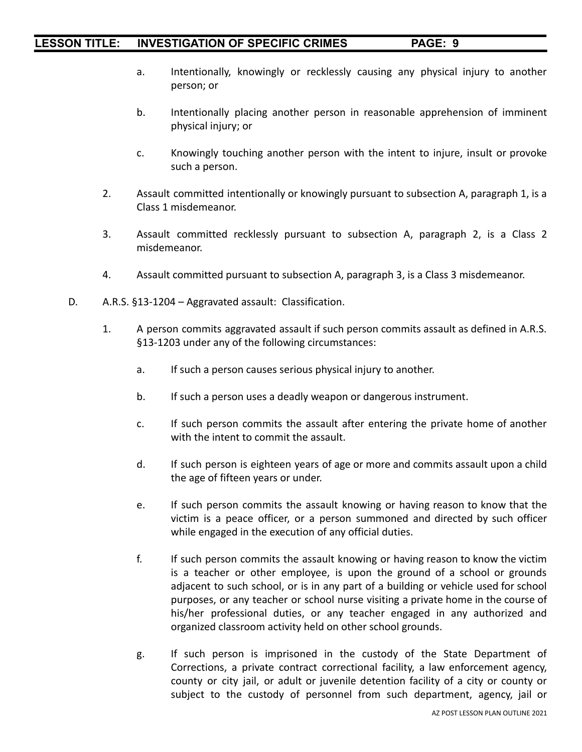- a. Intentionally, knowingly or recklessly causing any physical injury to another person; or
- b. Intentionally placing another person in reasonable apprehension of imminent physical injury; or
- c. Knowingly touching another person with the intent to injure, insult or provoke such a person.
- 2. Assault committed intentionally or knowingly pursuant to subsection A, paragraph 1, is a Class 1 misdemeanor.
- 3. Assault committed recklessly pursuant to subsection A, paragraph 2, is a Class 2 misdemeanor.
- 4. Assault committed pursuant to subsection A, paragraph 3, is a Class 3 misdemeanor.
- D. A.R.S. §13-1204 Aggravated assault: Classification.
	- 1. A person commits aggravated assault if such person commits assault as defined in A.R.S. §13-1203 under any of the following circumstances:
		- a. If such a person causes serious physical injury to another.
		- b. If such a person uses a deadly weapon or dangerous instrument.
		- c. If such person commits the assault after entering the private home of another with the intent to commit the assault.
		- d. If such person is eighteen years of age or more and commits assault upon a child the age of fifteen years or under.
		- e. If such person commits the assault knowing or having reason to know that the victim is a peace officer, or a person summoned and directed by such officer while engaged in the execution of any official duties.
		- f. If such person commits the assault knowing or having reason to know the victim is a teacher or other employee, is upon the ground of a school or grounds adjacent to such school, or is in any part of a building or vehicle used for school purposes, or any teacher or school nurse visiting a private home in the course of his/her professional duties, or any teacher engaged in any authorized and organized classroom activity held on other school grounds.
		- g. If such person is imprisoned in the custody of the State Department of Corrections, a private contract correctional facility, a law enforcement agency, county or city jail, or adult or juvenile detention facility of a city or county or subject to the custody of personnel from such department, agency, jail or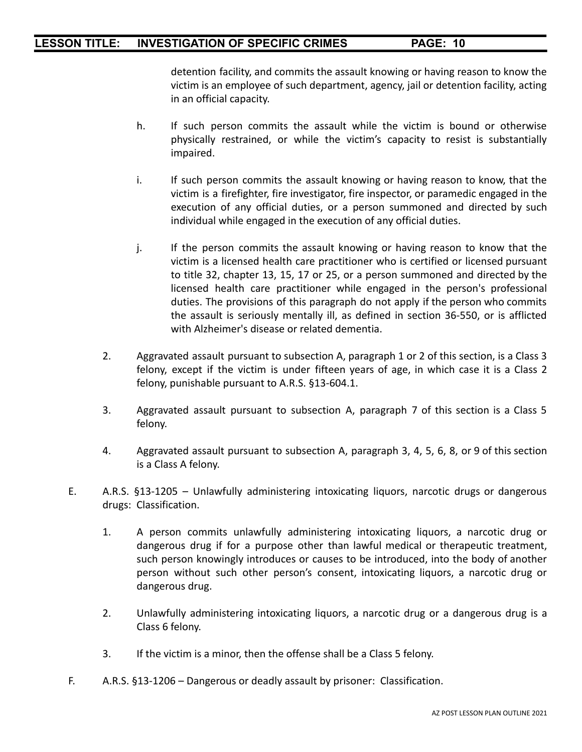detention facility, and commits the assault knowing or having reason to know the victim is an employee of such department, agency, jail or detention facility, acting in an official capacity.

- h. If such person commits the assault while the victim is bound or otherwise physically restrained, or while the victim's capacity to resist is substantially impaired.
- i. If such person commits the assault knowing or having reason to know, that the victim is a firefighter, fire investigator, fire inspector, or paramedic engaged in the execution of any official duties, or a person summoned and directed by such individual while engaged in the execution of any official duties.
- j. If the person commits the assault knowing or having reason to know that the victim is a licensed health care practitioner who is certified or licensed pursuant to title 32, chapter 13, 15, 17 or 25, or a person summoned and directed by the licensed health care practitioner while engaged in the person's professional duties. The provisions of this paragraph do not apply if the person who commits the assault is seriously mentally ill, as defined in section 36-550, or is afflicted with Alzheimer's disease or related dementia.
- 2. Aggravated assault pursuant to subsection A, paragraph 1 or 2 of this section, is a Class 3 felony, except if the victim is under fifteen years of age, in which case it is a Class 2 felony, punishable pursuant to A.R.S. §13-604.1.
- 3. Aggravated assault pursuant to subsection A, paragraph 7 of this section is a Class 5 felony.
- 4. Aggravated assault pursuant to subsection A, paragraph 3, 4, 5, 6, 8, or 9 of this section is a Class A felony.
- E. A.R.S. §13-1205 Unlawfully administering intoxicating liquors, narcotic drugs or dangerous drugs: Classification.
	- 1. A person commits unlawfully administering intoxicating liquors, a narcotic drug or dangerous drug if for a purpose other than lawful medical or therapeutic treatment, such person knowingly introduces or causes to be introduced, into the body of another person without such other person's consent, intoxicating liquors, a narcotic drug or dangerous drug.
	- 2. Unlawfully administering intoxicating liquors, a narcotic drug or a dangerous drug is a Class 6 felony.
	- 3. If the victim is a minor, then the offense shall be a Class 5 felony.
- F. A.R.S. §13-1206 Dangerous or deadly assault by prisoner: Classification.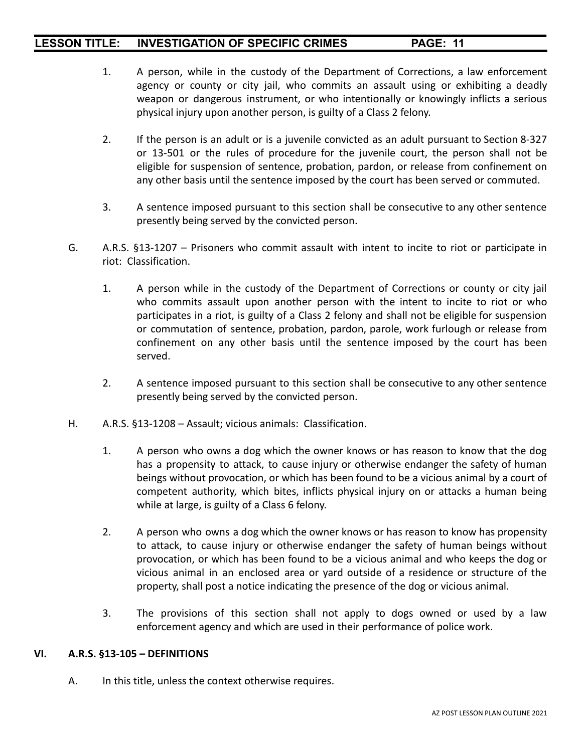- 1. A person, while in the custody of the Department of Corrections, a law enforcement agency or county or city jail, who commits an assault using or exhibiting a deadly weapon or dangerous instrument, or who intentionally or knowingly inflicts a serious physical injury upon another person, is guilty of a Class 2 felony.
- 2. If the person is an adult or is a juvenile convicted as an adult pursuant to Section 8-327 or 13-501 or the rules of procedure for the juvenile court, the person shall not be eligible for suspension of sentence, probation, pardon, or release from confinement on any other basis until the sentence imposed by the court has been served or commuted.
- 3. A sentence imposed pursuant to this section shall be consecutive to any other sentence presently being served by the convicted person.
- G. A.R.S. §13-1207 Prisoners who commit assault with intent to incite to riot or participate in riot: Classification.
	- 1. A person while in the custody of the Department of Corrections or county or city jail who commits assault upon another person with the intent to incite to riot or who participates in a riot, is guilty of a Class 2 felony and shall not be eligible for suspension or commutation of sentence, probation, pardon, parole, work furlough or release from confinement on any other basis until the sentence imposed by the court has been served.
	- 2. A sentence imposed pursuant to this section shall be consecutive to any other sentence presently being served by the convicted person.
- H. A.R.S. §13-1208 Assault; vicious animals: Classification.
	- 1. A person who owns a dog which the owner knows or has reason to know that the dog has a propensity to attack, to cause injury or otherwise endanger the safety of human beings without provocation, or which has been found to be a vicious animal by a court of competent authority, which bites, inflicts physical injury on or attacks a human being while at large, is guilty of a Class 6 felony.
	- 2. A person who owns a dog which the owner knows or has reason to know has propensity to attack, to cause injury or otherwise endanger the safety of human beings without provocation, or which has been found to be a vicious animal and who keeps the dog or vicious animal in an enclosed area or yard outside of a residence or structure of the property, shall post a notice indicating the presence of the dog or vicious animal.
	- 3. The provisions of this section shall not apply to dogs owned or used by a law enforcement agency and which are used in their performance of police work.

#### **VI. A.R.S. §13-105 – DEFINITIONS**

A. In this title, unless the context otherwise requires.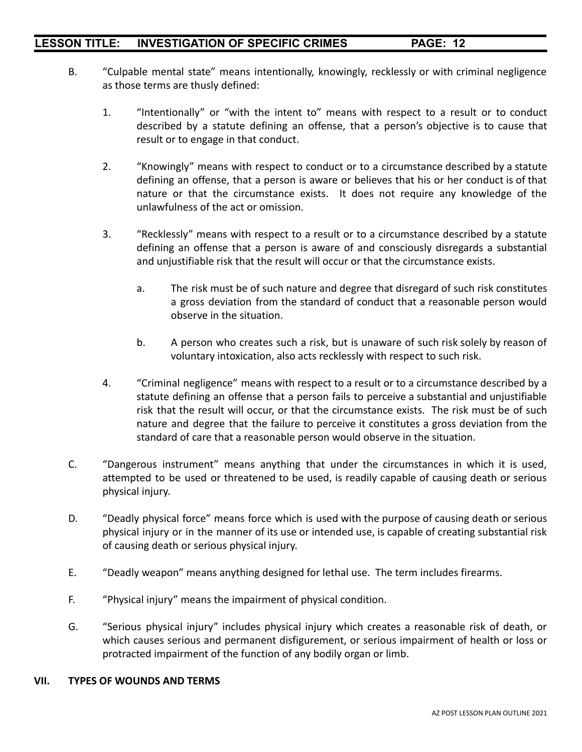- B. "Culpable mental state" means intentionally, knowingly, recklessly or with criminal negligence as those terms are thusly defined:
	- 1. "Intentionally" or "with the intent to" means with respect to a result or to conduct described by a statute defining an offense, that a person's objective is to cause that result or to engage in that conduct.
	- 2. "Knowingly" means with respect to conduct or to a circumstance described by a statute defining an offense, that a person is aware or believes that his or her conduct is of that nature or that the circumstance exists. It does not require any knowledge of the unlawfulness of the act or omission.
	- 3. "Recklessly" means with respect to a result or to a circumstance described by a statute defining an offense that a person is aware of and consciously disregards a substantial and unjustifiable risk that the result will occur or that the circumstance exists.
		- a. The risk must be of such nature and degree that disregard of such risk constitutes a gross deviation from the standard of conduct that a reasonable person would observe in the situation.
		- b. A person who creates such a risk, but is unaware of such risk solely by reason of voluntary intoxication, also acts recklessly with respect to such risk.
	- 4. "Criminal negligence" means with respect to a result or to a circumstance described by a statute defining an offense that a person fails to perceive a substantial and unjustifiable risk that the result will occur, or that the circumstance exists. The risk must be of such nature and degree that the failure to perceive it constitutes a gross deviation from the standard of care that a reasonable person would observe in the situation.
- C. "Dangerous instrument" means anything that under the circumstances in which it is used, attempted to be used or threatened to be used, is readily capable of causing death or serious physical injury.
- D. "Deadly physical force" means force which is used with the purpose of causing death or serious physical injury or in the manner of its use or intended use, is capable of creating substantial risk of causing death or serious physical injury.
- E. "Deadly weapon" means anything designed for lethal use. The term includes firearms.
- F. "Physical injury" means the impairment of physical condition.
- G. "Serious physical injury" includes physical injury which creates a reasonable risk of death, or which causes serious and permanent disfigurement, or serious impairment of health or loss or protracted impairment of the function of any bodily organ or limb.

#### **VII. TYPES OF WOUNDS AND TERMS**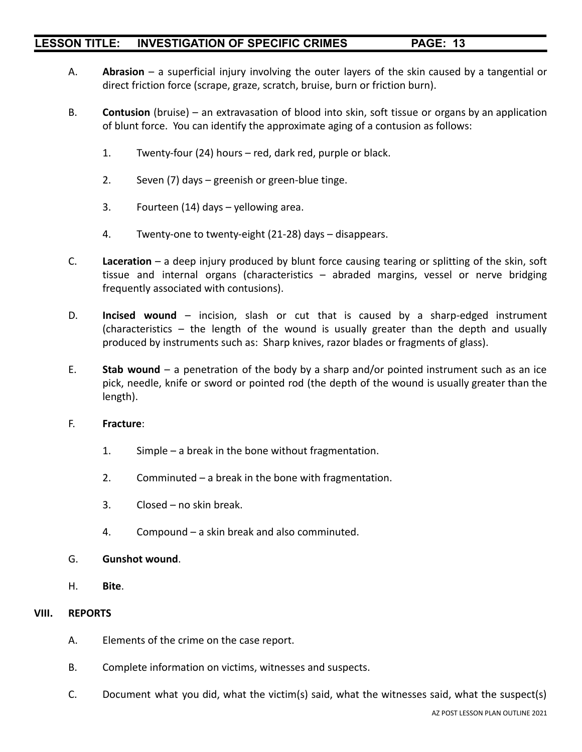- A. **Abrasion** a superficial injury involving the outer layers of the skin caused by a tangential or direct friction force (scrape, graze, scratch, bruise, burn or friction burn).
- B. **Contusion** (bruise) an extravasation of blood into skin, soft tissue or organs by an application of blunt force. You can identify the approximate aging of a contusion as follows:
	- 1. Twenty-four (24) hours red, dark red, purple or black.
	- 2. Seven (7) days greenish or green-blue tinge.
	- 3. Fourteen (14) days yellowing area.
	- 4. Twenty-one to twenty-eight (21-28) days disappears.
- C. **Laceration** a deep injury produced by blunt force causing tearing or splitting of the skin, soft tissue and internal organs (characteristics – abraded margins, vessel or nerve bridging frequently associated with contusions).
- D. **Incised wound** incision, slash or cut that is caused by a sharp-edged instrument (characteristics – the length of the wound is usually greater than the depth and usually produced by instruments such as: Sharp knives, razor blades or fragments of glass).
- E. **Stab wound** a penetration of the body by a sharp and/or pointed instrument such as an ice pick, needle, knife or sword or pointed rod (the depth of the wound is usually greater than the length).
- F. **Fracture**:
	- 1. Simple a break in the bone without fragmentation.
	- 2. Comminuted a break in the bone with fragmentation.
	- 3. Closed no skin break.
	- 4. Compound a skin break and also comminuted.
- G. **Gunshot wound**.
- H. **Bite**.

#### **VIII. REPORTS**

- A. Elements of the crime on the case report.
- B. Complete information on victims, witnesses and suspects.
- C. Document what you did, what the victim(s) said, what the witnesses said, what the suspect(s)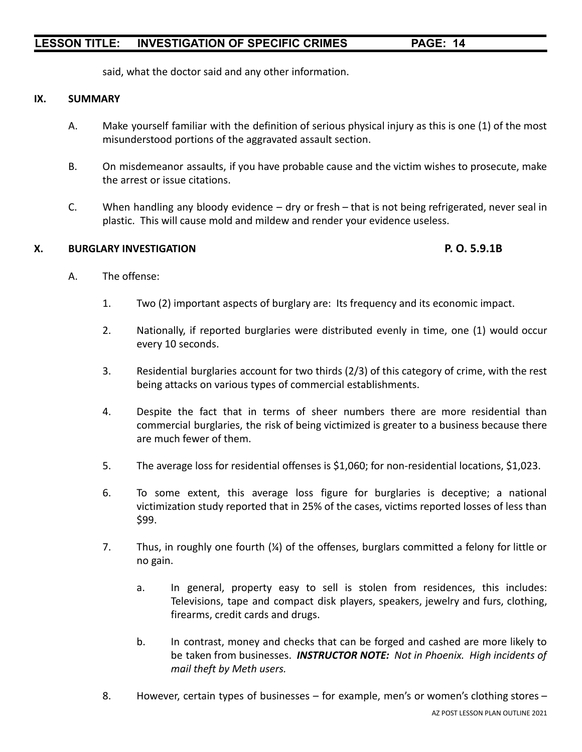said, what the doctor said and any other information.

#### **IX. SUMMARY**

- A. Make yourself familiar with the definition of serious physical injury as this is one (1) of the most misunderstood portions of the aggravated assault section.
- B. On misdemeanor assaults, if you have probable cause and the victim wishes to prosecute, make the arrest or issue citations.
- C. When handling any bloody evidence dry or fresh that is not being refrigerated, never seal in plastic. This will cause mold and mildew and render your evidence useless.

#### **X. BURGLARY INVESTIGATION P. O. 5.9.1B**

- A. The offense:
	- 1. Two (2) important aspects of burglary are: Its frequency and its economic impact.
	- 2. Nationally, if reported burglaries were distributed evenly in time, one (1) would occur every 10 seconds.
	- 3. Residential burglaries account for two thirds (2/3) of this category of crime, with the rest being attacks on various types of commercial establishments.
	- 4. Despite the fact that in terms of sheer numbers there are more residential than commercial burglaries, the risk of being victimized is greater to a business because there are much fewer of them.
	- 5. The average loss for residential offenses is \$1,060; for non-residential locations, \$1,023.
	- 6. To some extent, this average loss figure for burglaries is deceptive; a national victimization study reported that in 25% of the cases, victims reported losses of less than \$99.
	- 7. Thus, in roughly one fourth (¼) of the offenses, burglars committed a felony for little or no gain.
		- a. In general, property easy to sell is stolen from residences, this includes: Televisions, tape and compact disk players, speakers, jewelry and furs, clothing, firearms, credit cards and drugs.
		- b. In contrast, money and checks that can be forged and cashed are more likely to be taken from businesses. *INSTRUCTOR NOTE: Not in Phoenix. High incidents of mail theft by Meth users.*
	- 8. However, certain types of businesses for example, men's or women's clothing stores –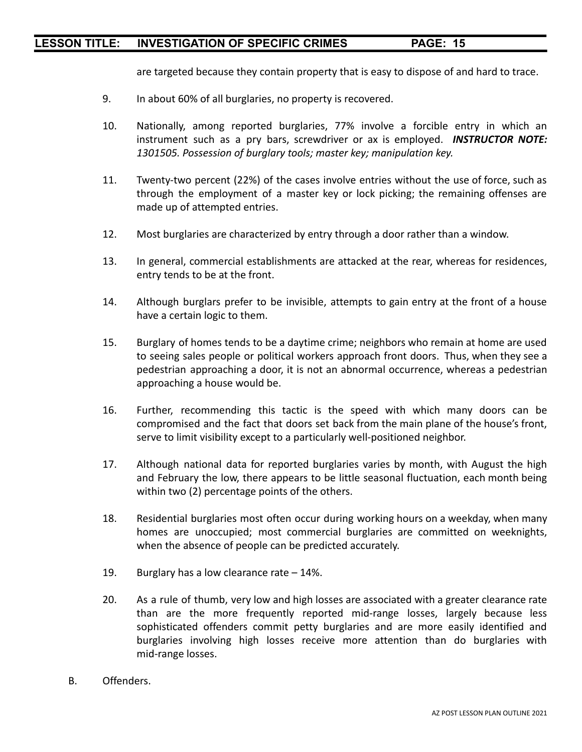are targeted because they contain property that is easy to dispose of and hard to trace.

- 9. In about 60% of all burglaries, no property is recovered.
- 10. Nationally, among reported burglaries, 77% involve a forcible entry in which an instrument such as a pry bars, screwdriver or ax is employed. *INSTRUCTOR NOTE: 1301505. Possession of burglary tools; master key; manipulation key.*
- 11. Twenty-two percent (22%) of the cases involve entries without the use of force, such as through the employment of a master key or lock picking; the remaining offenses are made up of attempted entries.
- 12. Most burglaries are characterized by entry through a door rather than a window.
- 13. In general, commercial establishments are attacked at the rear, whereas for residences, entry tends to be at the front.
- 14. Although burglars prefer to be invisible, attempts to gain entry at the front of a house have a certain logic to them.
- 15. Burglary of homes tends to be a daytime crime; neighbors who remain at home are used to seeing sales people or political workers approach front doors. Thus, when they see a pedestrian approaching a door, it is not an abnormal occurrence, whereas a pedestrian approaching a house would be.
- 16. Further, recommending this tactic is the speed with which many doors can be compromised and the fact that doors set back from the main plane of the house's front, serve to limit visibility except to a particularly well-positioned neighbor.
- 17. Although national data for reported burglaries varies by month, with August the high and February the low, there appears to be little seasonal fluctuation, each month being within two (2) percentage points of the others.
- 18. Residential burglaries most often occur during working hours on a weekday, when many homes are unoccupied; most commercial burglaries are committed on weeknights, when the absence of people can be predicted accurately.
- 19. Burglary has a low clearance rate 14%.
- 20. As a rule of thumb, very low and high losses are associated with a greater clearance rate than are the more frequently reported mid-range losses, largely because less sophisticated offenders commit petty burglaries and are more easily identified and burglaries involving high losses receive more attention than do burglaries with mid-range losses.
- B. Offenders.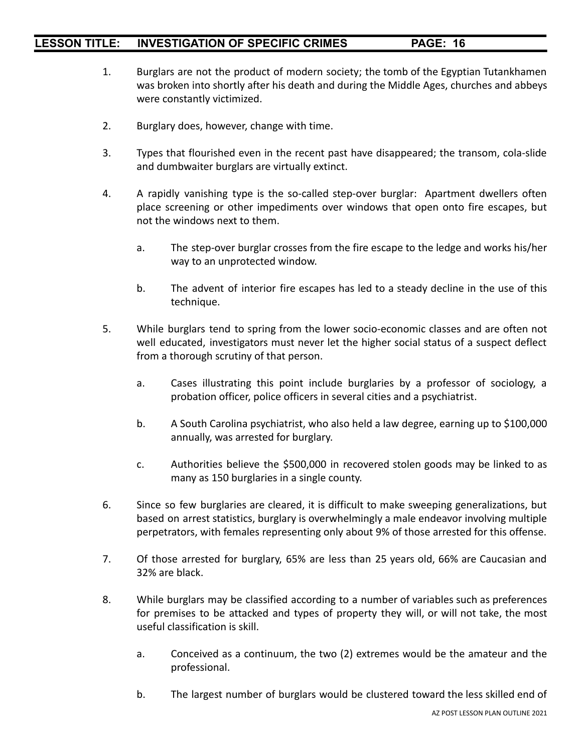- 1. Burglars are not the product of modern society; the tomb of the Egyptian Tutankhamen was broken into shortly after his death and during the Middle Ages, churches and abbeys were constantly victimized.
- 2. Burglary does, however, change with time.
- 3. Types that flourished even in the recent past have disappeared; the transom, cola-slide and dumbwaiter burglars are virtually extinct.
- 4. A rapidly vanishing type is the so-called step-over burglar: Apartment dwellers often place screening or other impediments over windows that open onto fire escapes, but not the windows next to them.
	- a. The step-over burglar crosses from the fire escape to the ledge and works his/her way to an unprotected window.
	- b. The advent of interior fire escapes has led to a steady decline in the use of this technique.
- 5. While burglars tend to spring from the lower socio-economic classes and are often not well educated, investigators must never let the higher social status of a suspect deflect from a thorough scrutiny of that person.
	- a. Cases illustrating this point include burglaries by a professor of sociology, a probation officer, police officers in several cities and a psychiatrist.
	- b. A South Carolina psychiatrist, who also held a law degree, earning up to \$100,000 annually, was arrested for burglary.
	- c. Authorities believe the \$500,000 in recovered stolen goods may be linked to as many as 150 burglaries in a single county.
- 6. Since so few burglaries are cleared, it is difficult to make sweeping generalizations, but based on arrest statistics, burglary is overwhelmingly a male endeavor involving multiple perpetrators, with females representing only about 9% of those arrested for this offense.
- 7. Of those arrested for burglary, 65% are less than 25 years old, 66% are Caucasian and 32% are black.
- 8. While burglars may be classified according to a number of variables such as preferences for premises to be attacked and types of property they will, or will not take, the most useful classification is skill.
	- a. Conceived as a continuum, the two (2) extremes would be the amateur and the professional.
	- b. The largest number of burglars would be clustered toward the less skilled end of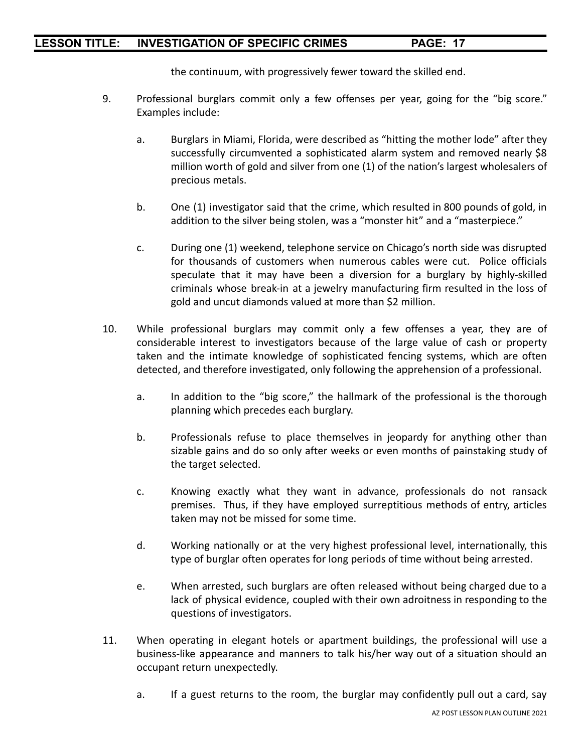the continuum, with progressively fewer toward the skilled end.

- 9. Professional burglars commit only a few offenses per year, going for the "big score." Examples include:
	- a. Burglars in Miami, Florida, were described as "hitting the mother lode" after they successfully circumvented a sophisticated alarm system and removed nearly \$8 million worth of gold and silver from one (1) of the nation's largest wholesalers of precious metals.
	- b. One (1) investigator said that the crime, which resulted in 800 pounds of gold, in addition to the silver being stolen, was a "monster hit" and a "masterpiece."
	- c. During one (1) weekend, telephone service on Chicago's north side was disrupted for thousands of customers when numerous cables were cut. Police officials speculate that it may have been a diversion for a burglary by highly-skilled criminals whose break-in at a jewelry manufacturing firm resulted in the loss of gold and uncut diamonds valued at more than \$2 million.
- 10. While professional burglars may commit only a few offenses a year, they are of considerable interest to investigators because of the large value of cash or property taken and the intimate knowledge of sophisticated fencing systems, which are often detected, and therefore investigated, only following the apprehension of a professional.
	- a. In addition to the "big score," the hallmark of the professional is the thorough planning which precedes each burglary.
	- b. Professionals refuse to place themselves in jeopardy for anything other than sizable gains and do so only after weeks or even months of painstaking study of the target selected.
	- c. Knowing exactly what they want in advance, professionals do not ransack premises. Thus, if they have employed surreptitious methods of entry, articles taken may not be missed for some time.
	- d. Working nationally or at the very highest professional level, internationally, this type of burglar often operates for long periods of time without being arrested.
	- e. When arrested, such burglars are often released without being charged due to a lack of physical evidence, coupled with their own adroitness in responding to the questions of investigators.
- 11. When operating in elegant hotels or apartment buildings, the professional will use a business-like appearance and manners to talk his/her way out of a situation should an occupant return unexpectedly.
	- a. If a guest returns to the room, the burglar may confidently pull out a card, say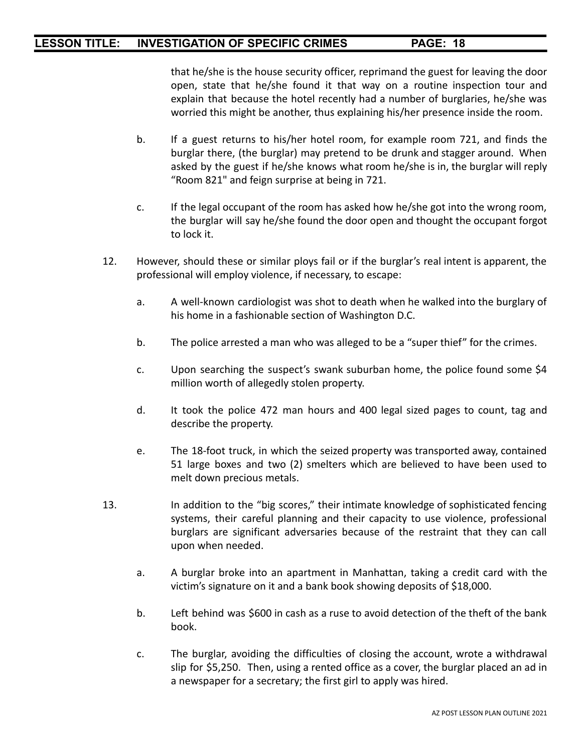that he/she is the house security officer, reprimand the guest for leaving the door open, state that he/she found it that way on a routine inspection tour and explain that because the hotel recently had a number of burglaries, he/she was worried this might be another, thus explaining his/her presence inside the room.

- b. If a guest returns to his/her hotel room, for example room 721, and finds the burglar there, (the burglar) may pretend to be drunk and stagger around. When asked by the guest if he/she knows what room he/she is in, the burglar will reply "Room 821" and feign surprise at being in 721.
- c. If the legal occupant of the room has asked how he/she got into the wrong room, the burglar will say he/she found the door open and thought the occupant forgot to lock it.
- 12. However, should these or similar ploys fail or if the burglar's real intent is apparent, the professional will employ violence, if necessary, to escape:
	- a. A well-known cardiologist was shot to death when he walked into the burglary of his home in a fashionable section of Washington D.C.
	- b. The police arrested a man who was alleged to be a "super thief" for the crimes.
	- c. Upon searching the suspect's swank suburban home, the police found some \$4 million worth of allegedly stolen property.
	- d. It took the police 472 man hours and 400 legal sized pages to count, tag and describe the property.
	- e. The 18-foot truck, in which the seized property was transported away, contained 51 large boxes and two (2) smelters which are believed to have been used to melt down precious metals.
- 13. In addition to the "big scores," their intimate knowledge of sophisticated fencing systems, their careful planning and their capacity to use violence, professional burglars are significant adversaries because of the restraint that they can call upon when needed.
	- a. A burglar broke into an apartment in Manhattan, taking a credit card with the victim's signature on it and a bank book showing deposits of \$18,000.
	- b. Left behind was \$600 in cash as a ruse to avoid detection of the theft of the bank book.
	- c. The burglar, avoiding the difficulties of closing the account, wrote a withdrawal slip for \$5,250. Then, using a rented office as a cover, the burglar placed an ad in a newspaper for a secretary; the first girl to apply was hired.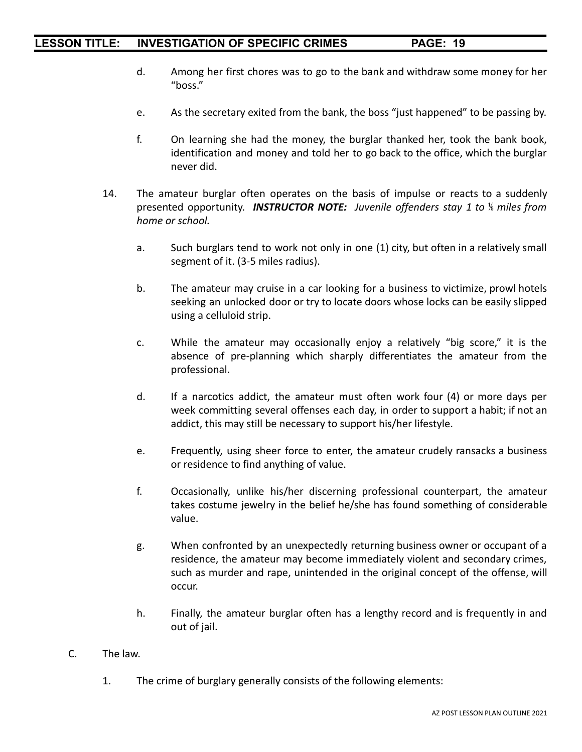- d. Among her first chores was to go to the bank and withdraw some money for her "boss."
- e. As the secretary exited from the bank, the boss "just happened" to be passing by.
- f. On learning she had the money, the burglar thanked her, took the bank book, identification and money and told her to go back to the office, which the burglar never did.
- 14. The amateur burglar often operates on the basis of impulse or reacts to a suddenly presented opportunity. *INSTRUCTOR NOTE: Juvenile offenders stay 1 to* ⅕ *miles from home or school.*
	- a. Such burglars tend to work not only in one (1) city, but often in a relatively small segment of it. (3-5 miles radius).
	- b. The amateur may cruise in a car looking for a business to victimize, prowl hotels seeking an unlocked door or try to locate doors whose locks can be easily slipped using a celluloid strip.
	- c. While the amateur may occasionally enjoy a relatively "big score," it is the absence of pre-planning which sharply differentiates the amateur from the professional.
	- d. If a narcotics addict, the amateur must often work four (4) or more days per week committing several offenses each day, in order to support a habit; if not an addict, this may still be necessary to support his/her lifestyle.
	- e. Frequently, using sheer force to enter, the amateur crudely ransacks a business or residence to find anything of value.
	- f. Occasionally, unlike his/her discerning professional counterpart, the amateur takes costume jewelry in the belief he/she has found something of considerable value.
	- g. When confronted by an unexpectedly returning business owner or occupant of a residence, the amateur may become immediately violent and secondary crimes, such as murder and rape, unintended in the original concept of the offense, will occur.
	- h. Finally, the amateur burglar often has a lengthy record and is frequently in and out of jail.
- C. The law.
	- 1. The crime of burglary generally consists of the following elements: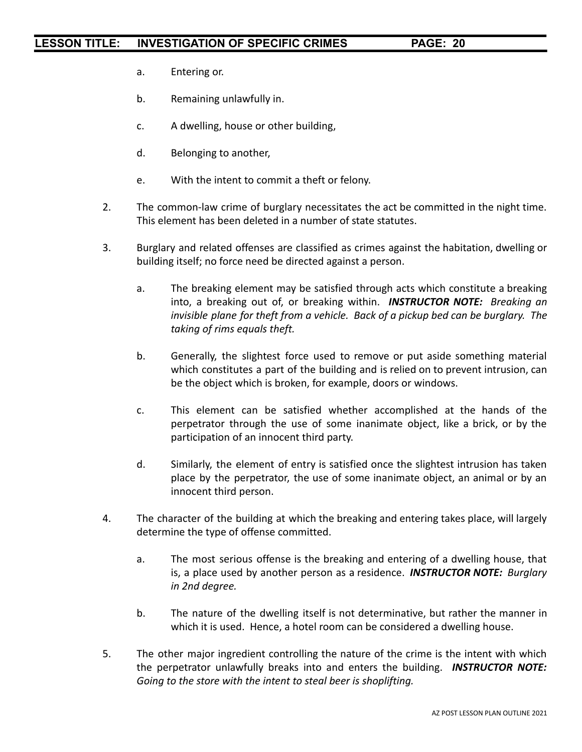- a. Entering or.
- b. Remaining unlawfully in.
- c. A dwelling, house or other building,
- d. Belonging to another,
- e. With the intent to commit a theft or felony.
- 2. The common-law crime of burglary necessitates the act be committed in the night time. This element has been deleted in a number of state statutes.
- 3. Burglary and related offenses are classified as crimes against the habitation, dwelling or building itself; no force need be directed against a person.
	- a. The breaking element may be satisfied through acts which constitute a breaking into, a breaking out of, or breaking within. *INSTRUCTOR NOTE: Breaking an invisible plane for theft from a vehicle. Back of a pickup bed can be burglary. The taking of rims equals theft.*
	- b. Generally, the slightest force used to remove or put aside something material which constitutes a part of the building and is relied on to prevent intrusion, can be the object which is broken, for example, doors or windows.
	- c. This element can be satisfied whether accomplished at the hands of the perpetrator through the use of some inanimate object, like a brick, or by the participation of an innocent third party.
	- d. Similarly, the element of entry is satisfied once the slightest intrusion has taken place by the perpetrator, the use of some inanimate object, an animal or by an innocent third person.
- 4. The character of the building at which the breaking and entering takes place, will largely determine the type of offense committed.
	- a. The most serious offense is the breaking and entering of a dwelling house, that is, a place used by another person as a residence. *INSTRUCTOR NOTE: Burglary in 2nd degree.*
	- b. The nature of the dwelling itself is not determinative, but rather the manner in which it is used. Hence, a hotel room can be considered a dwelling house.
- 5. The other major ingredient controlling the nature of the crime is the intent with which the perpetrator unlawfully breaks into and enters the building. *INSTRUCTOR NOTE: Going to the store with the intent to steal beer is shoplifting.*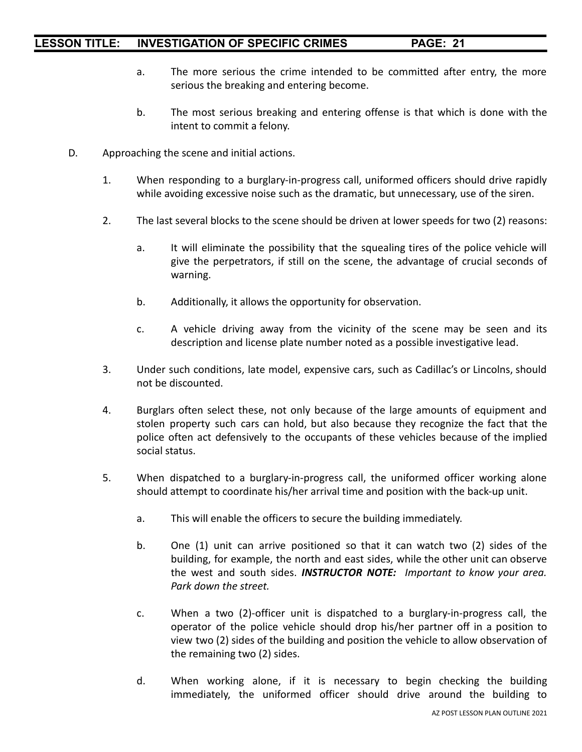- a. The more serious the crime intended to be committed after entry, the more serious the breaking and entering become.
- b. The most serious breaking and entering offense is that which is done with the intent to commit a felony.
- D. Approaching the scene and initial actions.
	- 1. When responding to a burglary-in-progress call, uniformed officers should drive rapidly while avoiding excessive noise such as the dramatic, but unnecessary, use of the siren.
	- 2. The last several blocks to the scene should be driven at lower speeds for two (2) reasons:
		- a. It will eliminate the possibility that the squealing tires of the police vehicle will give the perpetrators, if still on the scene, the advantage of crucial seconds of warning.
		- b. Additionally, it allows the opportunity for observation.
		- c. A vehicle driving away from the vicinity of the scene may be seen and its description and license plate number noted as a possible investigative lead.
	- 3. Under such conditions, late model, expensive cars, such as Cadillac's or Lincolns, should not be discounted.
	- 4. Burglars often select these, not only because of the large amounts of equipment and stolen property such cars can hold, but also because they recognize the fact that the police often act defensively to the occupants of these vehicles because of the implied social status.
	- 5. When dispatched to a burglary-in-progress call, the uniformed officer working alone should attempt to coordinate his/her arrival time and position with the back-up unit.
		- a. This will enable the officers to secure the building immediately.
		- b. One (1) unit can arrive positioned so that it can watch two (2) sides of the building, for example, the north and east sides, while the other unit can observe the west and south sides. *INSTRUCTOR NOTE: Important to know your area. Park down the street.*
		- c. When a two (2)-officer unit is dispatched to a burglary-in-progress call, the operator of the police vehicle should drop his/her partner off in a position to view two (2) sides of the building and position the vehicle to allow observation of the remaining two (2) sides.
		- d. When working alone, if it is necessary to begin checking the building immediately, the uniformed officer should drive around the building to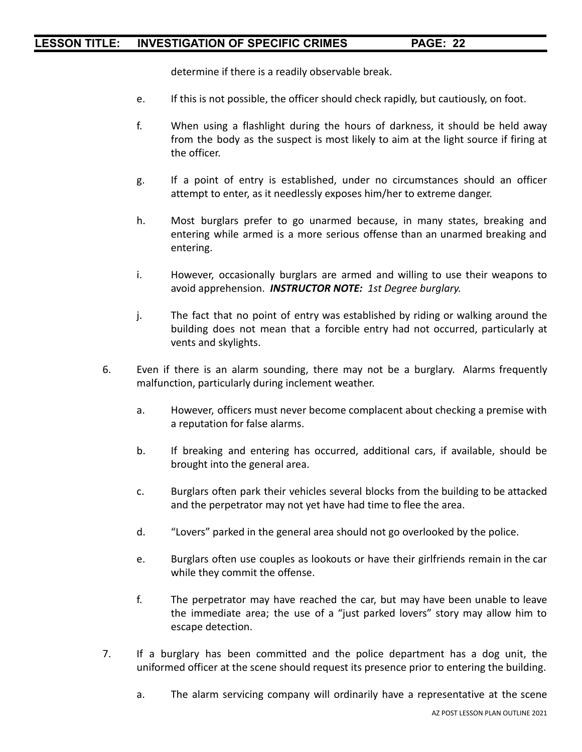determine if there is a readily observable break.

- e. If this is not possible, the officer should check rapidly, but cautiously, on foot.
- f. When using a flashlight during the hours of darkness, it should be held away from the body as the suspect is most likely to aim at the light source if firing at the officer.
- g. If a point of entry is established, under no circumstances should an officer attempt to enter, as it needlessly exposes him/her to extreme danger.
- h. Most burglars prefer to go unarmed because, in many states, breaking and entering while armed is a more serious offense than an unarmed breaking and entering.
- i. However, occasionally burglars are armed and willing to use their weapons to avoid apprehension. *INSTRUCTOR NOTE: 1st Degree burglary.*
- j. The fact that no point of entry was established by riding or walking around the building does not mean that a forcible entry had not occurred, particularly at vents and skylights.
- 6. Even if there is an alarm sounding, there may not be a burglary. Alarms frequently malfunction, particularly during inclement weather.
	- a. However, officers must never become complacent about checking a premise with a reputation for false alarms.
	- b. If breaking and entering has occurred, additional cars, if available, should be brought into the general area.
	- c. Burglars often park their vehicles several blocks from the building to be attacked and the perpetrator may not yet have had time to flee the area.
	- d. "Lovers" parked in the general area should not go overlooked by the police.
	- e. Burglars often use couples as lookouts or have their girlfriends remain in the car while they commit the offense.
	- f. The perpetrator may have reached the car, but may have been unable to leave the immediate area; the use of a "just parked lovers" story may allow him to escape detection.
- 7. If a burglary has been committed and the police department has a dog unit, the uniformed officer at the scene should request its presence prior to entering the building.
	- a. The alarm servicing company will ordinarily have a representative at the scene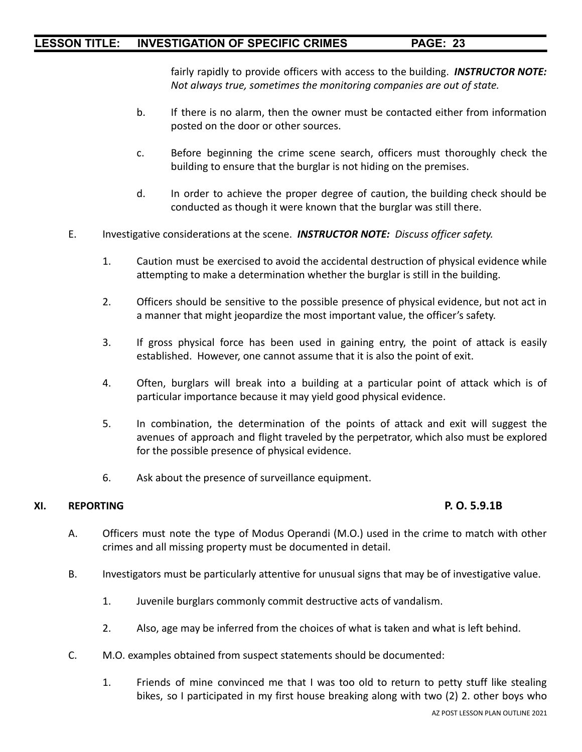fairly rapidly to provide officers with access to the building. *INSTRUCTOR NOTE: Not always true, sometimes the monitoring companies are out of state.*

- b. If there is no alarm, then the owner must be contacted either from information posted on the door or other sources.
- c. Before beginning the crime scene search, officers must thoroughly check the building to ensure that the burglar is not hiding on the premises.
- d. In order to achieve the proper degree of caution, the building check should be conducted as though it were known that the burglar was still there.
- E. Investigative considerations at the scene. *INSTRUCTOR NOTE: Discuss officer safety.*
	- 1. Caution must be exercised to avoid the accidental destruction of physical evidence while attempting to make a determination whether the burglar is still in the building.
	- 2. Officers should be sensitive to the possible presence of physical evidence, but not act in a manner that might jeopardize the most important value, the officer's safety.
	- 3. If gross physical force has been used in gaining entry, the point of attack is easily established. However, one cannot assume that it is also the point of exit.
	- 4. Often, burglars will break into a building at a particular point of attack which is of particular importance because it may yield good physical evidence.
	- 5. In combination, the determination of the points of attack and exit will suggest the avenues of approach and flight traveled by the perpetrator, which also must be explored for the possible presence of physical evidence.
	- 6. Ask about the presence of surveillance equipment.

#### **XI. REPORTING P. O. 5.9.1B**

- A. Officers must note the type of Modus Operandi (M.O.) used in the crime to match with other crimes and all missing property must be documented in detail.
- B. Investigators must be particularly attentive for unusual signs that may be of investigative value.
	- 1. Juvenile burglars commonly commit destructive acts of vandalism.
	- 2. Also, age may be inferred from the choices of what is taken and what is left behind.
- C. M.O. examples obtained from suspect statements should be documented:
	- 1. Friends of mine convinced me that I was too old to return to petty stuff like stealing bikes, so I participated in my first house breaking along with two (2) 2. other boys who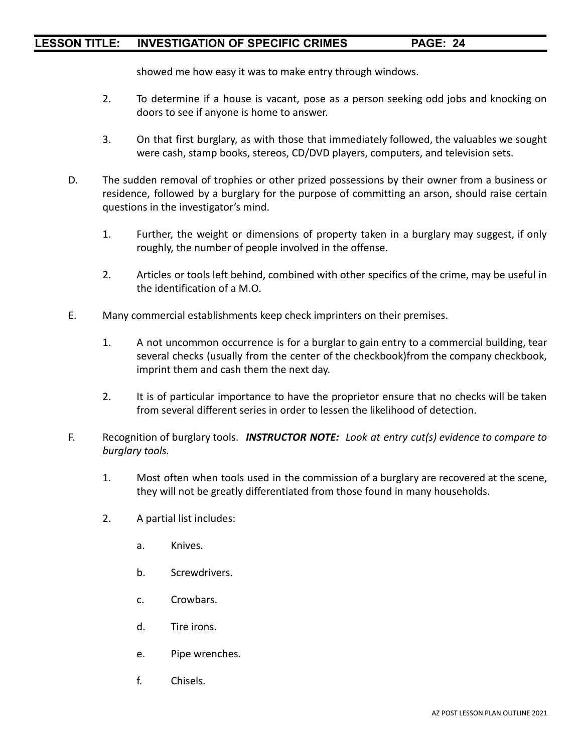showed me how easy it was to make entry through windows.

- 2. To determine if a house is vacant, pose as a person seeking odd jobs and knocking on doors to see if anyone is home to answer.
- 3. On that first burglary, as with those that immediately followed, the valuables we sought were cash, stamp books, stereos, CD/DVD players, computers, and television sets.
- D. The sudden removal of trophies or other prized possessions by their owner from a business or residence, followed by a burglary for the purpose of committing an arson, should raise certain questions in the investigator's mind.
	- 1. Further, the weight or dimensions of property taken in a burglary may suggest, if only roughly, the number of people involved in the offense.
	- 2. Articles or tools left behind, combined with other specifics of the crime, may be useful in the identification of a M.O.
- E. Many commercial establishments keep check imprinters on their premises.
	- 1. A not uncommon occurrence is for a burglar to gain entry to a commercial building, tear several checks (usually from the center of the checkbook)from the company checkbook, imprint them and cash them the next day.
	- 2. It is of particular importance to have the proprietor ensure that no checks will be taken from several different series in order to lessen the likelihood of detection.
- F. Recognition of burglary tools. *INSTRUCTOR NOTE: Look at entry cut(s) evidence to compare to burglary tools.*
	- 1. Most often when tools used in the commission of a burglary are recovered at the scene, they will not be greatly differentiated from those found in many households.
	- 2. A partial list includes:
		- a. Knives.
		- b. Screwdrivers.
		- c. Crowbars.
		- d. Tire irons.
		- e. Pipe wrenches.
		- f. Chisels.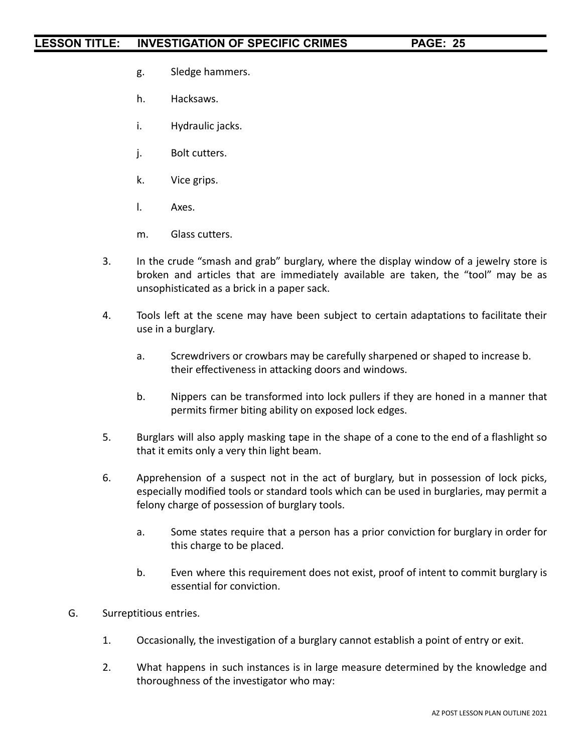- g. Sledge hammers.
- h. Hacksaws.
- i. Hydraulic jacks.
- j. Bolt cutters.
- k. Vice grips.
- l. Axes.
- m. Glass cutters.
- 3. In the crude "smash and grab" burglary, where the display window of a jewelry store is broken and articles that are immediately available are taken, the "tool" may be as unsophisticated as a brick in a paper sack.
- 4. Tools left at the scene may have been subject to certain adaptations to facilitate their use in a burglary.
	- a. Screwdrivers or crowbars may be carefully sharpened or shaped to increase b. their effectiveness in attacking doors and windows.
	- b. Nippers can be transformed into lock pullers if they are honed in a manner that permits firmer biting ability on exposed lock edges.
- 5. Burglars will also apply masking tape in the shape of a cone to the end of a flashlight so that it emits only a very thin light beam.
- 6. Apprehension of a suspect not in the act of burglary, but in possession of lock picks, especially modified tools or standard tools which can be used in burglaries, may permit a felony charge of possession of burglary tools.
	- a. Some states require that a person has a prior conviction for burglary in order for this charge to be placed.
	- b. Even where this requirement does not exist, proof of intent to commit burglary is essential for conviction.
- G. Surreptitious entries.
	- 1. Occasionally, the investigation of a burglary cannot establish a point of entry or exit.
	- 2. What happens in such instances is in large measure determined by the knowledge and thoroughness of the investigator who may: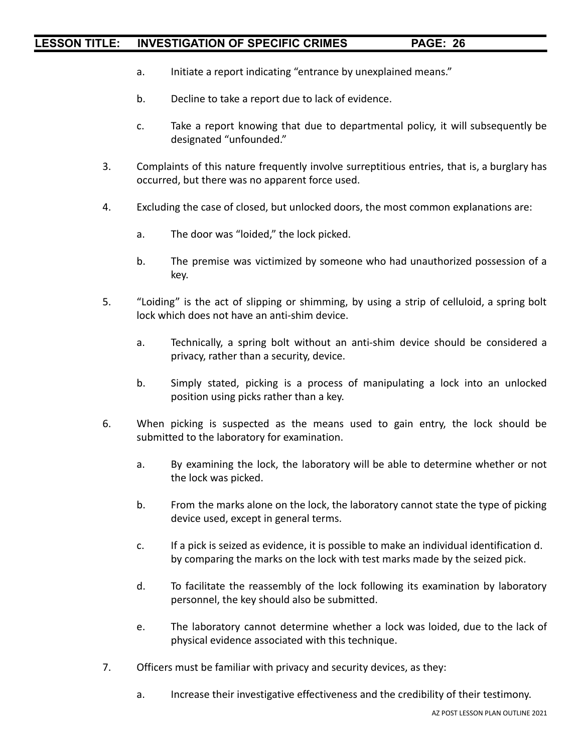- a. Initiate a report indicating "entrance by unexplained means."
- b. Decline to take a report due to lack of evidence.
- c. Take a report knowing that due to departmental policy, it will subsequently be designated "unfounded."
- 3. Complaints of this nature frequently involve surreptitious entries, that is, a burglary has occurred, but there was no apparent force used.
- 4. Excluding the case of closed, but unlocked doors, the most common explanations are:
	- a. The door was "loided," the lock picked.
	- b. The premise was victimized by someone who had unauthorized possession of a key.
- 5. "Loiding" is the act of slipping or shimming, by using a strip of celluloid, a spring bolt lock which does not have an anti-shim device.
	- a. Technically, a spring bolt without an anti-shim device should be considered a privacy, rather than a security, device.
	- b. Simply stated, picking is a process of manipulating a lock into an unlocked position using picks rather than a key.
- 6. When picking is suspected as the means used to gain entry, the lock should be submitted to the laboratory for examination.
	- a. By examining the lock, the laboratory will be able to determine whether or not the lock was picked.
	- b. From the marks alone on the lock, the laboratory cannot state the type of picking device used, except in general terms.
	- c. If a pick is seized as evidence, it is possible to make an individual identification d. by comparing the marks on the lock with test marks made by the seized pick.
	- d. To facilitate the reassembly of the lock following its examination by laboratory personnel, the key should also be submitted.
	- e. The laboratory cannot determine whether a lock was loided, due to the lack of physical evidence associated with this technique.
- 7. Officers must be familiar with privacy and security devices, as they:
	- a. Increase their investigative effectiveness and the credibility of their testimony.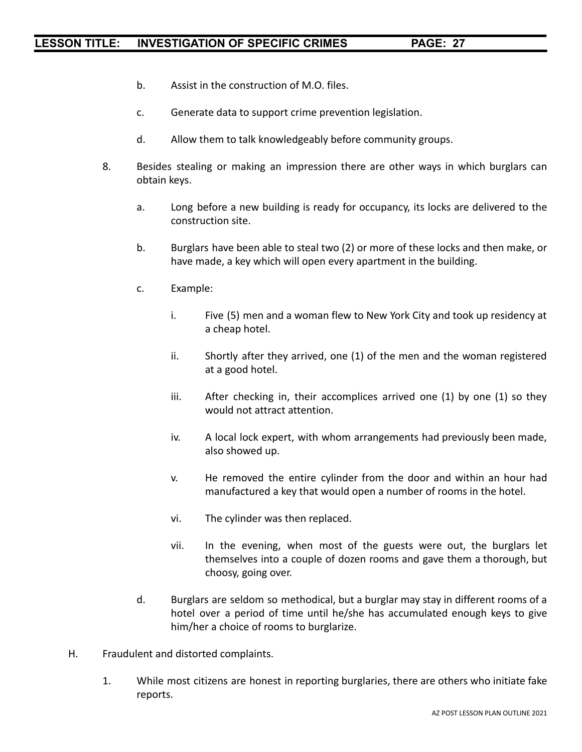- b. Assist in the construction of M.O. files.
- c. Generate data to support crime prevention legislation.
- d. Allow them to talk knowledgeably before community groups.
- 8. Besides stealing or making an impression there are other ways in which burglars can obtain keys.
	- a. Long before a new building is ready for occupancy, its locks are delivered to the construction site.
	- b. Burglars have been able to steal two (2) or more of these locks and then make, or have made, a key which will open every apartment in the building.
	- c. Example:
		- i. Five (5) men and a woman flew to New York City and took up residency at a cheap hotel.
		- ii. Shortly after they arrived, one (1) of the men and the woman registered at a good hotel.
		- iii. After checking in, their accomplices arrived one (1) by one (1) so they would not attract attention.
		- iv. A local lock expert, with whom arrangements had previously been made, also showed up.
		- v. He removed the entire cylinder from the door and within an hour had manufactured a key that would open a number of rooms in the hotel.
		- vi. The cylinder was then replaced.
		- vii. In the evening, when most of the guests were out, the burglars let themselves into a couple of dozen rooms and gave them a thorough, but choosy, going over.
	- d. Burglars are seldom so methodical, but a burglar may stay in different rooms of a hotel over a period of time until he/she has accumulated enough keys to give him/her a choice of rooms to burglarize.
- H. Fraudulent and distorted complaints.
	- 1. While most citizens are honest in reporting burglaries, there are others who initiate fake reports.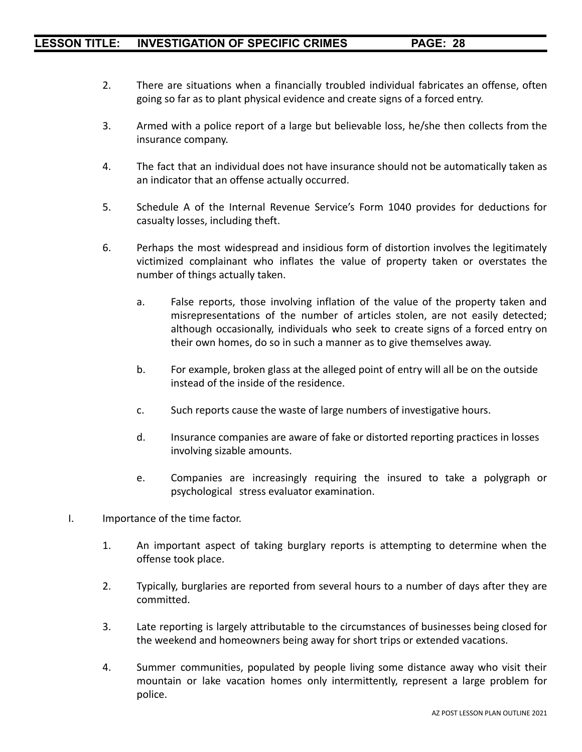- 2. There are situations when a financially troubled individual fabricates an offense, often going so far as to plant physical evidence and create signs of a forced entry.
- 3. Armed with a police report of a large but believable loss, he/she then collects from the insurance company.
- 4. The fact that an individual does not have insurance should not be automatically taken as an indicator that an offense actually occurred.
- 5. Schedule A of the Internal Revenue Service's Form 1040 provides for deductions for casualty losses, including theft.
- 6. Perhaps the most widespread and insidious form of distortion involves the legitimately victimized complainant who inflates the value of property taken or overstates the number of things actually taken.
	- a. False reports, those involving inflation of the value of the property taken and misrepresentations of the number of articles stolen, are not easily detected; although occasionally, individuals who seek to create signs of a forced entry on their own homes, do so in such a manner as to give themselves away.
	- b. For example, broken glass at the alleged point of entry will all be on the outside instead of the inside of the residence.
	- c. Such reports cause the waste of large numbers of investigative hours.
	- d. Insurance companies are aware of fake or distorted reporting practices in losses involving sizable amounts.
	- e. Companies are increasingly requiring the insured to take a polygraph or psychological stress evaluator examination.
- I. Importance of the time factor.
	- 1. An important aspect of taking burglary reports is attempting to determine when the offense took place.
	- 2. Typically, burglaries are reported from several hours to a number of days after they are committed.
	- 3. Late reporting is largely attributable to the circumstances of businesses being closed for the weekend and homeowners being away for short trips or extended vacations.
	- 4. Summer communities, populated by people living some distance away who visit their mountain or lake vacation homes only intermittently, represent a large problem for police.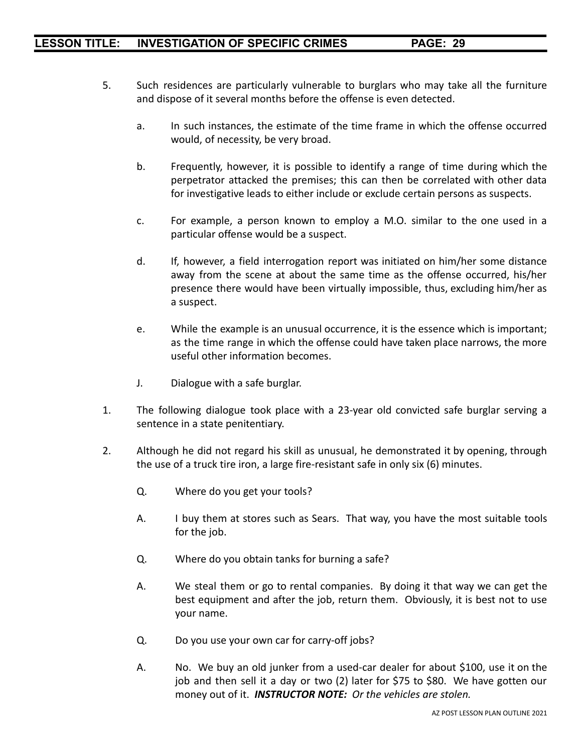- 5. Such residences are particularly vulnerable to burglars who may take all the furniture and dispose of it several months before the offense is even detected.
	- a. In such instances, the estimate of the time frame in which the offense occurred would, of necessity, be very broad.
	- b. Frequently, however, it is possible to identify a range of time during which the perpetrator attacked the premises; this can then be correlated with other data for investigative leads to either include or exclude certain persons as suspects.
	- c. For example, a person known to employ a M.O. similar to the one used in a particular offense would be a suspect.
	- d. If, however, a field interrogation report was initiated on him/her some distance away from the scene at about the same time as the offense occurred, his/her presence there would have been virtually impossible, thus, excluding him/her as a suspect.
	- e. While the example is an unusual occurrence, it is the essence which is important; as the time range in which the offense could have taken place narrows, the more useful other information becomes.
	- J. Dialogue with a safe burglar.
- 1. The following dialogue took place with a 23-year old convicted safe burglar serving a sentence in a state penitentiary.
- 2. Although he did not regard his skill as unusual, he demonstrated it by opening, through the use of a truck tire iron, a large fire-resistant safe in only six (6) minutes.
	- Q. Where do you get your tools?
	- A. I buy them at stores such as Sears. That way, you have the most suitable tools for the job.
	- Q. Where do you obtain tanks for burning a safe?
	- A. We steal them or go to rental companies. By doing it that way we can get the best equipment and after the job, return them. Obviously, it is best not to use your name.
	- Q. Do you use your own car for carry-off jobs?
	- A. No. We buy an old junker from a used-car dealer for about \$100, use it on the job and then sell it a day or two (2) later for \$75 to \$80. We have gotten our money out of it. *INSTRUCTOR NOTE: Or the vehicles are stolen.*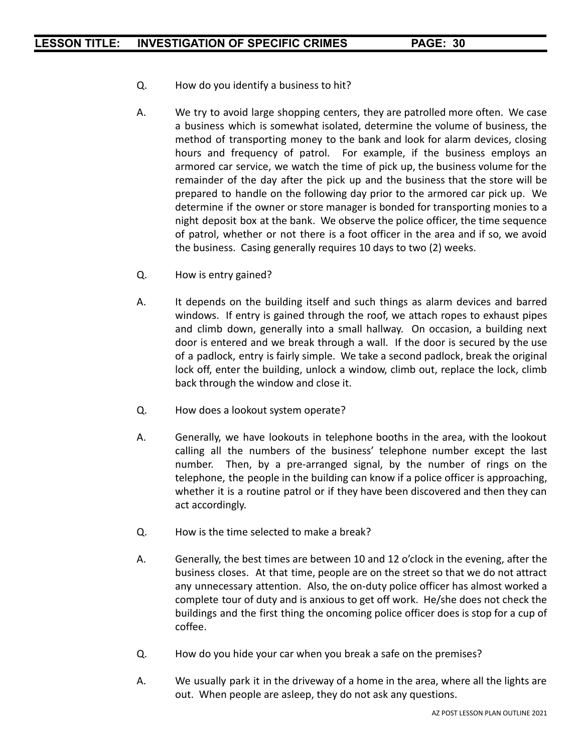- Q. How do you identify a business to hit?
- A. We try to avoid large shopping centers, they are patrolled more often. We case a business which is somewhat isolated, determine the volume of business, the method of transporting money to the bank and look for alarm devices, closing hours and frequency of patrol. For example, if the business employs an armored car service, we watch the time of pick up, the business volume for the remainder of the day after the pick up and the business that the store will be prepared to handle on the following day prior to the armored car pick up. We determine if the owner or store manager is bonded for transporting monies to a night deposit box at the bank. We observe the police officer, the time sequence of patrol, whether or not there is a foot officer in the area and if so, we avoid the business. Casing generally requires 10 days to two (2) weeks.
- Q. How is entry gained?
- A. It depends on the building itself and such things as alarm devices and barred windows. If entry is gained through the roof, we attach ropes to exhaust pipes and climb down, generally into a small hallway. On occasion, a building next door is entered and we break through a wall. If the door is secured by the use of a padlock, entry is fairly simple. We take a second padlock, break the original lock off, enter the building, unlock a window, climb out, replace the lock, climb back through the window and close it.
- Q. How does a lookout system operate?
- A. Generally, we have lookouts in telephone booths in the area, with the lookout calling all the numbers of the business' telephone number except the last number. Then, by a pre-arranged signal, by the number of rings on the telephone, the people in the building can know if a police officer is approaching, whether it is a routine patrol or if they have been discovered and then they can act accordingly.
- Q. How is the time selected to make a break?
- A. Generally, the best times are between 10 and 12 o'clock in the evening, after the business closes. At that time, people are on the street so that we do not attract any unnecessary attention. Also, the on-duty police officer has almost worked a complete tour of duty and is anxious to get off work. He/she does not check the buildings and the first thing the oncoming police officer does is stop for a cup of coffee.
- Q. How do you hide your car when you break a safe on the premises?
- A. We usually park it in the driveway of a home in the area, where all the lights are out. When people are asleep, they do not ask any questions.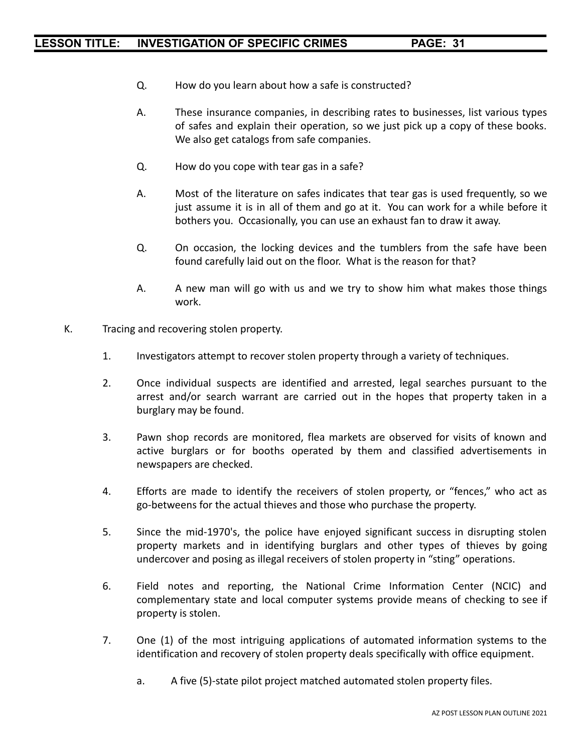- Q. How do you learn about how a safe is constructed?
- A. These insurance companies, in describing rates to businesses, list various types of safes and explain their operation, so we just pick up a copy of these books. We also get catalogs from safe companies.
- Q. How do you cope with tear gas in a safe?
- A. Most of the literature on safes indicates that tear gas is used frequently, so we just assume it is in all of them and go at it. You can work for a while before it bothers you. Occasionally, you can use an exhaust fan to draw it away.
- Q. On occasion, the locking devices and the tumblers from the safe have been found carefully laid out on the floor. What is the reason for that?
- A. A new man will go with us and we try to show him what makes those things work.
- K. Tracing and recovering stolen property.
	- 1. Investigators attempt to recover stolen property through a variety of techniques.
	- 2. Once individual suspects are identified and arrested, legal searches pursuant to the arrest and/or search warrant are carried out in the hopes that property taken in a burglary may be found.
	- 3. Pawn shop records are monitored, flea markets are observed for visits of known and active burglars or for booths operated by them and classified advertisements in newspapers are checked.
	- 4. Efforts are made to identify the receivers of stolen property, or "fences," who act as go-betweens for the actual thieves and those who purchase the property.
	- 5. Since the mid-1970's, the police have enjoyed significant success in disrupting stolen property markets and in identifying burglars and other types of thieves by going undercover and posing as illegal receivers of stolen property in "sting" operations.
	- 6. Field notes and reporting, the National Crime Information Center (NCIC) and complementary state and local computer systems provide means of checking to see if property is stolen.
	- 7. One (1) of the most intriguing applications of automated information systems to the identification and recovery of stolen property deals specifically with office equipment.
		- a. A five (5)-state pilot project matched automated stolen property files.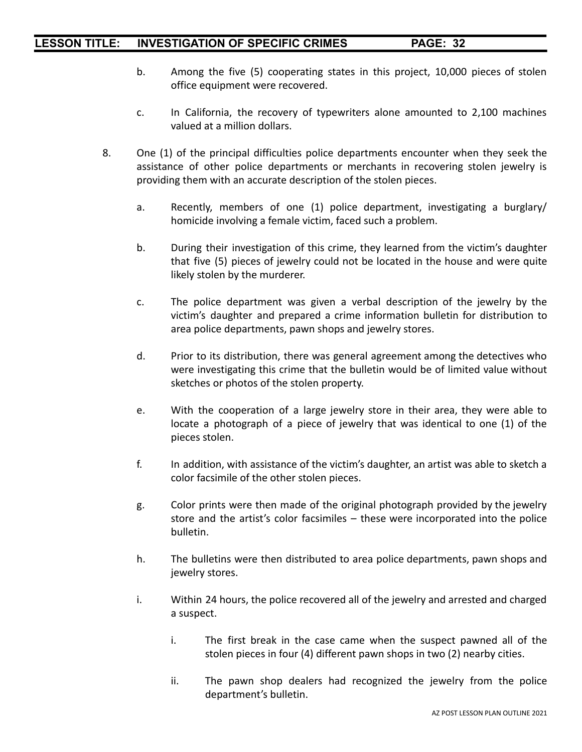- b. Among the five (5) cooperating states in this project, 10,000 pieces of stolen office equipment were recovered.
- c. In California, the recovery of typewriters alone amounted to 2,100 machines valued at a million dollars.
- 8. One (1) of the principal difficulties police departments encounter when they seek the assistance of other police departments or merchants in recovering stolen jewelry is providing them with an accurate description of the stolen pieces.
	- a. Recently, members of one (1) police department, investigating a burglary/ homicide involving a female victim, faced such a problem.
	- b. During their investigation of this crime, they learned from the victim's daughter that five (5) pieces of jewelry could not be located in the house and were quite likely stolen by the murderer.
	- c. The police department was given a verbal description of the jewelry by the victim's daughter and prepared a crime information bulletin for distribution to area police departments, pawn shops and jewelry stores.
	- d. Prior to its distribution, there was general agreement among the detectives who were investigating this crime that the bulletin would be of limited value without sketches or photos of the stolen property.
	- e. With the cooperation of a large jewelry store in their area, they were able to locate a photograph of a piece of jewelry that was identical to one (1) of the pieces stolen.
	- f. In addition, with assistance of the victim's daughter, an artist was able to sketch a color facsimile of the other stolen pieces.
	- g. Color prints were then made of the original photograph provided by the jewelry store and the artist's color facsimiles – these were incorporated into the police bulletin.
	- h. The bulletins were then distributed to area police departments, pawn shops and jewelry stores.
	- i. Within 24 hours, the police recovered all of the jewelry and arrested and charged a suspect.
		- i. The first break in the case came when the suspect pawned all of the stolen pieces in four (4) different pawn shops in two (2) nearby cities.
		- ii. The pawn shop dealers had recognized the jewelry from the police department's bulletin.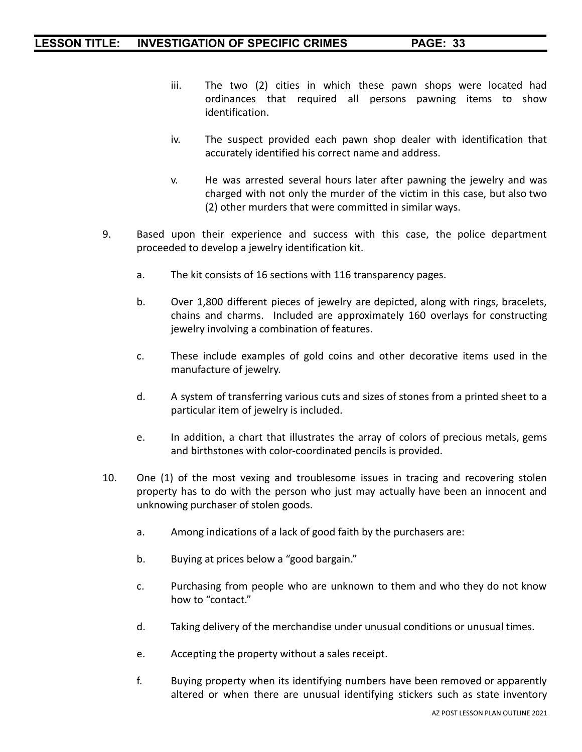- iii. The two (2) cities in which these pawn shops were located had ordinances that required all persons pawning items to show identification.
- iv. The suspect provided each pawn shop dealer with identification that accurately identified his correct name and address.
- v. He was arrested several hours later after pawning the jewelry and was charged with not only the murder of the victim in this case, but also two (2) other murders that were committed in similar ways.
- 9. Based upon their experience and success with this case, the police department proceeded to develop a jewelry identification kit.
	- a. The kit consists of 16 sections with 116 transparency pages.
	- b. Over 1,800 different pieces of jewelry are depicted, along with rings, bracelets, chains and charms. Included are approximately 160 overlays for constructing jewelry involving a combination of features.
	- c. These include examples of gold coins and other decorative items used in the manufacture of jewelry.
	- d. A system of transferring various cuts and sizes of stones from a printed sheet to a particular item of jewelry is included.
	- e. In addition, a chart that illustrates the array of colors of precious metals, gems and birthstones with color-coordinated pencils is provided.
- 10. One (1) of the most vexing and troublesome issues in tracing and recovering stolen property has to do with the person who just may actually have been an innocent and unknowing purchaser of stolen goods.
	- a. Among indications of a lack of good faith by the purchasers are:
	- b. Buying at prices below a "good bargain."
	- c. Purchasing from people who are unknown to them and who they do not know how to "contact."
	- d. Taking delivery of the merchandise under unusual conditions or unusual times.
	- e. Accepting the property without a sales receipt.
	- f. Buying property when its identifying numbers have been removed or apparently altered or when there are unusual identifying stickers such as state inventory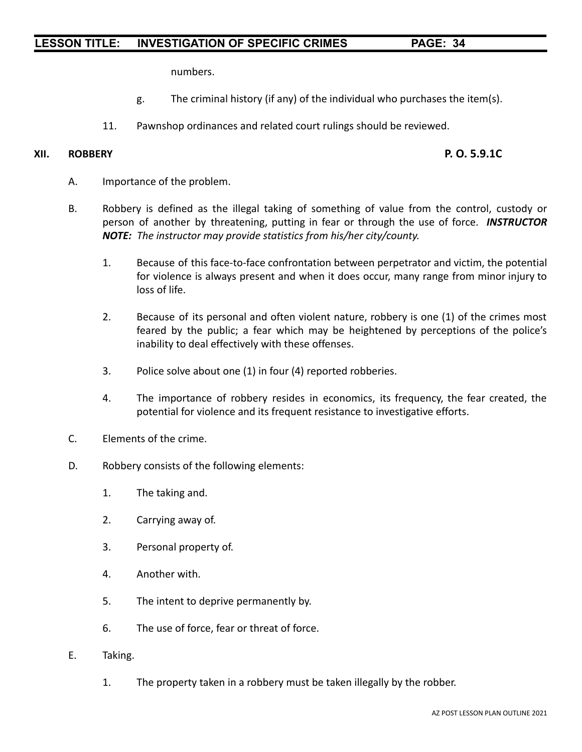numbers.

- g. The criminal history (if any) of the individual who purchases the item(s).
- 11. Pawnshop ordinances and related court rulings should be reviewed.

#### **XII. ROBBERY P. O. 5.9.1C**

- A. Importance of the problem.
- B. Robbery is defined as the illegal taking of something of value from the control, custody or person of another by threatening, putting in fear or through the use of force. *INSTRUCTOR NOTE: The instructor may provide statistics from his/her city/county.*
	- 1. Because of this face-to-face confrontation between perpetrator and victim, the potential for violence is always present and when it does occur, many range from minor injury to loss of life.
	- 2. Because of its personal and often violent nature, robbery is one (1) of the crimes most feared by the public; a fear which may be heightened by perceptions of the police's inability to deal effectively with these offenses.
	- 3. Police solve about one (1) in four (4) reported robberies.
	- 4. The importance of robbery resides in economics, its frequency, the fear created, the potential for violence and its frequent resistance to investigative efforts.
- C. Elements of the crime.
- D. Robbery consists of the following elements:
	- 1. The taking and.
	- 2. Carrying away of.
	- 3. Personal property of.
	- 4. Another with.
	- 5. The intent to deprive permanently by.
	- 6. The use of force, fear or threat of force.
- E. Taking.
	- 1. The property taken in a robbery must be taken illegally by the robber.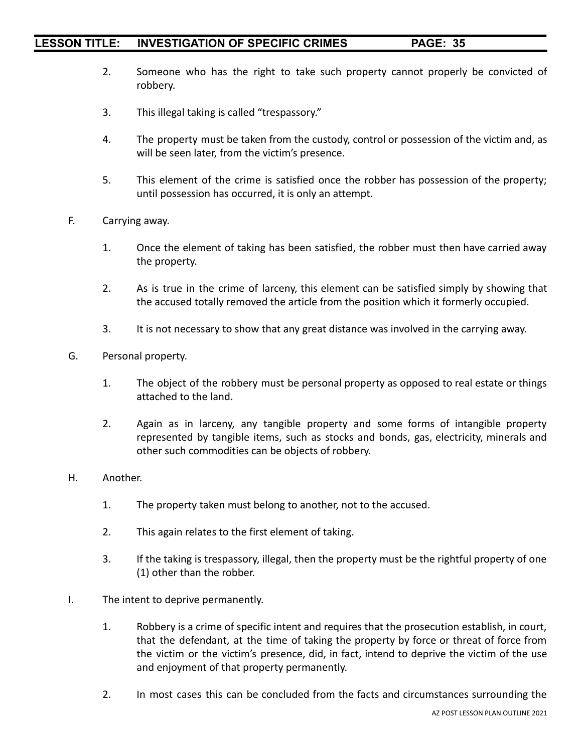- 2. Someone who has the right to take such property cannot properly be convicted of robbery.
- 3. This illegal taking is called "trespassory."
- 4. The property must be taken from the custody, control or possession of the victim and, as will be seen later, from the victim's presence.
- 5. This element of the crime is satisfied once the robber has possession of the property; until possession has occurred, it is only an attempt.
- F. Carrying away.
	- 1. Once the element of taking has been satisfied, the robber must then have carried away the property.
	- 2. As is true in the crime of larceny, this element can be satisfied simply by showing that the accused totally removed the article from the position which it formerly occupied.
	- 3. It is not necessary to show that any great distance was involved in the carrying away.
- G. Personal property.
	- 1. The object of the robbery must be personal property as opposed to real estate or things attached to the land.
	- 2. Again as in larceny, any tangible property and some forms of intangible property represented by tangible items, such as stocks and bonds, gas, electricity, minerals and other such commodities can be objects of robbery.
- H. Another.
	- 1. The property taken must belong to another, not to the accused.
	- 2. This again relates to the first element of taking.
	- 3. If the taking is trespassory, illegal, then the property must be the rightful property of one (1) other than the robber.
- I. The intent to deprive permanently.
	- 1. Robbery is a crime of specific intent and requires that the prosecution establish, in court, that the defendant, at the time of taking the property by force or threat of force from the victim or the victim's presence, did, in fact, intend to deprive the victim of the use and enjoyment of that property permanently.
	- 2. In most cases this can be concluded from the facts and circumstances surrounding the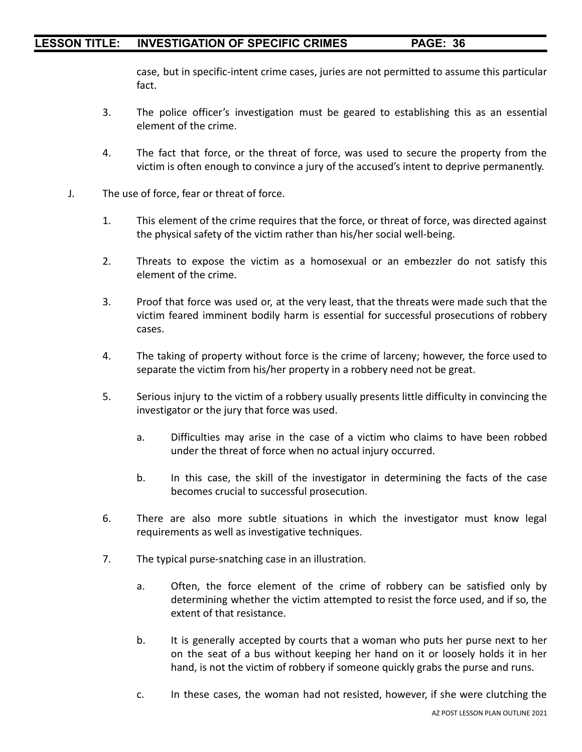case, but in specific-intent crime cases, juries are not permitted to assume this particular fact.

- 3. The police officer's investigation must be geared to establishing this as an essential element of the crime.
- 4. The fact that force, or the threat of force, was used to secure the property from the victim is often enough to convince a jury of the accused's intent to deprive permanently.
- J. The use of force, fear or threat of force.
	- 1. This element of the crime requires that the force, or threat of force, was directed against the physical safety of the victim rather than his/her social well-being.
	- 2. Threats to expose the victim as a homosexual or an embezzler do not satisfy this element of the crime.
	- 3. Proof that force was used or, at the very least, that the threats were made such that the victim feared imminent bodily harm is essential for successful prosecutions of robbery cases.
	- 4. The taking of property without force is the crime of larceny; however, the force used to separate the victim from his/her property in a robbery need not be great.
	- 5. Serious injury to the victim of a robbery usually presents little difficulty in convincing the investigator or the jury that force was used.
		- a. Difficulties may arise in the case of a victim who claims to have been robbed under the threat of force when no actual injury occurred.
		- b. In this case, the skill of the investigator in determining the facts of the case becomes crucial to successful prosecution.
	- 6. There are also more subtle situations in which the investigator must know legal requirements as well as investigative techniques.
	- 7. The typical purse-snatching case in an illustration.
		- a. Often, the force element of the crime of robbery can be satisfied only by determining whether the victim attempted to resist the force used, and if so, the extent of that resistance.
		- b. It is generally accepted by courts that a woman who puts her purse next to her on the seat of a bus without keeping her hand on it or loosely holds it in her hand, is not the victim of robbery if someone quickly grabs the purse and runs.
		- c. In these cases, the woman had not resisted, however, if she were clutching the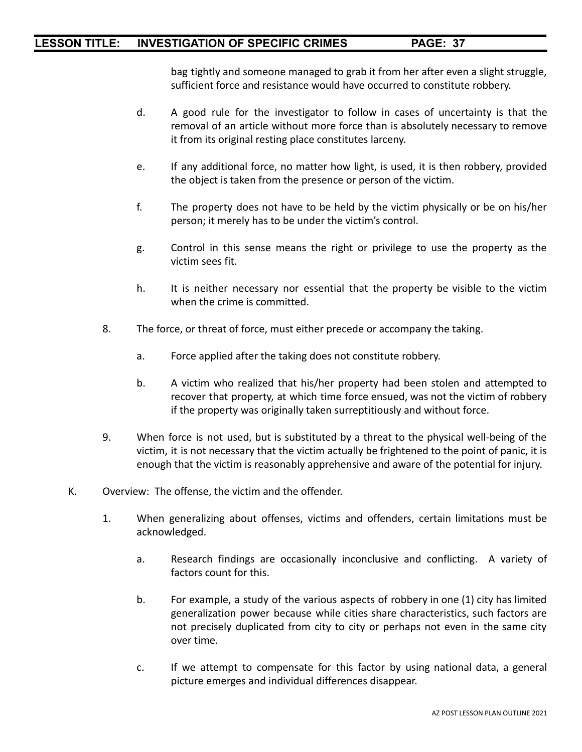bag tightly and someone managed to grab it from her after even a slight struggle, sufficient force and resistance would have occurred to constitute robbery.

- d. A good rule for the investigator to follow in cases of uncertainty is that the removal of an article without more force than is absolutely necessary to remove it from its original resting place constitutes larceny.
- e. If any additional force, no matter how light, is used, it is then robbery, provided the object is taken from the presence or person of the victim.
- f. The property does not have to be held by the victim physically or be on his/her person; it merely has to be under the victim's control.
- g. Control in this sense means the right or privilege to use the property as the victim sees fit.
- h. It is neither necessary nor essential that the property be visible to the victim when the crime is committed.
- 8. The force, or threat of force, must either precede or accompany the taking.
	- a. Force applied after the taking does not constitute robbery.
	- b. A victim who realized that his/her property had been stolen and attempted to recover that property, at which time force ensued, was not the victim of robbery if the property was originally taken surreptitiously and without force.
- 9. When force is not used, but is substituted by a threat to the physical well-being of the victim, it is not necessary that the victim actually be frightened to the point of panic, it is enough that the victim is reasonably apprehensive and aware of the potential for injury.
- K. Overview: The offense, the victim and the offender.
	- 1. When generalizing about offenses, victims and offenders, certain limitations must be acknowledged.
		- a. Research findings are occasionally inconclusive and conflicting. A variety of factors count for this.
		- b. For example, a study of the various aspects of robbery in one (1) city has limited generalization power because while cities share characteristics, such factors are not precisely duplicated from city to city or perhaps not even in the same city over time.
		- c. If we attempt to compensate for this factor by using national data, a general picture emerges and individual differences disappear.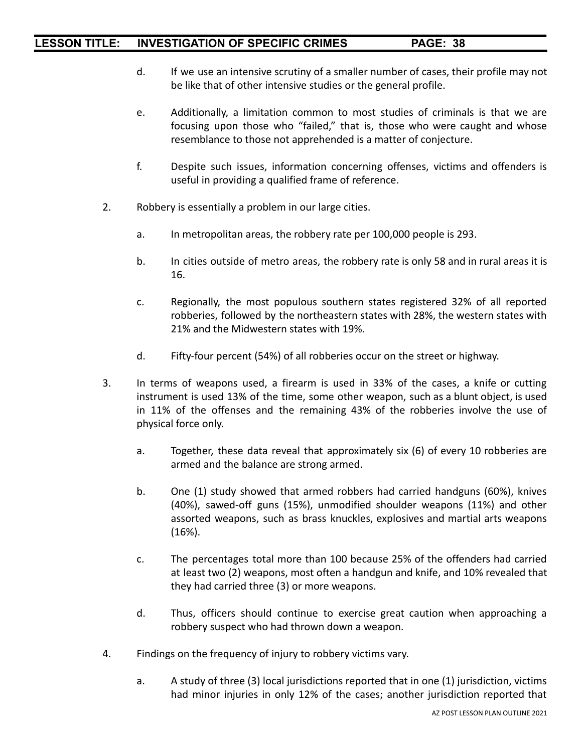- d. If we use an intensive scrutiny of a smaller number of cases, their profile may not be like that of other intensive studies or the general profile.
- e. Additionally, a limitation common to most studies of criminals is that we are focusing upon those who "failed," that is, those who were caught and whose resemblance to those not apprehended is a matter of conjecture.
- f. Despite such issues, information concerning offenses, victims and offenders is useful in providing a qualified frame of reference.
- 2. Robbery is essentially a problem in our large cities.
	- a. In metropolitan areas, the robbery rate per 100,000 people is 293.
	- b. In cities outside of metro areas, the robbery rate is only 58 and in rural areas it is 16.
	- c. Regionally, the most populous southern states registered 32% of all reported robberies, followed by the northeastern states with 28%, the western states with 21% and the Midwestern states with 19%.
	- d. Fifty-four percent (54%) of all robberies occur on the street or highway.
- 3. In terms of weapons used, a firearm is used in 33% of the cases, a knife or cutting instrument is used 13% of the time, some other weapon, such as a blunt object, is used in 11% of the offenses and the remaining 43% of the robberies involve the use of physical force only.
	- a. Together, these data reveal that approximately six (6) of every 10 robberies are armed and the balance are strong armed.
	- b. One (1) study showed that armed robbers had carried handguns (60%), knives (40%), sawed-off guns (15%), unmodified shoulder weapons (11%) and other assorted weapons, such as brass knuckles, explosives and martial arts weapons (16%).
	- c. The percentages total more than 100 because 25% of the offenders had carried at least two (2) weapons, most often a handgun and knife, and 10% revealed that they had carried three (3) or more weapons.
	- d. Thus, officers should continue to exercise great caution when approaching a robbery suspect who had thrown down a weapon.
- 4. Findings on the frequency of injury to robbery victims vary.
	- a. A study of three (3) local jurisdictions reported that in one (1) jurisdiction, victims had minor injuries in only 12% of the cases; another jurisdiction reported that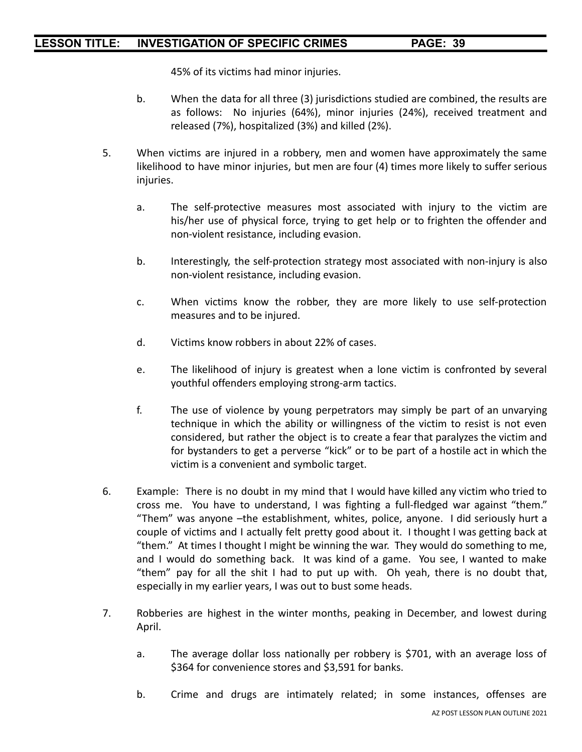45% of its victims had minor injuries.

- b. When the data for all three (3) jurisdictions studied are combined, the results are as follows: No injuries (64%), minor injuries (24%), received treatment and released (7%), hospitalized (3%) and killed (2%).
- 5. When victims are injured in a robbery, men and women have approximately the same likelihood to have minor injuries, but men are four (4) times more likely to suffer serious injuries.
	- a. The self-protective measures most associated with injury to the victim are his/her use of physical force, trying to get help or to frighten the offender and non-violent resistance, including evasion.
	- b. Interestingly, the self-protection strategy most associated with non-injury is also non-violent resistance, including evasion.
	- c. When victims know the robber, they are more likely to use self-protection measures and to be injured.
	- d. Victims know robbers in about 22% of cases.
	- e. The likelihood of injury is greatest when a lone victim is confronted by several youthful offenders employing strong-arm tactics.
	- f. The use of violence by young perpetrators may simply be part of an unvarying technique in which the ability or willingness of the victim to resist is not even considered, but rather the object is to create a fear that paralyzes the victim and for bystanders to get a perverse "kick" or to be part of a hostile act in which the victim is a convenient and symbolic target.
- 6. Example: There is no doubt in my mind that I would have killed any victim who tried to cross me. You have to understand, I was fighting a full-fledged war against "them." "Them" was anyone –the establishment, whites, police, anyone. I did seriously hurt a couple of victims and I actually felt pretty good about it. I thought I was getting back at "them." At times I thought I might be winning the war. They would do something to me, and I would do something back. It was kind of a game. You see, I wanted to make "them" pay for all the shit I had to put up with. Oh yeah, there is no doubt that, especially in my earlier years, I was out to bust some heads.
- 7. Robberies are highest in the winter months, peaking in December, and lowest during April.
	- a. The average dollar loss nationally per robbery is \$701, with an average loss of \$364 for convenience stores and \$3,591 for banks.
	- b. Crime and drugs are intimately related; in some instances, offenses are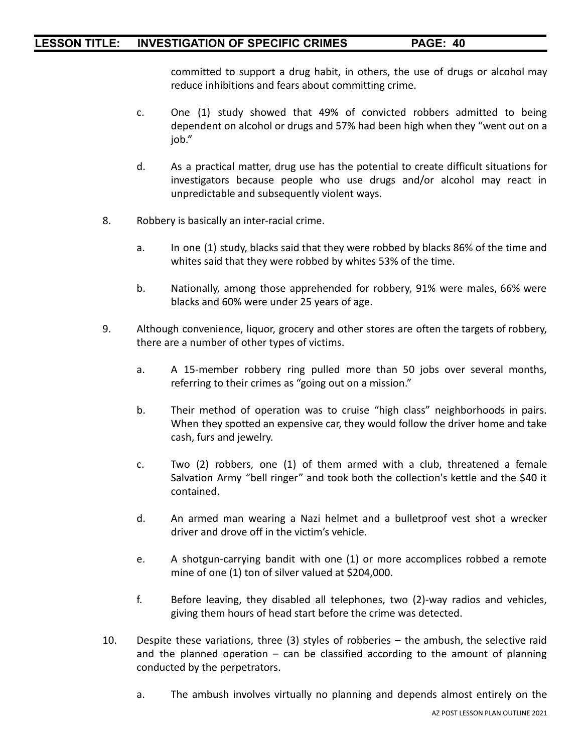committed to support a drug habit, in others, the use of drugs or alcohol may reduce inhibitions and fears about committing crime.

- c. One (1) study showed that 49% of convicted robbers admitted to being dependent on alcohol or drugs and 57% had been high when they "went out on a job."
- d. As a practical matter, drug use has the potential to create difficult situations for investigators because people who use drugs and/or alcohol may react in unpredictable and subsequently violent ways.
- 8. Robbery is basically an inter-racial crime.
	- a. In one (1) study, blacks said that they were robbed by blacks 86% of the time and whites said that they were robbed by whites 53% of the time.
	- b. Nationally, among those apprehended for robbery, 91% were males, 66% were blacks and 60% were under 25 years of age.
- 9. Although convenience, liquor, grocery and other stores are often the targets of robbery, there are a number of other types of victims.
	- a. A 15-member robbery ring pulled more than 50 jobs over several months, referring to their crimes as "going out on a mission."
	- b. Their method of operation was to cruise "high class" neighborhoods in pairs. When they spotted an expensive car, they would follow the driver home and take cash, furs and jewelry.
	- c. Two (2) robbers, one (1) of them armed with a club, threatened a female Salvation Army "bell ringer" and took both the collection's kettle and the \$40 it contained.
	- d. An armed man wearing a Nazi helmet and a bulletproof vest shot a wrecker driver and drove off in the victim's vehicle.
	- e. A shotgun-carrying bandit with one (1) or more accomplices robbed a remote mine of one (1) ton of silver valued at \$204,000.
	- f. Before leaving, they disabled all telephones, two (2)-way radios and vehicles, giving them hours of head start before the crime was detected.
- 10. Despite these variations, three (3) styles of robberies the ambush, the selective raid and the planned operation  $-$  can be classified according to the amount of planning conducted by the perpetrators.
	- a. The ambush involves virtually no planning and depends almost entirely on the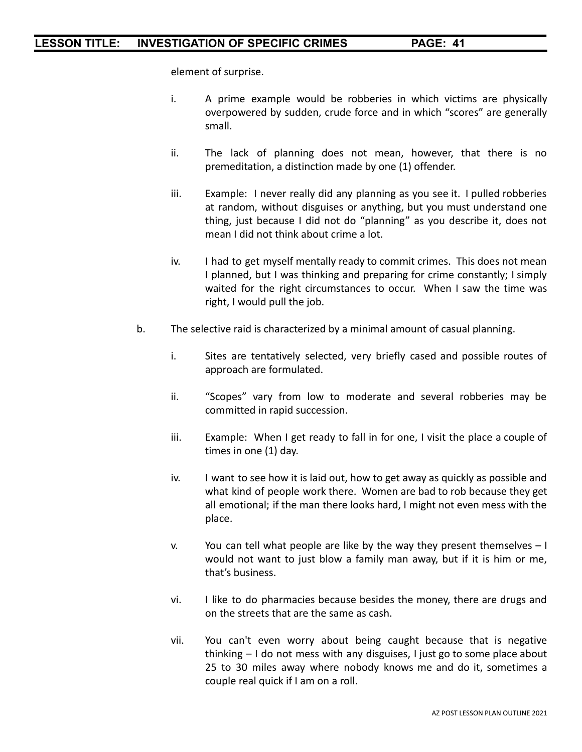element of surprise.

- i. A prime example would be robberies in which victims are physically overpowered by sudden, crude force and in which "scores" are generally small.
- ii. The lack of planning does not mean, however, that there is no premeditation, a distinction made by one (1) offender.
- iii. Example: I never really did any planning as you see it. I pulled robberies at random, without disguises or anything, but you must understand one thing, just because I did not do "planning" as you describe it, does not mean I did not think about crime a lot.
- iv. I had to get myself mentally ready to commit crimes. This does not mean I planned, but I was thinking and preparing for crime constantly; I simply waited for the right circumstances to occur. When I saw the time was right, I would pull the job.
- b. The selective raid is characterized by a minimal amount of casual planning.
	- i. Sites are tentatively selected, very briefly cased and possible routes of approach are formulated.
	- ii. "Scopes" vary from low to moderate and several robberies may be committed in rapid succession.
	- iii. Example: When I get ready to fall in for one, I visit the place a couple of times in one (1) day.
	- iv. I want to see how it is laid out, how to get away as quickly as possible and what kind of people work there. Women are bad to rob because they get all emotional; if the man there looks hard, I might not even mess with the place.
	- v. You can tell what people are like by the way they present themselves  $-1$ would not want to just blow a family man away, but if it is him or me, that's business.
	- vi. I like to do pharmacies because besides the money, there are drugs and on the streets that are the same as cash.
	- vii. You can't even worry about being caught because that is negative thinking – I do not mess with any disguises, I just go to some place about 25 to 30 miles away where nobody knows me and do it, sometimes a couple real quick if I am on a roll.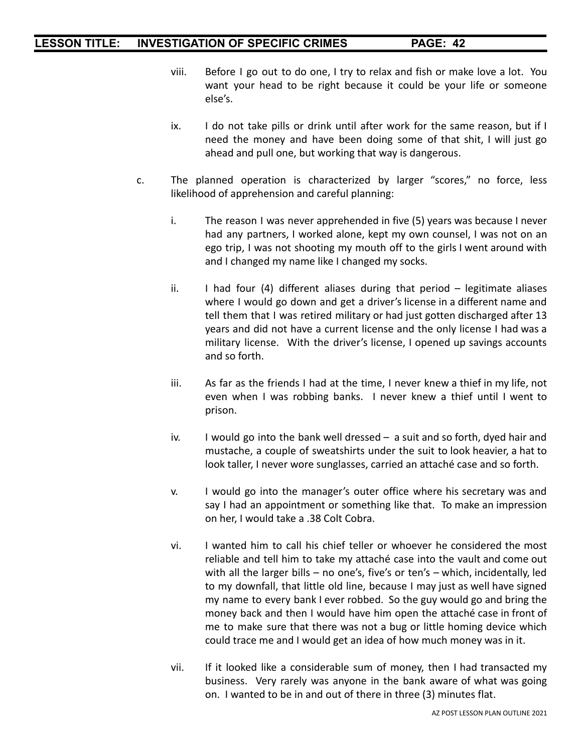- viii. Before I go out to do one, I try to relax and fish or make love a lot. You want your head to be right because it could be your life or someone else's.
- ix. I do not take pills or drink until after work for the same reason, but if I need the money and have been doing some of that shit, I will just go ahead and pull one, but working that way is dangerous.
- c. The planned operation is characterized by larger "scores," no force, less likelihood of apprehension and careful planning:
	- i. The reason I was never apprehended in five (5) years was because I never had any partners, I worked alone, kept my own counsel, I was not on an ego trip, I was not shooting my mouth off to the girls I went around with and I changed my name like I changed my socks.
	- ii. I had four (4) different aliases during that period legitimate aliases where I would go down and get a driver's license in a different name and tell them that I was retired military or had just gotten discharged after 13 years and did not have a current license and the only license I had was a military license. With the driver's license, I opened up savings accounts and so forth.
	- iii. As far as the friends I had at the time, I never knew a thief in my life, not even when I was robbing banks. I never knew a thief until I went to prison.
	- iv. I would go into the bank well dressed a suit and so forth, dyed hair and mustache, a couple of sweatshirts under the suit to look heavier, a hat to look taller, I never wore sunglasses, carried an attaché case and so forth.
	- v. I would go into the manager's outer office where his secretary was and say I had an appointment or something like that. To make an impression on her, I would take a .38 Colt Cobra.
	- vi. I wanted him to call his chief teller or whoever he considered the most reliable and tell him to take my attaché case into the vault and come out with all the larger bills – no one's, five's or ten's – which, incidentally, led to my downfall, that little old line, because I may just as well have signed my name to every bank I ever robbed. So the guy would go and bring the money back and then I would have him open the attaché case in front of me to make sure that there was not a bug or little homing device which could trace me and I would get an idea of how much money was in it.
	- vii. If it looked like a considerable sum of money, then I had transacted my business. Very rarely was anyone in the bank aware of what was going on. I wanted to be in and out of there in three (3) minutes flat.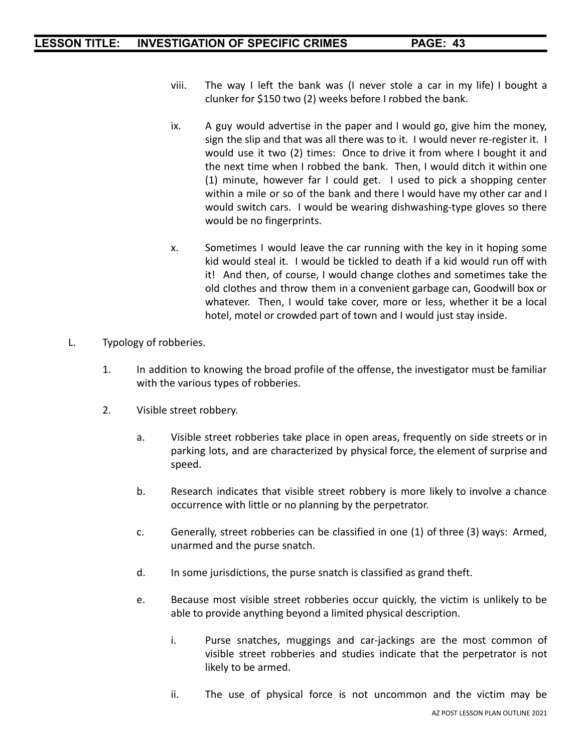- viii. The way I left the bank was (I never stole a car in my life) I bought a clunker for \$150 two (2) weeks before I robbed the bank.
- ix. A guy would advertise in the paper and I would go, give him the money, sign the slip and that was all there was to it. I would never re-register it. I would use it two (2) times: Once to drive it from where I bought it and the next time when I robbed the bank. Then, I would ditch it within one (1) minute, however far I could get. I used to pick a shopping center within a mile or so of the bank and there I would have my other car and I would switch cars. I would be wearing dishwashing-type gloves so there would be no fingerprints.
- x. Sometimes I would leave the car running with the key in it hoping some kid would steal it. I would be tickled to death if a kid would run off with it! And then, of course, I would change clothes and sometimes take the old clothes and throw them in a convenient garbage can, Goodwill box or whatever. Then, I would take cover, more or less, whether it be a local hotel, motel or crowded part of town and I would just stay inside.
- L. Typology of robberies.
	- 1. In addition to knowing the broad profile of the offense, the investigator must be familiar with the various types of robberies.
	- 2. Visible street robbery.
		- a. Visible street robberies take place in open areas, frequently on side streets or in parking lots, and are characterized by physical force, the element of surprise and speed.
		- b. Research indicates that visible street robbery is more likely to involve a chance occurrence with little or no planning by the perpetrator.
		- c. Generally, street robberies can be classified in one (1) of three (3) ways: Armed, unarmed and the purse snatch.
		- d. In some jurisdictions, the purse snatch is classified as grand theft.
		- e. Because most visible street robberies occur quickly, the victim is unlikely to be able to provide anything beyond a limited physical description.
			- i. Purse snatches, muggings and car-jackings are the most common of visible street robberies and studies indicate that the perpetrator is not likely to be armed.
			- ii. The use of physical force is not uncommon and the victim may be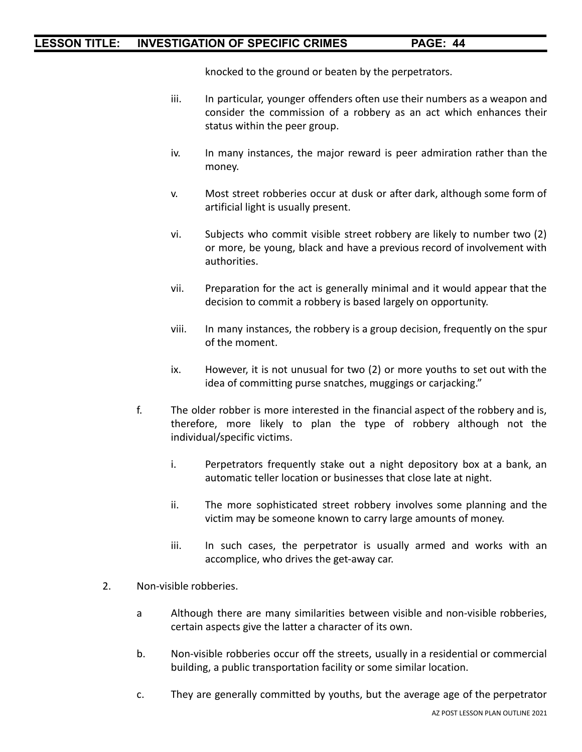knocked to the ground or beaten by the perpetrators.

- iii. In particular, younger offenders often use their numbers as a weapon and consider the commission of a robbery as an act which enhances their status within the peer group.
- iv. In many instances, the major reward is peer admiration rather than the money.
- v. Most street robberies occur at dusk or after dark, although some form of artificial light is usually present.
- vi. Subjects who commit visible street robbery are likely to number two (2) or more, be young, black and have a previous record of involvement with authorities.
- vii. Preparation for the act is generally minimal and it would appear that the decision to commit a robbery is based largely on opportunity.
- viii. In many instances, the robbery is a group decision, frequently on the spur of the moment.
- ix. However, it is not unusual for two (2) or more youths to set out with the idea of committing purse snatches, muggings or carjacking."
- f. The older robber is more interested in the financial aspect of the robbery and is, therefore, more likely to plan the type of robbery although not the individual/specific victims.
	- i. Perpetrators frequently stake out a night depository box at a bank, an automatic teller location or businesses that close late at night.
	- ii. The more sophisticated street robbery involves some planning and the victim may be someone known to carry large amounts of money.
	- iii. In such cases, the perpetrator is usually armed and works with an accomplice, who drives the get-away car.
- 2. Non-visible robberies.
	- a Although there are many similarities between visible and non-visible robberies, certain aspects give the latter a character of its own.
	- b. Non-visible robberies occur off the streets, usually in a residential or commercial building, a public transportation facility or some similar location.
	- c. They are generally committed by youths, but the average age of the perpetrator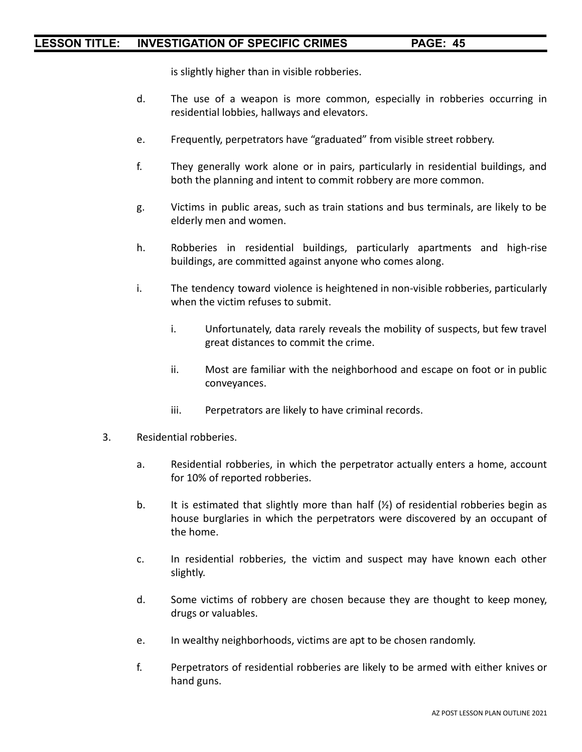is slightly higher than in visible robberies.

- d. The use of a weapon is more common, especially in robberies occurring in residential lobbies, hallways and elevators.
- e. Frequently, perpetrators have "graduated" from visible street robbery.
- f. They generally work alone or in pairs, particularly in residential buildings, and both the planning and intent to commit robbery are more common.
- g. Victims in public areas, such as train stations and bus terminals, are likely to be elderly men and women.
- h. Robberies in residential buildings, particularly apartments and high-rise buildings, are committed against anyone who comes along.
- i. The tendency toward violence is heightened in non-visible robberies, particularly when the victim refuses to submit.
	- i. Unfortunately, data rarely reveals the mobility of suspects, but few travel great distances to commit the crime.
	- ii. Most are familiar with the neighborhood and escape on foot or in public conveyances.
	- iii. Perpetrators are likely to have criminal records.
- 3. Residential robberies.
	- a. Residential robberies, in which the perpetrator actually enters a home, account for 10% of reported robberies.
	- b. It is estimated that slightly more than half  $(\frac{1}{2})$  of residential robberies begin as house burglaries in which the perpetrators were discovered by an occupant of the home.
	- c. In residential robberies, the victim and suspect may have known each other slightly.
	- d. Some victims of robbery are chosen because they are thought to keep money, drugs or valuables.
	- e. In wealthy neighborhoods, victims are apt to be chosen randomly.
	- f. Perpetrators of residential robberies are likely to be armed with either knives or hand guns.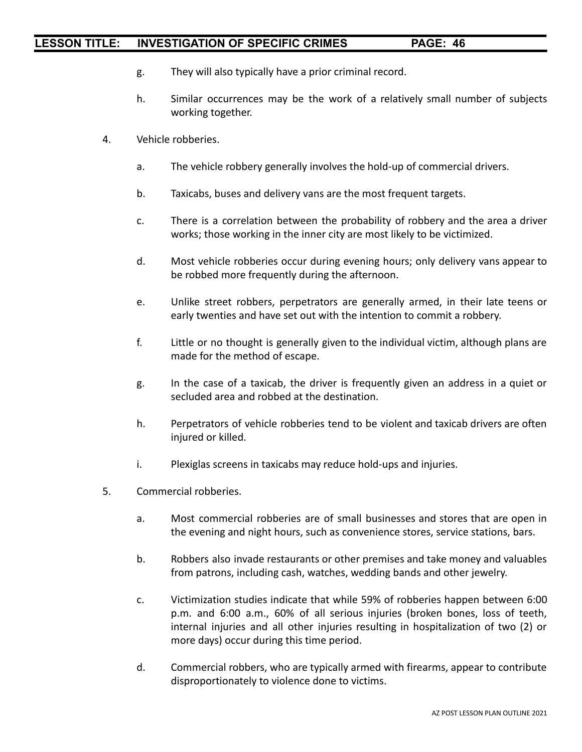- g. They will also typically have a prior criminal record.
- h. Similar occurrences may be the work of a relatively small number of subjects working together.
- 4. Vehicle robberies.
	- a. The vehicle robbery generally involves the hold-up of commercial drivers.
	- b. Taxicabs, buses and delivery vans are the most frequent targets.
	- c. There is a correlation between the probability of robbery and the area a driver works; those working in the inner city are most likely to be victimized.
	- d. Most vehicle robberies occur during evening hours; only delivery vans appear to be robbed more frequently during the afternoon.
	- e. Unlike street robbers, perpetrators are generally armed, in their late teens or early twenties and have set out with the intention to commit a robbery.
	- f. Little or no thought is generally given to the individual victim, although plans are made for the method of escape.
	- g. In the case of a taxicab, the driver is frequently given an address in a quiet or secluded area and robbed at the destination.
	- h. Perpetrators of vehicle robberies tend to be violent and taxicab drivers are often injured or killed.
	- i. Plexiglas screens in taxicabs may reduce hold-ups and injuries.
- 5. Commercial robberies.
	- a. Most commercial robberies are of small businesses and stores that are open in the evening and night hours, such as convenience stores, service stations, bars.
	- b. Robbers also invade restaurants or other premises and take money and valuables from patrons, including cash, watches, wedding bands and other jewelry.
	- c. Victimization studies indicate that while 59% of robberies happen between 6:00 p.m. and 6:00 a.m., 60% of all serious injuries (broken bones, loss of teeth, internal injuries and all other injuries resulting in hospitalization of two (2) or more days) occur during this time period.
	- d. Commercial robbers, who are typically armed with firearms, appear to contribute disproportionately to violence done to victims.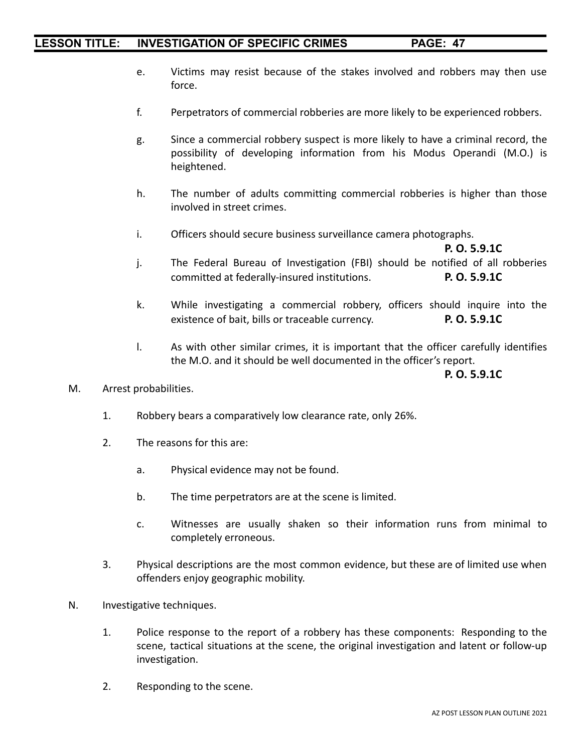- e. Victims may resist because of the stakes involved and robbers may then use force.
- f. Perpetrators of commercial robberies are more likely to be experienced robbers.
- g. Since a commercial robbery suspect is more likely to have a criminal record, the possibility of developing information from his Modus Operandi (M.O.) is heightened.
- h. The number of adults committing commercial robberies is higher than those involved in street crimes.
- i. Officers should secure business surveillance camera photographs.

**P. O. 5.9.1C** j. The Federal Bureau of Investigation (FBI) should be notified of all robberies committed at federally-insured institutions. **P. O. 5.9.1C**

- k. While investigating a commercial robbery, officers should inquire into the existence of bait, bills or traceable currency. **P. O. 5.9.1C**
- l. As with other similar crimes, it is important that the officer carefully identifies the M.O. and it should be well documented in the officer's report.

**P. O. 5.9.1C**

- M. Arrest probabilities.
	- 1. Robbery bears a comparatively low clearance rate, only 26%.
	- 2. The reasons for this are:
		- a. Physical evidence may not be found.
		- b. The time perpetrators are at the scene is limited.
		- c. Witnesses are usually shaken so their information runs from minimal to completely erroneous.
	- 3. Physical descriptions are the most common evidence, but these are of limited use when offenders enjoy geographic mobility.
- N. Investigative techniques.
	- 1. Police response to the report of a robbery has these components: Responding to the scene, tactical situations at the scene, the original investigation and latent or follow-up investigation.
	- 2. Responding to the scene.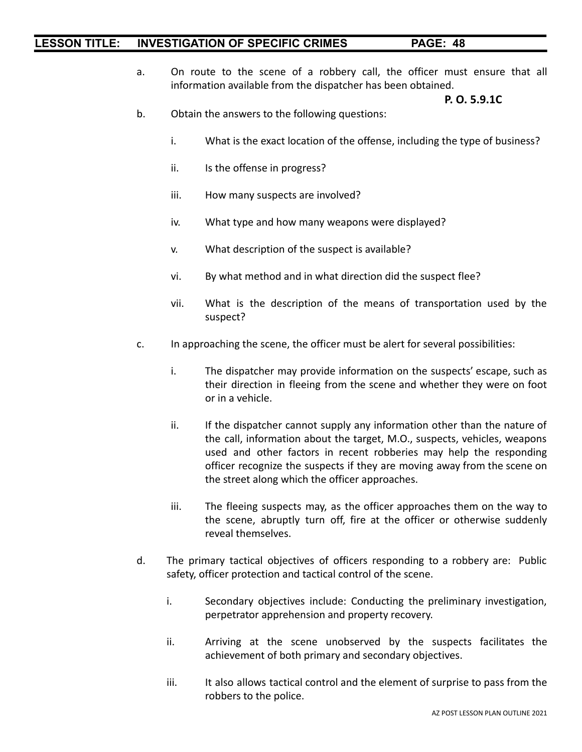a. On route to the scene of a robbery call, the officer must ensure that all information available from the dispatcher has been obtained.

#### **P. O. 5.9.1C**

- b. Obtain the answers to the following questions:
	- i. What is the exact location of the offense, including the type of business?
	- ii. Is the offense in progress?
	- iii. How many suspects are involved?
	- iv. What type and how many weapons were displayed?
	- v. What description of the suspect is available?
	- vi. By what method and in what direction did the suspect flee?
	- vii. What is the description of the means of transportation used by the suspect?
- c. In approaching the scene, the officer must be alert for several possibilities:
	- i. The dispatcher may provide information on the suspects' escape, such as their direction in fleeing from the scene and whether they were on foot or in a vehicle.
	- ii. If the dispatcher cannot supply any information other than the nature of the call, information about the target, M.O., suspects, vehicles, weapons used and other factors in recent robberies may help the responding officer recognize the suspects if they are moving away from the scene on the street along which the officer approaches.
	- iii. The fleeing suspects may, as the officer approaches them on the way to the scene, abruptly turn off, fire at the officer or otherwise suddenly reveal themselves.
- d. The primary tactical objectives of officers responding to a robbery are: Public safety, officer protection and tactical control of the scene.
	- i. Secondary objectives include: Conducting the preliminary investigation, perpetrator apprehension and property recovery.
	- ii. Arriving at the scene unobserved by the suspects facilitates the achievement of both primary and secondary objectives.
	- iii. It also allows tactical control and the element of surprise to pass from the robbers to the police.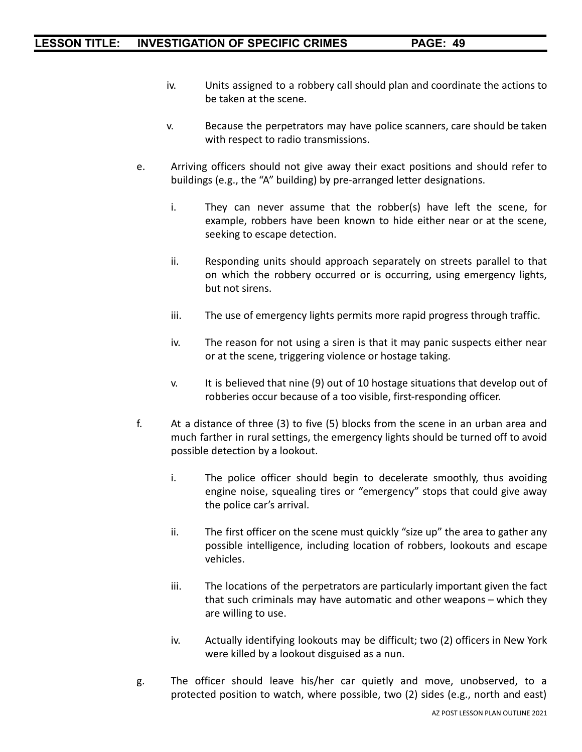- iv. Units assigned to a robbery call should plan and coordinate the actions to be taken at the scene.
- v. Because the perpetrators may have police scanners, care should be taken with respect to radio transmissions.
- e. Arriving officers should not give away their exact positions and should refer to buildings (e.g., the "A" building) by pre-arranged letter designations.
	- i. They can never assume that the robber(s) have left the scene, for example, robbers have been known to hide either near or at the scene, seeking to escape detection.
	- ii. Responding units should approach separately on streets parallel to that on which the robbery occurred or is occurring, using emergency lights, but not sirens.
	- iii. The use of emergency lights permits more rapid progress through traffic.
	- iv. The reason for not using a siren is that it may panic suspects either near or at the scene, triggering violence or hostage taking.
	- v. It is believed that nine (9) out of 10 hostage situations that develop out of robberies occur because of a too visible, first-responding officer.
- f. At a distance of three (3) to five (5) blocks from the scene in an urban area and much farther in rural settings, the emergency lights should be turned off to avoid possible detection by a lookout.
	- i. The police officer should begin to decelerate smoothly, thus avoiding engine noise, squealing tires or "emergency" stops that could give away the police car's arrival.
	- ii. The first officer on the scene must quickly "size up" the area to gather any possible intelligence, including location of robbers, lookouts and escape vehicles.
	- iii. The locations of the perpetrators are particularly important given the fact that such criminals may have automatic and other weapons – which they are willing to use.
	- iv. Actually identifying lookouts may be difficult; two (2) officers in New York were killed by a lookout disguised as a nun.
- g. The officer should leave his/her car quietly and move, unobserved, to a protected position to watch, where possible, two (2) sides (e.g., north and east)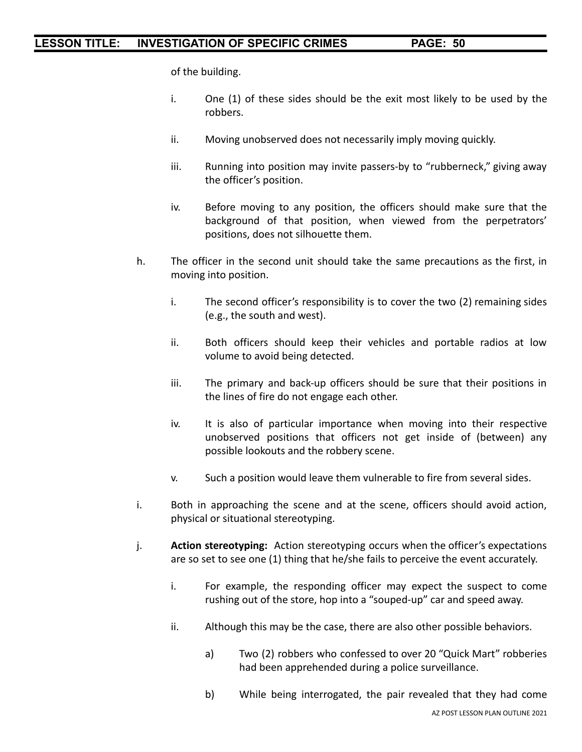of the building.

- i. One (1) of these sides should be the exit most likely to be used by the robbers.
- ii. Moving unobserved does not necessarily imply moving quickly.
- iii. Running into position may invite passers-by to "rubberneck," giving away the officer's position.
- iv. Before moving to any position, the officers should make sure that the background of that position, when viewed from the perpetrators' positions, does not silhouette them.
- h. The officer in the second unit should take the same precautions as the first, in moving into position.
	- i. The second officer's responsibility is to cover the two (2) remaining sides (e.g., the south and west).
	- ii. Both officers should keep their vehicles and portable radios at low volume to avoid being detected.
	- iii. The primary and back-up officers should be sure that their positions in the lines of fire do not engage each other.
	- iv. It is also of particular importance when moving into their respective unobserved positions that officers not get inside of (between) any possible lookouts and the robbery scene.
	- v. Such a position would leave them vulnerable to fire from several sides.
- i. Both in approaching the scene and at the scene, officers should avoid action, physical or situational stereotyping.
- j. **Action stereotyping:** Action stereotyping occurs when the officer's expectations are so set to see one (1) thing that he/she fails to perceive the event accurately.
	- i. For example, the responding officer may expect the suspect to come rushing out of the store, hop into a "souped-up" car and speed away.
	- ii. Although this may be the case, there are also other possible behaviors.
		- a) Two (2) robbers who confessed to over 20 "Quick Mart" robberies had been apprehended during a police surveillance.
		- b) While being interrogated, the pair revealed that they had come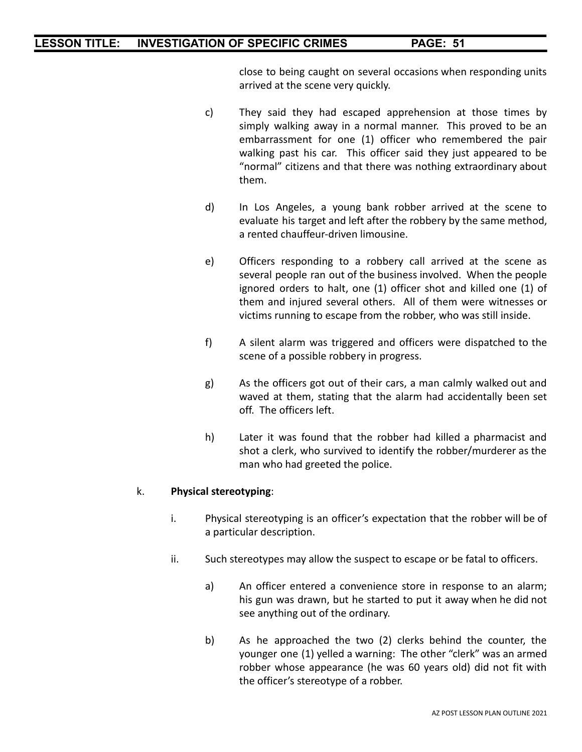close to being caught on several occasions when responding units arrived at the scene very quickly.

- c) They said they had escaped apprehension at those times by simply walking away in a normal manner. This proved to be an embarrassment for one (1) officer who remembered the pair walking past his car. This officer said they just appeared to be "normal" citizens and that there was nothing extraordinary about them.
- d) In Los Angeles, a young bank robber arrived at the scene to evaluate his target and left after the robbery by the same method, a rented chauffeur-driven limousine.
- e) Officers responding to a robbery call arrived at the scene as several people ran out of the business involved. When the people ignored orders to halt, one (1) officer shot and killed one (1) of them and injured several others. All of them were witnesses or victims running to escape from the robber, who was still inside.
- f) A silent alarm was triggered and officers were dispatched to the scene of a possible robbery in progress.
- g) As the officers got out of their cars, a man calmly walked out and waved at them, stating that the alarm had accidentally been set off. The officers left.
- h) Later it was found that the robber had killed a pharmacist and shot a clerk, who survived to identify the robber/murderer as the man who had greeted the police.

#### k. **Physical stereotyping**:

- i. Physical stereotyping is an officer's expectation that the robber will be of a particular description.
- ii. Such stereotypes may allow the suspect to escape or be fatal to officers.
	- a) An officer entered a convenience store in response to an alarm; his gun was drawn, but he started to put it away when he did not see anything out of the ordinary.
	- b) As he approached the two (2) clerks behind the counter, the younger one (1) yelled a warning: The other "clerk" was an armed robber whose appearance (he was 60 years old) did not fit with the officer's stereotype of a robber.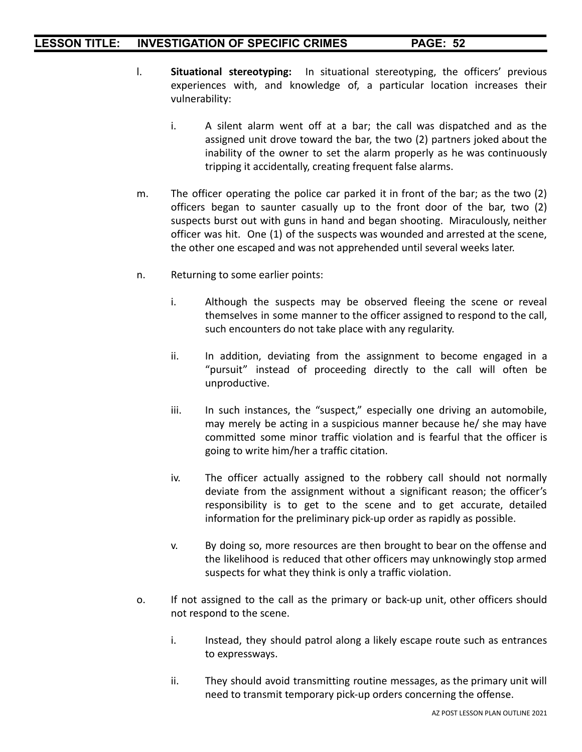- l. **Situational stereotyping:** In situational stereotyping, the officers' previous experiences with, and knowledge of, a particular location increases their vulnerability:
	- i. A silent alarm went off at a bar; the call was dispatched and as the assigned unit drove toward the bar, the two (2) partners joked about the inability of the owner to set the alarm properly as he was continuously tripping it accidentally, creating frequent false alarms.
- m. The officer operating the police car parked it in front of the bar; as the two (2) officers began to saunter casually up to the front door of the bar, two (2) suspects burst out with guns in hand and began shooting. Miraculously, neither officer was hit. One (1) of the suspects was wounded and arrested at the scene, the other one escaped and was not apprehended until several weeks later.
- n. Returning to some earlier points:
	- i. Although the suspects may be observed fleeing the scene or reveal themselves in some manner to the officer assigned to respond to the call, such encounters do not take place with any regularity.
	- ii. In addition, deviating from the assignment to become engaged in a "pursuit" instead of proceeding directly to the call will often be unproductive.
	- iii. In such instances, the "suspect," especially one driving an automobile, may merely be acting in a suspicious manner because he/ she may have committed some minor traffic violation and is fearful that the officer is going to write him/her a traffic citation.
	- iv. The officer actually assigned to the robbery call should not normally deviate from the assignment without a significant reason; the officer's responsibility is to get to the scene and to get accurate, detailed information for the preliminary pick-up order as rapidly as possible.
	- v. By doing so, more resources are then brought to bear on the offense and the likelihood is reduced that other officers may unknowingly stop armed suspects for what they think is only a traffic violation.
- o. If not assigned to the call as the primary or back-up unit, other officers should not respond to the scene.
	- i. Instead, they should patrol along a likely escape route such as entrances to expressways.
	- ii. They should avoid transmitting routine messages, as the primary unit will need to transmit temporary pick-up orders concerning the offense.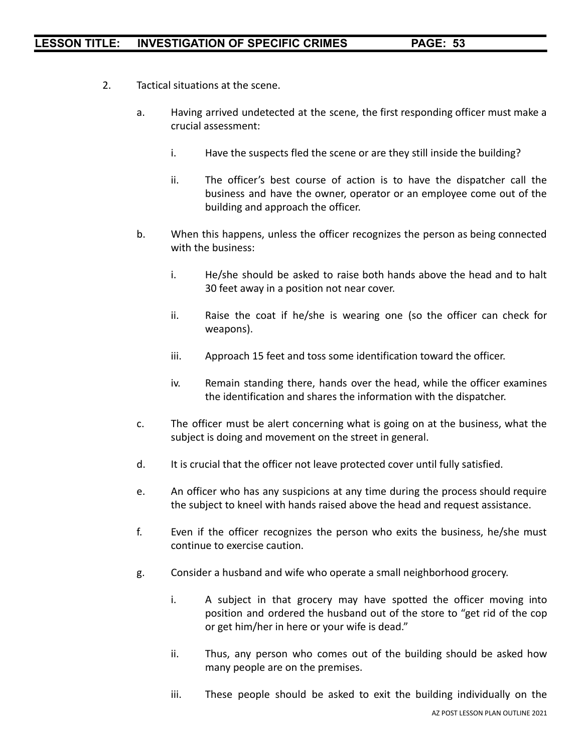- 2. Tactical situations at the scene.
	- a. Having arrived undetected at the scene, the first responding officer must make a crucial assessment:
		- i. Have the suspects fled the scene or are they still inside the building?
		- ii. The officer's best course of action is to have the dispatcher call the business and have the owner, operator or an employee come out of the building and approach the officer.
	- b. When this happens, unless the officer recognizes the person as being connected with the business:
		- i. He/she should be asked to raise both hands above the head and to halt 30 feet away in a position not near cover.
		- ii. Raise the coat if he/she is wearing one (so the officer can check for weapons).
		- iii. Approach 15 feet and toss some identification toward the officer.
		- iv. Remain standing there, hands over the head, while the officer examines the identification and shares the information with the dispatcher.
	- c. The officer must be alert concerning what is going on at the business, what the subject is doing and movement on the street in general.
	- d. It is crucial that the officer not leave protected cover until fully satisfied.
	- e. An officer who has any suspicions at any time during the process should require the subject to kneel with hands raised above the head and request assistance.
	- f. Even if the officer recognizes the person who exits the business, he/she must continue to exercise caution.
	- g. Consider a husband and wife who operate a small neighborhood grocery.
		- i. A subject in that grocery may have spotted the officer moving into position and ordered the husband out of the store to "get rid of the cop or get him/her in here or your wife is dead."
		- ii. Thus, any person who comes out of the building should be asked how many people are on the premises.
		- iii. These people should be asked to exit the building individually on the AZ POST LESSON PLAN OUTLINE 2021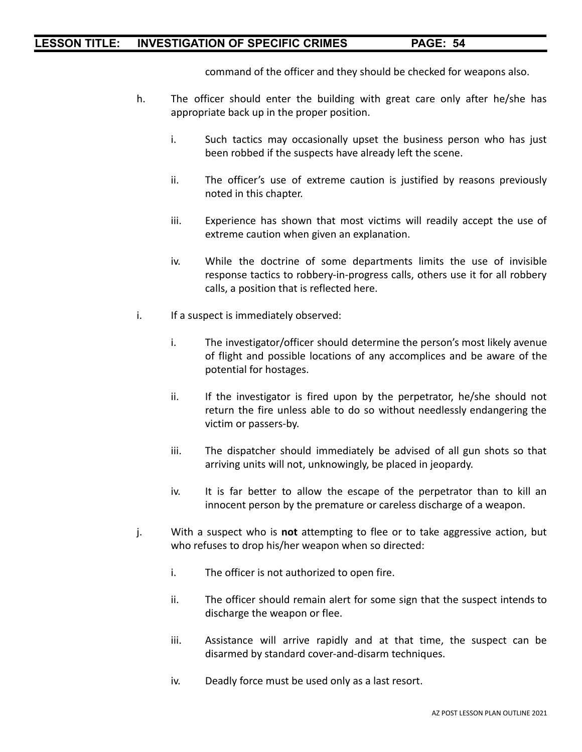command of the officer and they should be checked for weapons also.

- h. The officer should enter the building with great care only after he/she has appropriate back up in the proper position.
	- i. Such tactics may occasionally upset the business person who has just been robbed if the suspects have already left the scene.
	- ii. The officer's use of extreme caution is justified by reasons previously noted in this chapter.
	- iii. Experience has shown that most victims will readily accept the use of extreme caution when given an explanation.
	- iv. While the doctrine of some departments limits the use of invisible response tactics to robbery-in-progress calls, others use it for all robbery calls, a position that is reflected here.
- i. If a suspect is immediately observed:
	- i. The investigator/officer should determine the person's most likely avenue of flight and possible locations of any accomplices and be aware of the potential for hostages.
	- ii. If the investigator is fired upon by the perpetrator, he/she should not return the fire unless able to do so without needlessly endangering the victim or passers-by.
	- iii. The dispatcher should immediately be advised of all gun shots so that arriving units will not, unknowingly, be placed in jeopardy.
	- iv. It is far better to allow the escape of the perpetrator than to kill an innocent person by the premature or careless discharge of a weapon.
- j. With a suspect who is **not** attempting to flee or to take aggressive action, but who refuses to drop his/her weapon when so directed:
	- i. The officer is not authorized to open fire.
	- ii. The officer should remain alert for some sign that the suspect intends to discharge the weapon or flee.
	- iii. Assistance will arrive rapidly and at that time, the suspect can be disarmed by standard cover-and-disarm techniques.
	- iv. Deadly force must be used only as a last resort.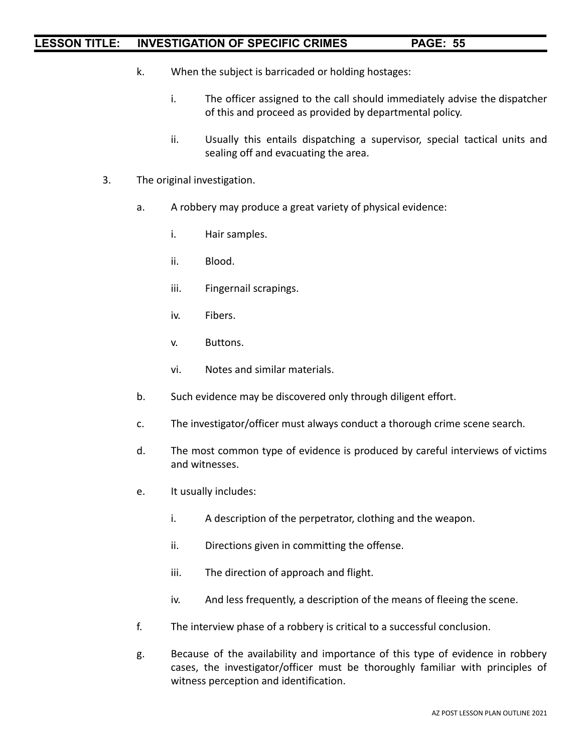- k. When the subject is barricaded or holding hostages:
	- i. The officer assigned to the call should immediately advise the dispatcher of this and proceed as provided by departmental policy.
	- ii. Usually this entails dispatching a supervisor, special tactical units and sealing off and evacuating the area.
- 3. The original investigation.
	- a. A robbery may produce a great variety of physical evidence:
		- i. Hair samples.
		- ii. Blood.
		- iii. Fingernail scrapings.
		- iv. Fibers.
		- v. Buttons.
		- vi. Notes and similar materials.
	- b. Such evidence may be discovered only through diligent effort.
	- c. The investigator/officer must always conduct a thorough crime scene search.
	- d. The most common type of evidence is produced by careful interviews of victims and witnesses.
	- e. It usually includes:
		- i. A description of the perpetrator, clothing and the weapon.
		- ii. Directions given in committing the offense.
		- iii. The direction of approach and flight.
		- iv. And less frequently, a description of the means of fleeing the scene.
	- f. The interview phase of a robbery is critical to a successful conclusion.
	- g. Because of the availability and importance of this type of evidence in robbery cases, the investigator/officer must be thoroughly familiar with principles of witness perception and identification.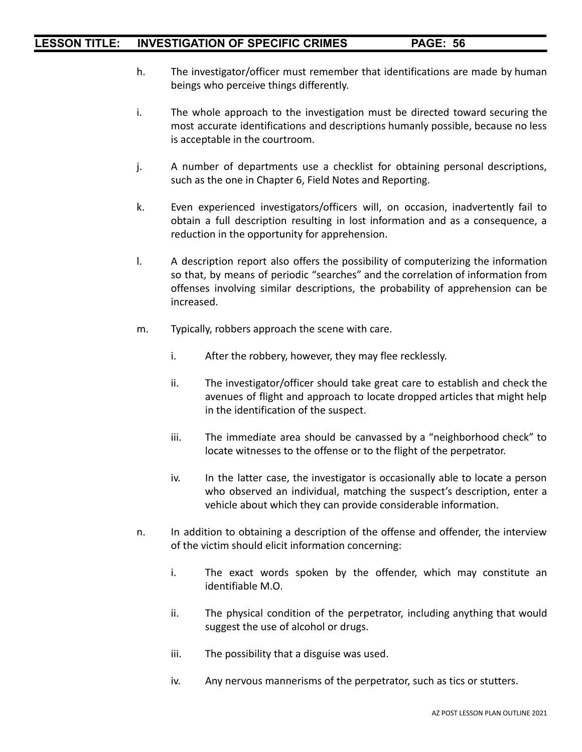- h. The investigator/officer must remember that identifications are made by human beings who perceive things differently.
- i. The whole approach to the investigation must be directed toward securing the most accurate identifications and descriptions humanly possible, because no less is acceptable in the courtroom.
- j. A number of departments use a checklist for obtaining personal descriptions, such as the one in Chapter 6, Field Notes and Reporting.
- k. Even experienced investigators/officers will, on occasion, inadvertently fail to obtain a full description resulting in lost information and as a consequence, a reduction in the opportunity for apprehension.
- l. A description report also offers the possibility of computerizing the information so that, by means of periodic "searches" and the correlation of information from offenses involving similar descriptions, the probability of apprehension can be increased.
- m. Typically, robbers approach the scene with care.
	- i. After the robbery, however, they may flee recklessly.
	- ii. The investigator/officer should take great care to establish and check the avenues of flight and approach to locate dropped articles that might help in the identification of the suspect.
	- iii. The immediate area should be canvassed by a "neighborhood check" to locate witnesses to the offense or to the flight of the perpetrator.
	- iv. In the latter case, the investigator is occasionally able to locate a person who observed an individual, matching the suspect's description, enter a vehicle about which they can provide considerable information.
- n. In addition to obtaining a description of the offense and offender, the interview of the victim should elicit information concerning:
	- i. The exact words spoken by the offender, which may constitute an identifiable M.O.
	- ii. The physical condition of the perpetrator, including anything that would suggest the use of alcohol or drugs.
	- iii. The possibility that a disguise was used.
	- iv. Any nervous mannerisms of the perpetrator, such as tics or stutters.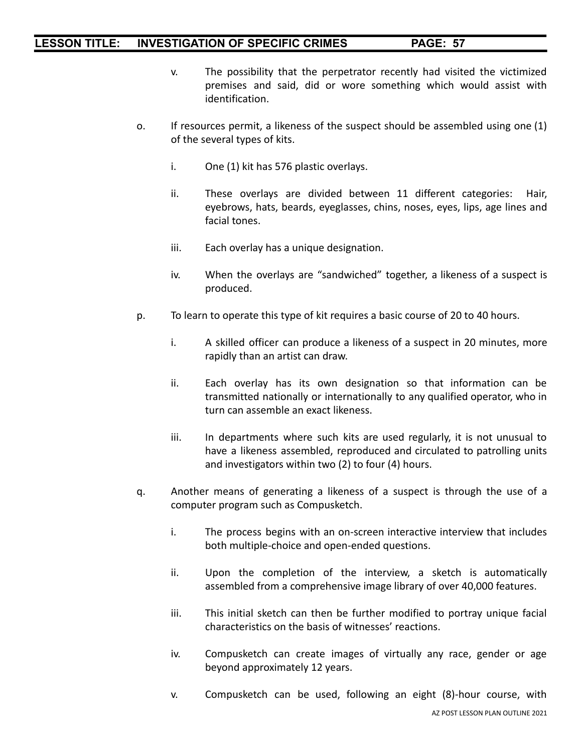- v. The possibility that the perpetrator recently had visited the victimized premises and said, did or wore something which would assist with identification.
- o. If resources permit, a likeness of the suspect should be assembled using one (1) of the several types of kits.
	- i. One (1) kit has 576 plastic overlays.
	- ii. These overlays are divided between 11 different categories: Hair, eyebrows, hats, beards, eyeglasses, chins, noses, eyes, lips, age lines and facial tones.
	- iii. Each overlay has a unique designation.
	- iv. When the overlays are "sandwiched" together, a likeness of a suspect is produced.
- p. To learn to operate this type of kit requires a basic course of 20 to 40 hours.
	- i. A skilled officer can produce a likeness of a suspect in 20 minutes, more rapidly than an artist can draw.
	- ii. Each overlay has its own designation so that information can be transmitted nationally or internationally to any qualified operator, who in turn can assemble an exact likeness.
	- iii. In departments where such kits are used regularly, it is not unusual to have a likeness assembled, reproduced and circulated to patrolling units and investigators within two (2) to four (4) hours.
- q. Another means of generating a likeness of a suspect is through the use of a computer program such as Compusketch.
	- i. The process begins with an on-screen interactive interview that includes both multiple-choice and open-ended questions.
	- ii. Upon the completion of the interview, a sketch is automatically assembled from a comprehensive image library of over 40,000 features.
	- iii. This initial sketch can then be further modified to portray unique facial characteristics on the basis of witnesses' reactions.
	- iv. Compusketch can create images of virtually any race, gender or age beyond approximately 12 years.
	- v. Compusketch can be used, following an eight (8)-hour course, with AZ POST LESSON PLAN OUTLINE 2021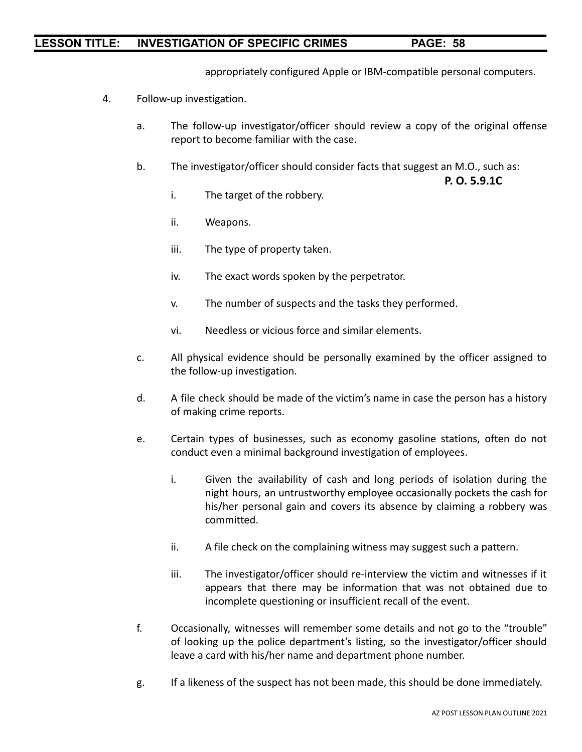appropriately configured Apple or IBM-compatible personal computers.

- 4. Follow-up investigation.
	- a. The follow-up investigator/officer should review a copy of the original offense report to become familiar with the case.
	- b. The investigator/officer should consider facts that suggest an M.O., such as:

**P. O. 5.9.1C**

- i. The target of the robbery.
- ii. Weapons.
- iii. The type of property taken.
- iv. The exact words spoken by the perpetrator.
- v. The number of suspects and the tasks they performed.
- vi. Needless or vicious force and similar elements.
- c. All physical evidence should be personally examined by the officer assigned to the follow-up investigation.
- d. A file check should be made of the victim's name in case the person has a history of making crime reports.
- e. Certain types of businesses, such as economy gasoline stations, often do not conduct even a minimal background investigation of employees.
	- i. Given the availability of cash and long periods of isolation during the night hours, an untrustworthy employee occasionally pockets the cash for his/her personal gain and covers its absence by claiming a robbery was committed.
	- ii. A file check on the complaining witness may suggest such a pattern.
	- iii. The investigator/officer should re-interview the victim and witnesses if it appears that there may be information that was not obtained due to incomplete questioning or insufficient recall of the event.
- f. Occasionally, witnesses will remember some details and not go to the "trouble" of looking up the police department's listing, so the investigator/officer should leave a card with his/her name and department phone number.
- g. If a likeness of the suspect has not been made, this should be done immediately.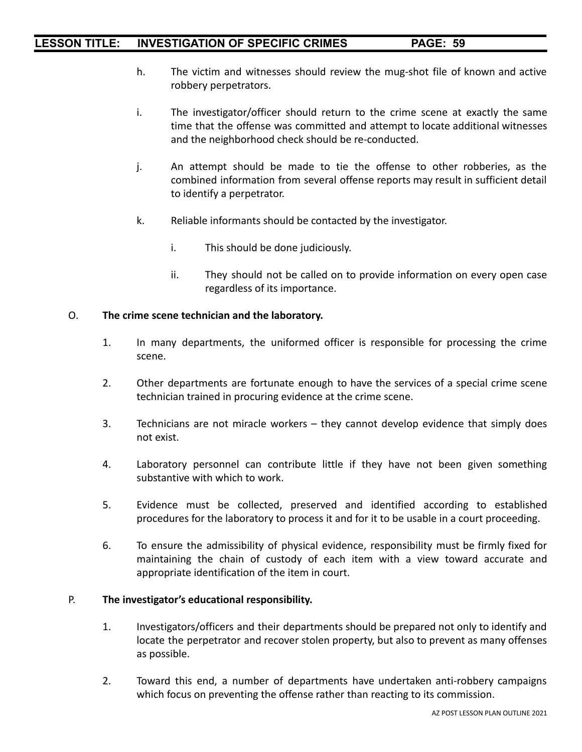- h. The victim and witnesses should review the mug-shot file of known and active robbery perpetrators.
- i. The investigator/officer should return to the crime scene at exactly the same time that the offense was committed and attempt to locate additional witnesses and the neighborhood check should be re-conducted.
- j. An attempt should be made to tie the offense to other robberies, as the combined information from several offense reports may result in sufficient detail to identify a perpetrator.
- k. Reliable informants should be contacted by the investigator.
	- i. This should be done judiciously.
	- ii. They should not be called on to provide information on every open case regardless of its importance.

#### O. **The crime scene technician and the laboratory.**

- 1. In many departments, the uniformed officer is responsible for processing the crime scene.
- 2. Other departments are fortunate enough to have the services of a special crime scene technician trained in procuring evidence at the crime scene.
- 3. Technicians are not miracle workers they cannot develop evidence that simply does not exist.
- 4. Laboratory personnel can contribute little if they have not been given something substantive with which to work.
- 5. Evidence must be collected, preserved and identified according to established procedures for the laboratory to process it and for it to be usable in a court proceeding.
- 6. To ensure the admissibility of physical evidence, responsibility must be firmly fixed for maintaining the chain of custody of each item with a view toward accurate and appropriate identification of the item in court.

#### P. **The investigator's educational responsibility.**

- 1. Investigators/officers and their departments should be prepared not only to identify and locate the perpetrator and recover stolen property, but also to prevent as many offenses as possible.
- 2. Toward this end, a number of departments have undertaken anti-robbery campaigns which focus on preventing the offense rather than reacting to its commission.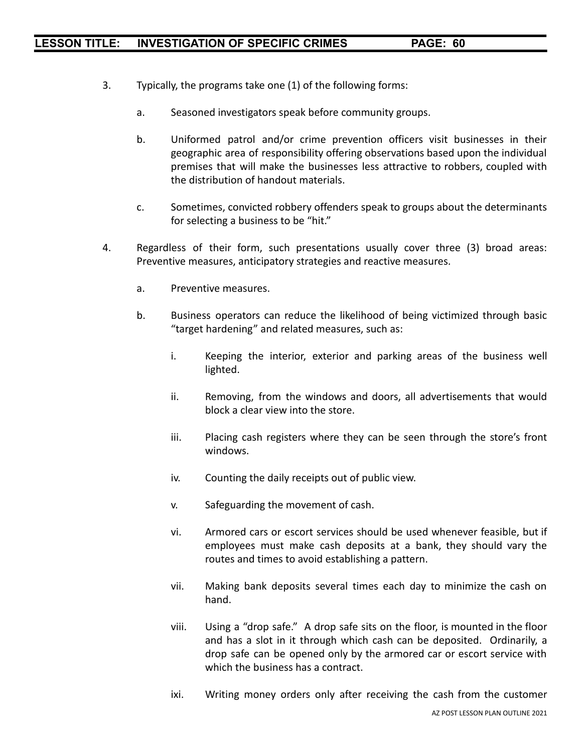- 3. Typically, the programs take one (1) of the following forms:
	- a. Seasoned investigators speak before community groups.
	- b. Uniformed patrol and/or crime prevention officers visit businesses in their geographic area of responsibility offering observations based upon the individual premises that will make the businesses less attractive to robbers, coupled with the distribution of handout materials.
	- c. Sometimes, convicted robbery offenders speak to groups about the determinants for selecting a business to be "hit."
- 4. Regardless of their form, such presentations usually cover three (3) broad areas: Preventive measures, anticipatory strategies and reactive measures.
	- a. Preventive measures.
	- b. Business operators can reduce the likelihood of being victimized through basic "target hardening" and related measures, such as:
		- i. Keeping the interior, exterior and parking areas of the business well lighted.
		- ii. Removing, from the windows and doors, all advertisements that would block a clear view into the store.
		- iii. Placing cash registers where they can be seen through the store's front windows.
		- iv. Counting the daily receipts out of public view.
		- v. Safeguarding the movement of cash.
		- vi. Armored cars or escort services should be used whenever feasible, but if employees must make cash deposits at a bank, they should vary the routes and times to avoid establishing a pattern.
		- vii. Making bank deposits several times each day to minimize the cash on hand.
		- viii. Using a "drop safe." A drop safe sits on the floor, is mounted in the floor and has a slot in it through which cash can be deposited. Ordinarily, a drop safe can be opened only by the armored car or escort service with which the business has a contract.
		- ixi. Writing money orders only after receiving the cash from the customer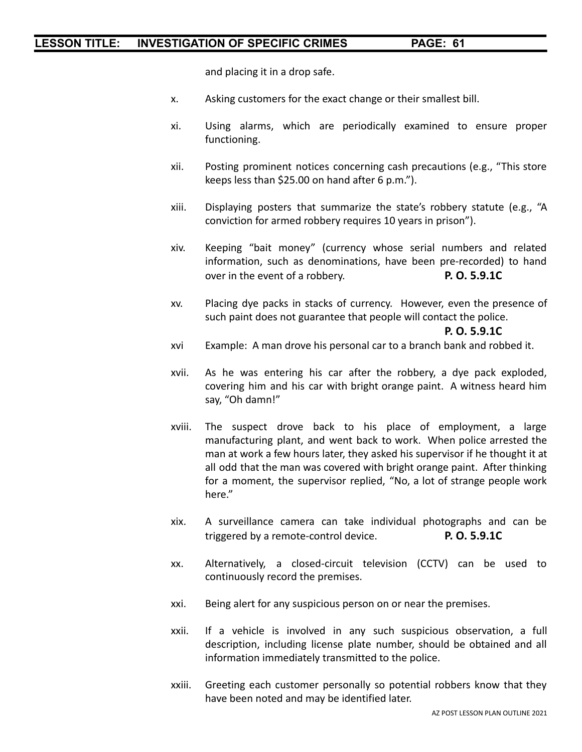and placing it in a drop safe.

- x. Asking customers for the exact change or their smallest bill.
- xi. Using alarms, which are periodically examined to ensure proper functioning.
- xii. Posting prominent notices concerning cash precautions (e.g., "This store keeps less than \$25.00 on hand after 6 p.m.").
- xiii. Displaying posters that summarize the state's robbery statute (e.g., "A conviction for armed robbery requires 10 years in prison").
- xiv. Keeping "bait money" (currency whose serial numbers and related information, such as denominations, have been pre-recorded) to hand over in the event of a robbery. **P. O. 5.9.1C**
- xv. Placing dye packs in stacks of currency. However, even the presence of such paint does not guarantee that people will contact the police.

**P. O. 5.9.1C**

- xvi Example: A man drove his personal car to a branch bank and robbed it.
- xvii. As he was entering his car after the robbery, a dye pack exploded, covering him and his car with bright orange paint. A witness heard him say, "Oh damn!"
- xviii. The suspect drove back to his place of employment, a large manufacturing plant, and went back to work. When police arrested the man at work a few hours later, they asked his supervisor if he thought it at all odd that the man was covered with bright orange paint. After thinking for a moment, the supervisor replied, "No, a lot of strange people work here."
- xix. A surveillance camera can take individual photographs and can be triggered by a remote-control device. **P. O. 5.9.1C**
- xx. Alternatively, a closed-circuit television (CCTV) can be used to continuously record the premises.
- xxi. Being alert for any suspicious person on or near the premises.
- xxii. If a vehicle is involved in any such suspicious observation, a full description, including license plate number, should be obtained and all information immediately transmitted to the police.
- xxiii. Greeting each customer personally so potential robbers know that they have been noted and may be identified later.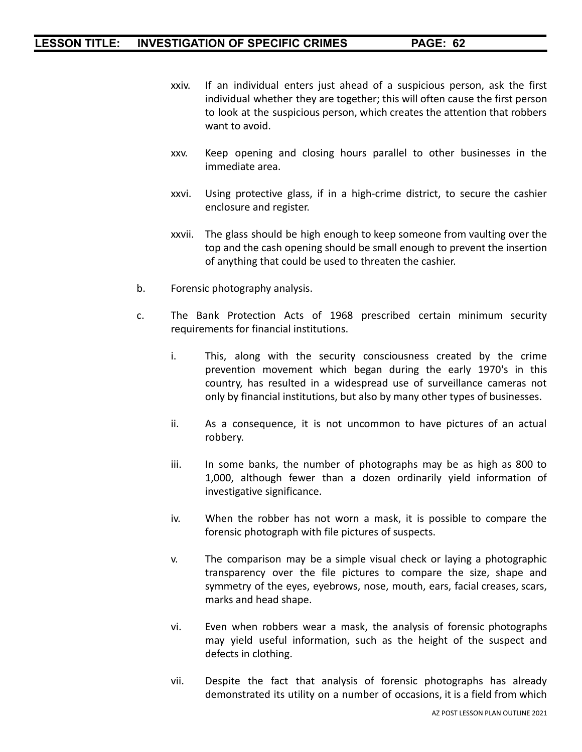- xxiv. If an individual enters just ahead of a suspicious person, ask the first individual whether they are together; this will often cause the first person to look at the suspicious person, which creates the attention that robbers want to avoid.
- xxv. Keep opening and closing hours parallel to other businesses in the immediate area.
- xxvi. Using protective glass, if in a high-crime district, to secure the cashier enclosure and register.
- xxvii. The glass should be high enough to keep someone from vaulting over the top and the cash opening should be small enough to prevent the insertion of anything that could be used to threaten the cashier.
- b. Forensic photography analysis.
- c. The Bank Protection Acts of 1968 prescribed certain minimum security requirements for financial institutions.
	- i. This, along with the security consciousness created by the crime prevention movement which began during the early 1970's in this country, has resulted in a widespread use of surveillance cameras not only by financial institutions, but also by many other types of businesses.
	- ii. As a consequence, it is not uncommon to have pictures of an actual robbery.
	- iii. In some banks, the number of photographs may be as high as 800 to 1,000, although fewer than a dozen ordinarily yield information of investigative significance.
	- iv. When the robber has not worn a mask, it is possible to compare the forensic photograph with file pictures of suspects.
	- v. The comparison may be a simple visual check or laying a photographic transparency over the file pictures to compare the size, shape and symmetry of the eyes, eyebrows, nose, mouth, ears, facial creases, scars, marks and head shape.
	- vi. Even when robbers wear a mask, the analysis of forensic photographs may yield useful information, such as the height of the suspect and defects in clothing.
	- vii. Despite the fact that analysis of forensic photographs has already demonstrated its utility on a number of occasions, it is a field from which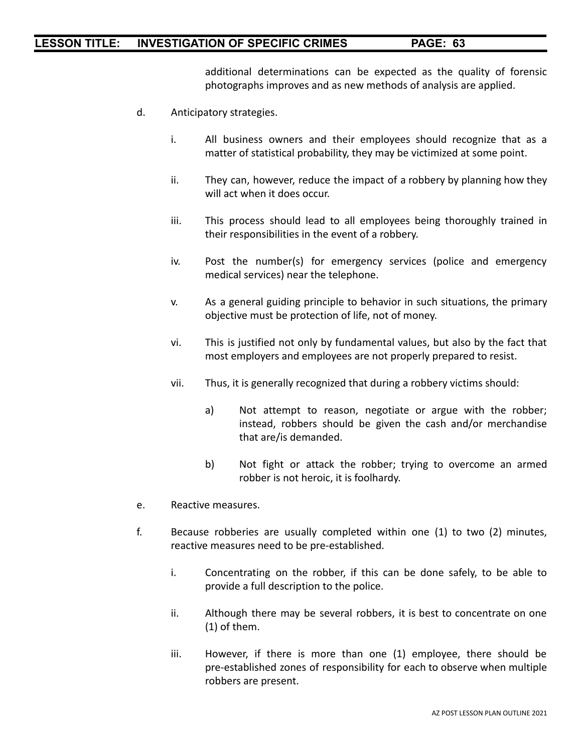additional determinations can be expected as the quality of forensic photographs improves and as new methods of analysis are applied.

- d. Anticipatory strategies.
	- i. All business owners and their employees should recognize that as a matter of statistical probability, they may be victimized at some point.
	- ii. They can, however, reduce the impact of a robbery by planning how they will act when it does occur.
	- iii. This process should lead to all employees being thoroughly trained in their responsibilities in the event of a robbery.
	- iv. Post the number(s) for emergency services (police and emergency medical services) near the telephone.
	- v. As a general guiding principle to behavior in such situations, the primary objective must be protection of life, not of money.
	- vi. This is justified not only by fundamental values, but also by the fact that most employers and employees are not properly prepared to resist.
	- vii. Thus, it is generally recognized that during a robbery victims should:
		- a) Not attempt to reason, negotiate or argue with the robber; instead, robbers should be given the cash and/or merchandise that are/is demanded.
		- b) Not fight or attack the robber; trying to overcome an armed robber is not heroic, it is foolhardy.
- e. Reactive measures.
- f. Because robberies are usually completed within one (1) to two (2) minutes, reactive measures need to be pre-established.
	- i. Concentrating on the robber, if this can be done safely, to be able to provide a full description to the police.
	- ii. Although there may be several robbers, it is best to concentrate on one (1) of them.
	- iii. However, if there is more than one (1) employee, there should be pre-established zones of responsibility for each to observe when multiple robbers are present.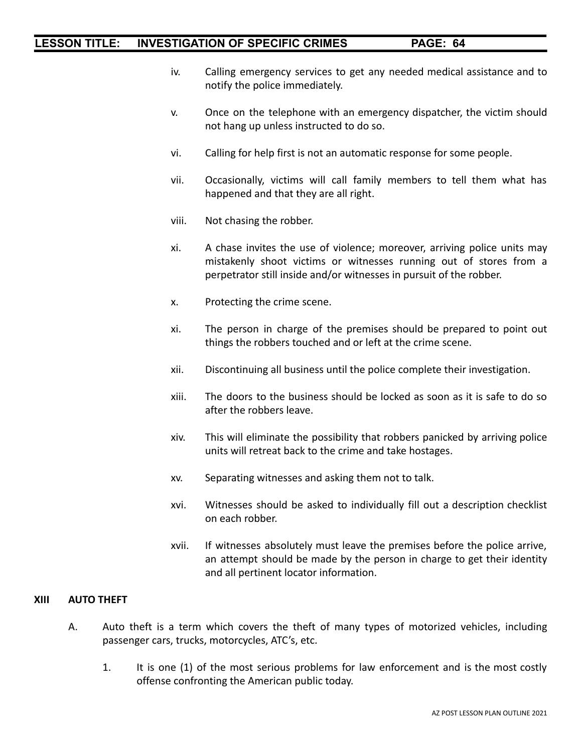- iv. Calling emergency services to get any needed medical assistance and to notify the police immediately.
- v. Once on the telephone with an emergency dispatcher, the victim should not hang up unless instructed to do so.
- vi. Calling for help first is not an automatic response for some people.
- vii. Occasionally, victims will call family members to tell them what has happened and that they are all right.
- viii. Not chasing the robber.
- xi. A chase invites the use of violence; moreover, arriving police units may mistakenly shoot victims or witnesses running out of stores from a perpetrator still inside and/or witnesses in pursuit of the robber.
- x. Protecting the crime scene.
- xi. The person in charge of the premises should be prepared to point out things the robbers touched and or left at the crime scene.
- xii. Discontinuing all business until the police complete their investigation.
- xiii. The doors to the business should be locked as soon as it is safe to do so after the robbers leave.
- xiv. This will eliminate the possibility that robbers panicked by arriving police units will retreat back to the crime and take hostages.
- xv. Separating witnesses and asking them not to talk.
- xvi. Witnesses should be asked to individually fill out a description checklist on each robber.
- xvii. If witnesses absolutely must leave the premises before the police arrive, an attempt should be made by the person in charge to get their identity and all pertinent locator information.

#### **XIII AUTO THEFT**

- A. Auto theft is a term which covers the theft of many types of motorized vehicles, including passenger cars, trucks, motorcycles, ATC's, etc.
	- 1. It is one (1) of the most serious problems for law enforcement and is the most costly offense confronting the American public today.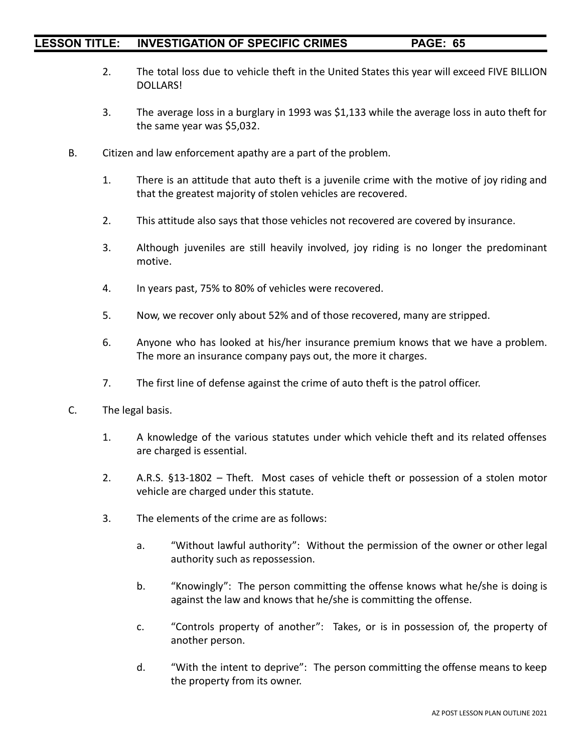- 2. The total loss due to vehicle theft in the United States this year will exceed FIVE BILLION DOLLARS!
- 3. The average loss in a burglary in 1993 was \$1,133 while the average loss in auto theft for the same year was \$5,032.
- B. Citizen and law enforcement apathy are a part of the problem.
	- 1. There is an attitude that auto theft is a juvenile crime with the motive of joy riding and that the greatest majority of stolen vehicles are recovered.
	- 2. This attitude also says that those vehicles not recovered are covered by insurance.
	- 3. Although juveniles are still heavily involved, joy riding is no longer the predominant motive.
	- 4. In years past, 75% to 80% of vehicles were recovered.
	- 5. Now, we recover only about 52% and of those recovered, many are stripped.
	- 6. Anyone who has looked at his/her insurance premium knows that we have a problem. The more an insurance company pays out, the more it charges.
	- 7. The first line of defense against the crime of auto theft is the patrol officer.
- C. The legal basis.
	- 1. A knowledge of the various statutes under which vehicle theft and its related offenses are charged is essential.
	- 2. A.R.S. §13-1802 Theft. Most cases of vehicle theft or possession of a stolen motor vehicle are charged under this statute.
	- 3. The elements of the crime are as follows:
		- a. "Without lawful authority": Without the permission of the owner or other legal authority such as repossession.
		- b. "Knowingly": The person committing the offense knows what he/she is doing is against the law and knows that he/she is committing the offense.
		- c. "Controls property of another": Takes, or is in possession of, the property of another person.
		- d. "With the intent to deprive": The person committing the offense means to keep the property from its owner.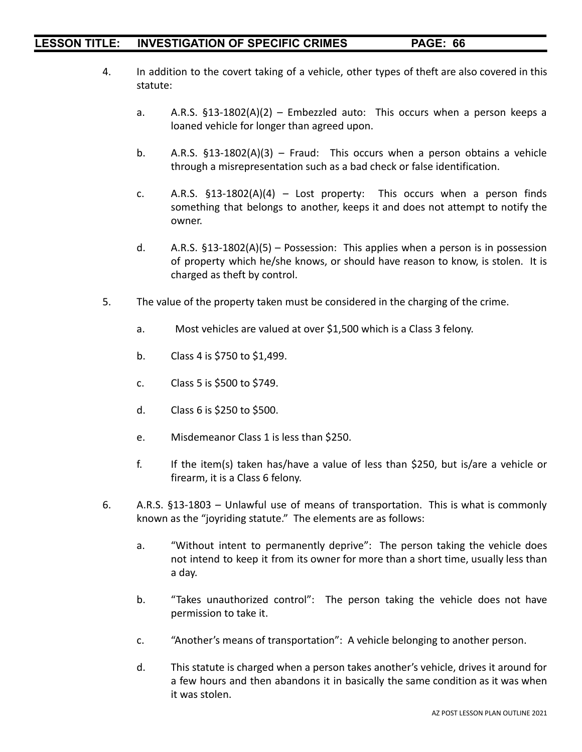- 4. In addition to the covert taking of a vehicle, other types of theft are also covered in this statute:
	- a. A.R.S.  $$13-1802(A)(2)$  Embezzled auto: This occurs when a person keeps a loaned vehicle for longer than agreed upon.
	- b. A.R.S. §13-1802(A)(3) Fraud: This occurs when a person obtains a vehicle through a misrepresentation such as a bad check or false identification.
	- c. A.R.S.  $\S$ 13-1802(A)(4) Lost property: This occurs when a person finds something that belongs to another, keeps it and does not attempt to notify the owner.
	- d. A.R.S.  $$13-1802(A)(5)$  Possession: This applies when a person is in possession of property which he/she knows, or should have reason to know, is stolen. It is charged as theft by control.
- 5. The value of the property taken must be considered in the charging of the crime.
	- a. Most vehicles are valued at over \$1,500 which is a Class 3 felony.
	- b. Class 4 is \$750 to \$1,499.
	- c. Class 5 is \$500 to \$749.
	- d. Class 6 is \$250 to \$500.
	- e. Misdemeanor Class 1 is less than \$250.
	- f. If the item(s) taken has/have a value of less than \$250, but is/are a vehicle or firearm, it is a Class 6 felony.
- 6. A.R.S. §13-1803 Unlawful use of means of transportation. This is what is commonly known as the "joyriding statute." The elements are as follows:
	- a. "Without intent to permanently deprive": The person taking the vehicle does not intend to keep it from its owner for more than a short time, usually less than a day.
	- b. "Takes unauthorized control": The person taking the vehicle does not have permission to take it.
	- c. "Another's means of transportation": A vehicle belonging to another person.
	- d. This statute is charged when a person takes another's vehicle, drives it around for a few hours and then abandons it in basically the same condition as it was when it was stolen.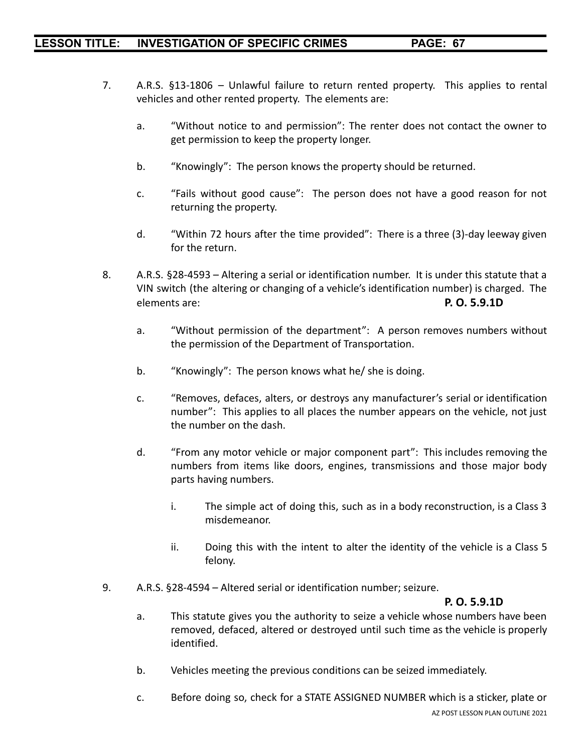- 7. A.R.S. §13-1806 Unlawful failure to return rented property. This applies to rental vehicles and other rented property. The elements are:
	- a. "Without notice to and permission": The renter does not contact the owner to get permission to keep the property longer.
	- b. "Knowingly": The person knows the property should be returned.
	- c. "Fails without good cause": The person does not have a good reason for not returning the property.
	- d. "Within 72 hours after the time provided": There is a three (3)-day leeway given for the return.
- 8. A.R.S. §28-4593 Altering a serial or identification number. It is under this statute that a VIN switch (the altering or changing of a vehicle's identification number) is charged. The elements are: **P. O. 5.9.1D**
	- a. "Without permission of the department": A person removes numbers without the permission of the Department of Transportation.
	- b. "Knowingly": The person knows what he/ she is doing.
	- c. "Removes, defaces, alters, or destroys any manufacturer's serial or identification number": This applies to all places the number appears on the vehicle, not just the number on the dash.
	- d. "From any motor vehicle or major component part": This includes removing the numbers from items like doors, engines, transmissions and those major body parts having numbers.
		- i. The simple act of doing this, such as in a body reconstruction, is a Class 3 misdemeanor.
		- ii. Doing this with the intent to alter the identity of the vehicle is a Class 5 felony.
- 9. A.R.S. §28-4594 Altered serial or identification number; seizure.

#### **P. O. 5.9.1D**

- a. This statute gives you the authority to seize a vehicle whose numbers have been removed, defaced, altered or destroyed until such time as the vehicle is properly identified.
- b. Vehicles meeting the previous conditions can be seized immediately.
- c. Before doing so, check for a STATE ASSIGNED NUMBER which is a sticker, plate or AZ POST LESSON PLAN OUTLINE 2021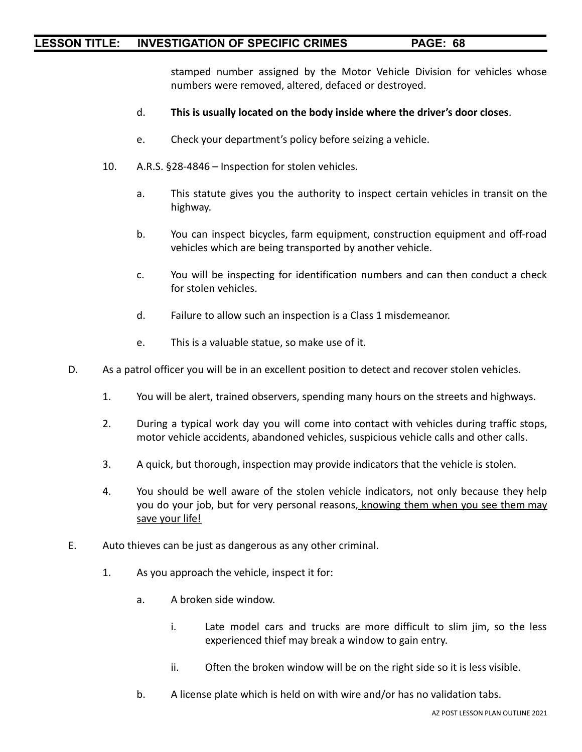stamped number assigned by the Motor Vehicle Division for vehicles whose numbers were removed, altered, defaced or destroyed.

- d. **This is usually located on the body inside where the driver's door closes**.
- e. Check your department's policy before seizing a vehicle.
- 10. A.R.S. §28-4846 Inspection for stolen vehicles.
	- a. This statute gives you the authority to inspect certain vehicles in transit on the highway.
	- b. You can inspect bicycles, farm equipment, construction equipment and off-road vehicles which are being transported by another vehicle.
	- c. You will be inspecting for identification numbers and can then conduct a check for stolen vehicles.
	- d. Failure to allow such an inspection is a Class 1 misdemeanor.
	- e. This is a valuable statue, so make use of it.
- D. As a patrol officer you will be in an excellent position to detect and recover stolen vehicles.
	- 1. You will be alert, trained observers, spending many hours on the streets and highways.
	- 2. During a typical work day you will come into contact with vehicles during traffic stops, motor vehicle accidents, abandoned vehicles, suspicious vehicle calls and other calls.
	- 3. A quick, but thorough, inspection may provide indicators that the vehicle is stolen.
	- 4. You should be well aware of the stolen vehicle indicators, not only because they help you do your job, but for very personal reasons, knowing them when you see them may save your life!
- E. Auto thieves can be just as dangerous as any other criminal.
	- 1. As you approach the vehicle, inspect it for:
		- a. A broken side window.
			- i. Late model cars and trucks are more difficult to slim jim, so the less experienced thief may break a window to gain entry.
			- ii. Often the broken window will be on the right side so it is less visible.
		- b. A license plate which is held on with wire and/or has no validation tabs.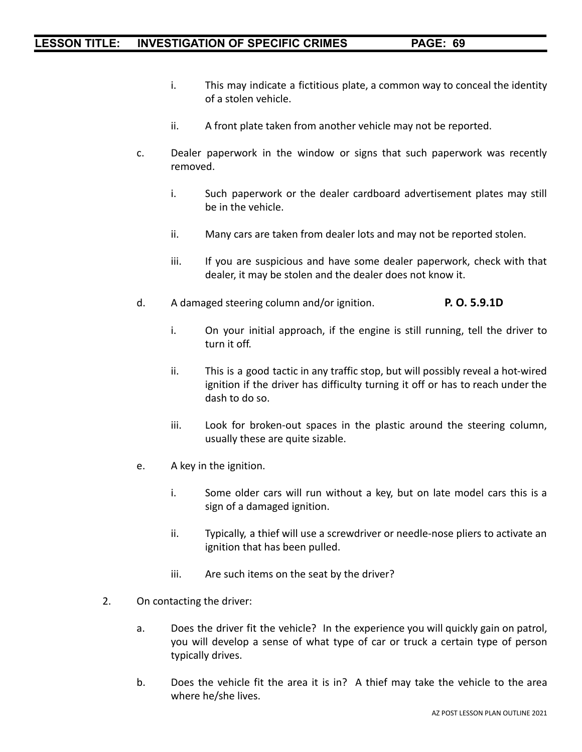- i. This may indicate a fictitious plate, a common way to conceal the identity of a stolen vehicle.
- ii. A front plate taken from another vehicle may not be reported.
- c. Dealer paperwork in the window or signs that such paperwork was recently removed.
	- i. Such paperwork or the dealer cardboard advertisement plates may still be in the vehicle.
	- ii. Many cars are taken from dealer lots and may not be reported stolen.
	- iii. If you are suspicious and have some dealer paperwork, check with that dealer, it may be stolen and the dealer does not know it.
- d. A damaged steering column and/or ignition. **P. O. 5.9.1D**
	- i. On your initial approach, if the engine is still running, tell the driver to turn it off.
	- ii. This is a good tactic in any traffic stop, but will possibly reveal a hot-wired ignition if the driver has difficulty turning it off or has to reach under the dash to do so.
	- iii. Look for broken-out spaces in the plastic around the steering column, usually these are quite sizable.
- e. A key in the ignition.
	- i. Some older cars will run without a key, but on late model cars this is a sign of a damaged ignition.
	- ii. Typically, a thief will use a screwdriver or needle-nose pliers to activate an ignition that has been pulled.
	- iii. Are such items on the seat by the driver?
- 2. On contacting the driver:
	- a. Does the driver fit the vehicle? In the experience you will quickly gain on patrol, you will develop a sense of what type of car or truck a certain type of person typically drives.
	- b. Does the vehicle fit the area it is in? A thief may take the vehicle to the area where he/she lives.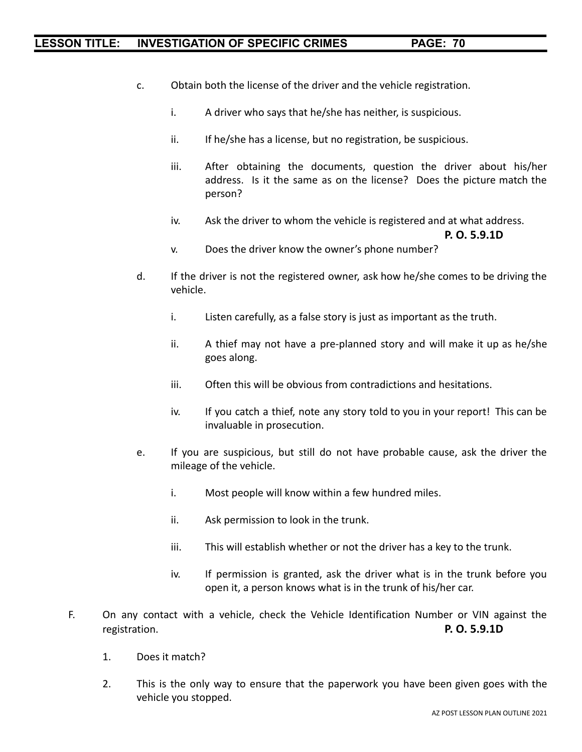- c. Obtain both the license of the driver and the vehicle registration.
	- i. A driver who says that he/she has neither, is suspicious.
	- ii. If he/she has a license, but no registration, be suspicious.
	- iii. After obtaining the documents, question the driver about his/her address. Is it the same as on the license? Does the picture match the person?
	- iv. Ask the driver to whom the vehicle is registered and at what address.

```
P. O. 5.9.1D
```
- v. Does the driver know the owner's phone number?
- d. If the driver is not the registered owner, ask how he/she comes to be driving the vehicle.
	- i. Listen carefully, as a false story is just as important as the truth.
	- ii. A thief may not have a pre-planned story and will make it up as he/she goes along.
	- iii. Often this will be obvious from contradictions and hesitations.
	- iv. If you catch a thief, note any story told to you in your report! This can be invaluable in prosecution.
- e. If you are suspicious, but still do not have probable cause, ask the driver the mileage of the vehicle.
	- i. Most people will know within a few hundred miles.
	- ii. Ask permission to look in the trunk.
	- iii. This will establish whether or not the driver has a key to the trunk.
	- iv. If permission is granted, ask the driver what is in the trunk before you open it, a person knows what is in the trunk of his/her car.
- F. On any contact with a vehicle, check the Vehicle Identification Number or VIN against the registration. **P. O. 5.9.1D**
	- 1. Does it match?
	- 2. This is the only way to ensure that the paperwork you have been given goes with the vehicle you stopped.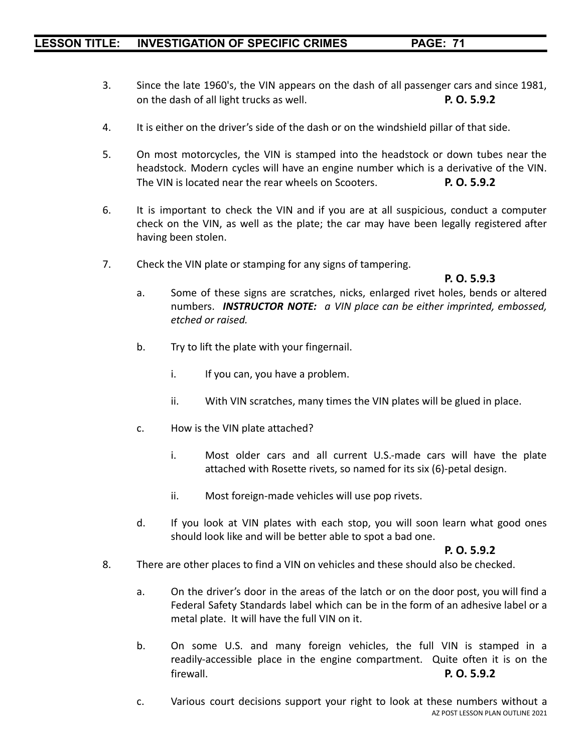- 3. Since the late 1960's, the VIN appears on the dash of all passenger cars and since 1981, on the dash of all light trucks as well. **P. O. 5.9.2**
- 4. It is either on the driver's side of the dash or on the windshield pillar of that side.
- 5. On most motorcycles, the VIN is stamped into the headstock or down tubes near the headstock. Modern cycles will have an engine number which is a derivative of the VIN. The VIN is located near the rear wheels on Scooters. **P. O. 5.9.2**
- 6. It is important to check the VIN and if you are at all suspicious, conduct a computer check on the VIN, as well as the plate; the car may have been legally registered after having been stolen.
- 7. Check the VIN plate or stamping for any signs of tampering.

# **P. O. 5.9.3**

- a. Some of these signs are scratches, nicks, enlarged rivet holes, bends or altered numbers. *INSTRUCTOR NOTE: a VIN place can be either imprinted, embossed, etched or raised.*
- b. Try to lift the plate with your fingernail.
	- i. If you can, you have a problem.
	- ii. With VIN scratches, many times the VIN plates will be glued in place.
- c. How is the VIN plate attached?
	- i. Most older cars and all current U.S.-made cars will have the plate attached with Rosette rivets, so named for its six (6)-petal design.
	- ii. Most foreign-made vehicles will use pop rivets.
- d. If you look at VIN plates with each stop, you will soon learn what good ones should look like and will be better able to spot a bad one.

# **P. O. 5.9.2**

- 8. There are other places to find a VIN on vehicles and these should also be checked.
	- a. On the driver's door in the areas of the latch or on the door post, you will find a Federal Safety Standards label which can be in the form of an adhesive label or a metal plate. It will have the full VIN on it.
	- b. On some U.S. and many foreign vehicles, the full VIN is stamped in a readily-accessible place in the engine compartment. Quite often it is on the firewall. **P. O. 5.9.2**
	- c. Various court decisions support your right to look at these numbers without a AZ POST LESSON PLAN OUTLINE 2021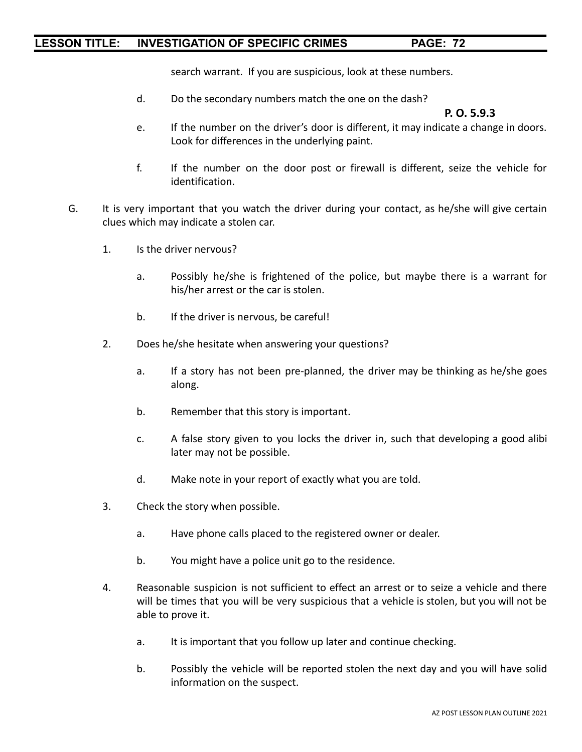search warrant. If you are suspicious, look at these numbers.

d. Do the secondary numbers match the one on the dash?

#### **P. O. 5.9.3**

- e. If the number on the driver's door is different, it may indicate a change in doors. Look for differences in the underlying paint.
- f. If the number on the door post or firewall is different, seize the vehicle for identification.
- G. It is very important that you watch the driver during your contact, as he/she will give certain clues which may indicate a stolen car.
	- 1. Is the driver nervous?
		- a. Possibly he/she is frightened of the police, but maybe there is a warrant for his/her arrest or the car is stolen.
		- b. If the driver is nervous, be careful!
	- 2. Does he/she hesitate when answering your questions?
		- a. If a story has not been pre-planned, the driver may be thinking as he/she goes along.
		- b. Remember that this story is important.
		- c. A false story given to you locks the driver in, such that developing a good alibi later may not be possible.
		- d. Make note in your report of exactly what you are told.
	- 3. Check the story when possible.
		- a. Have phone calls placed to the registered owner or dealer.
		- b. You might have a police unit go to the residence.
	- 4. Reasonable suspicion is not sufficient to effect an arrest or to seize a vehicle and there will be times that you will be very suspicious that a vehicle is stolen, but you will not be able to prove it.
		- a. It is important that you follow up later and continue checking.
		- b. Possibly the vehicle will be reported stolen the next day and you will have solid information on the suspect.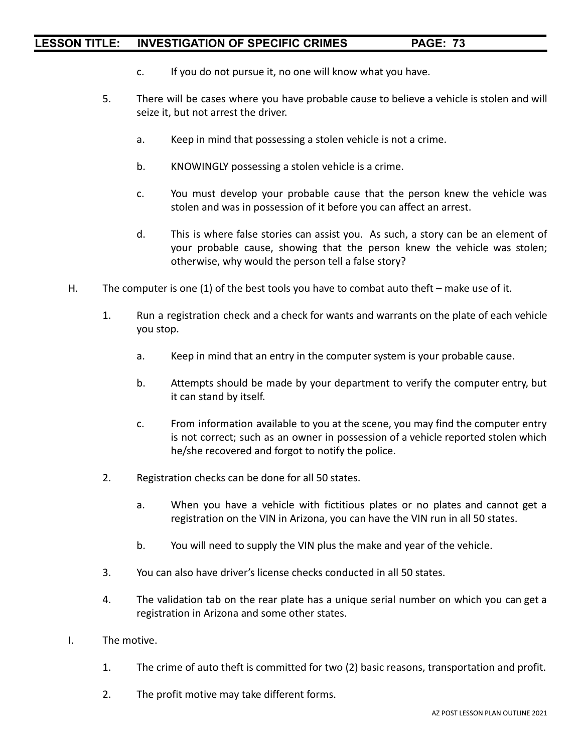- c. If you do not pursue it, no one will know what you have.
- 5. There will be cases where you have probable cause to believe a vehicle is stolen and will seize it, but not arrest the driver.
	- a. Keep in mind that possessing a stolen vehicle is not a crime.
	- b. KNOWINGLY possessing a stolen vehicle is a crime.
	- c. You must develop your probable cause that the person knew the vehicle was stolen and was in possession of it before you can affect an arrest.
	- d. This is where false stories can assist you. As such, a story can be an element of your probable cause, showing that the person knew the vehicle was stolen; otherwise, why would the person tell a false story?
- H. The computer is one (1) of the best tools you have to combat auto theft make use of it.
	- 1. Run a registration check and a check for wants and warrants on the plate of each vehicle you stop.
		- a. Keep in mind that an entry in the computer system is your probable cause.
		- b. Attempts should be made by your department to verify the computer entry, but it can stand by itself.
		- c. From information available to you at the scene, you may find the computer entry is not correct; such as an owner in possession of a vehicle reported stolen which he/she recovered and forgot to notify the police.
	- 2. Registration checks can be done for all 50 states.
		- a. When you have a vehicle with fictitious plates or no plates and cannot get a registration on the VIN in Arizona, you can have the VIN run in all 50 states.
		- b. You will need to supply the VIN plus the make and year of the vehicle.
	- 3. You can also have driver's license checks conducted in all 50 states.
	- 4. The validation tab on the rear plate has a unique serial number on which you can get a registration in Arizona and some other states.
- I. The motive.
	- 1. The crime of auto theft is committed for two (2) basic reasons, transportation and profit.
	- 2. The profit motive may take different forms.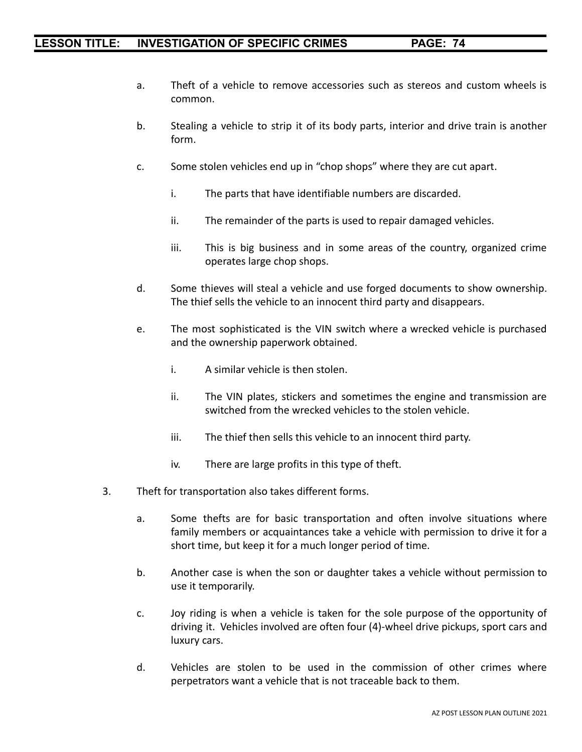- a. Theft of a vehicle to remove accessories such as stereos and custom wheels is common.
- b. Stealing a vehicle to strip it of its body parts, interior and drive train is another form.
- c. Some stolen vehicles end up in "chop shops" where they are cut apart.
	- i. The parts that have identifiable numbers are discarded.
	- ii. The remainder of the parts is used to repair damaged vehicles.
	- iii. This is big business and in some areas of the country, organized crime operates large chop shops.
- d. Some thieves will steal a vehicle and use forged documents to show ownership. The thief sells the vehicle to an innocent third party and disappears.
- e. The most sophisticated is the VIN switch where a wrecked vehicle is purchased and the ownership paperwork obtained.
	- i. A similar vehicle is then stolen.
	- ii. The VIN plates, stickers and sometimes the engine and transmission are switched from the wrecked vehicles to the stolen vehicle.
	- iii. The thief then sells this vehicle to an innocent third party.
	- iv. There are large profits in this type of theft.
- 3. Theft for transportation also takes different forms.
	- a. Some thefts are for basic transportation and often involve situations where family members or acquaintances take a vehicle with permission to drive it for a short time, but keep it for a much longer period of time.
	- b. Another case is when the son or daughter takes a vehicle without permission to use it temporarily.
	- c. Joy riding is when a vehicle is taken for the sole purpose of the opportunity of driving it. Vehicles involved are often four (4)-wheel drive pickups, sport cars and luxury cars.
	- d. Vehicles are stolen to be used in the commission of other crimes where perpetrators want a vehicle that is not traceable back to them.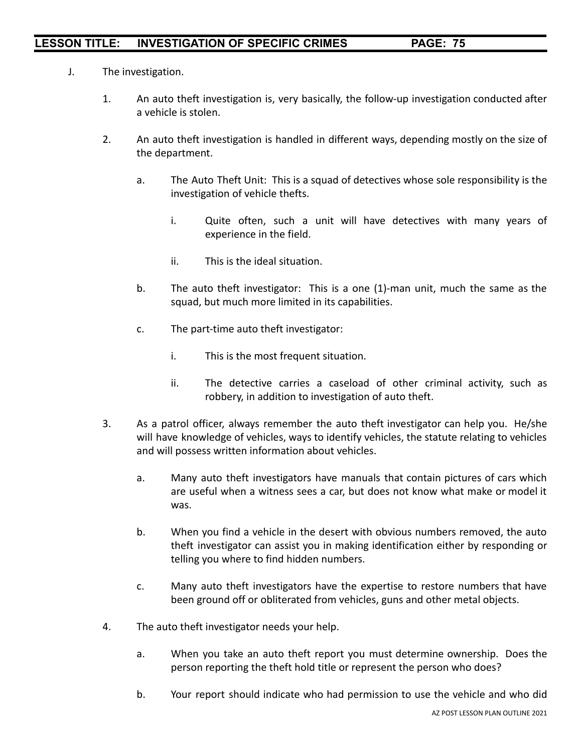- J. The investigation.
	- 1. An auto theft investigation is, very basically, the follow-up investigation conducted after a vehicle is stolen.
	- 2. An auto theft investigation is handled in different ways, depending mostly on the size of the department.
		- a. The Auto Theft Unit: This is a squad of detectives whose sole responsibility is the investigation of vehicle thefts.
			- i. Quite often, such a unit will have detectives with many years of experience in the field.
			- ii. This is the ideal situation.
		- b. The auto theft investigator: This is a one (1)-man unit, much the same as the squad, but much more limited in its capabilities.
		- c. The part-time auto theft investigator:
			- i. This is the most frequent situation.
			- ii. The detective carries a caseload of other criminal activity, such as robbery, in addition to investigation of auto theft.
	- 3. As a patrol officer, always remember the auto theft investigator can help you. He/she will have knowledge of vehicles, ways to identify vehicles, the statute relating to vehicles and will possess written information about vehicles.
		- a. Many auto theft investigators have manuals that contain pictures of cars which are useful when a witness sees a car, but does not know what make or model it was.
		- b. When you find a vehicle in the desert with obvious numbers removed, the auto theft investigator can assist you in making identification either by responding or telling you where to find hidden numbers.
		- c. Many auto theft investigators have the expertise to restore numbers that have been ground off or obliterated from vehicles, guns and other metal objects.
	- 4. The auto theft investigator needs your help.
		- a. When you take an auto theft report you must determine ownership. Does the person reporting the theft hold title or represent the person who does?
		- b. Your report should indicate who had permission to use the vehicle and who did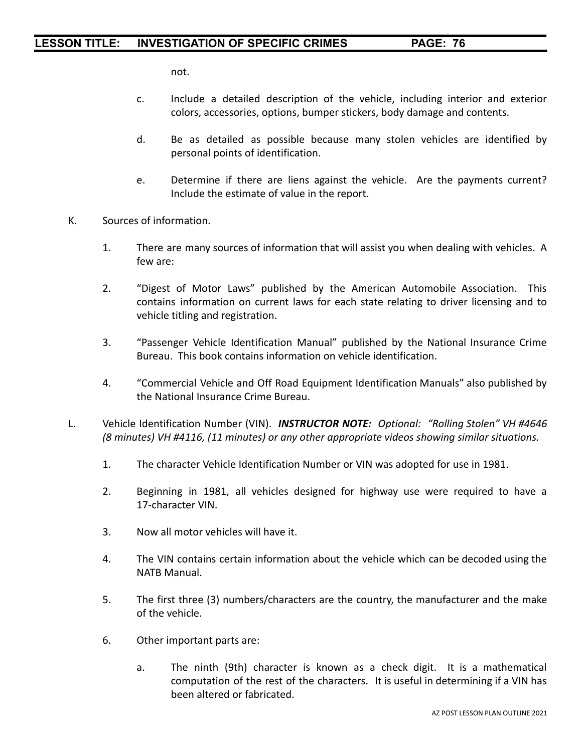not.

- c. Include a detailed description of the vehicle, including interior and exterior colors, accessories, options, bumper stickers, body damage and contents.
- d. Be as detailed as possible because many stolen vehicles are identified by personal points of identification.
- e. Determine if there are liens against the vehicle. Are the payments current? Include the estimate of value in the report.
- K. Sources of information.
	- 1. There are many sources of information that will assist you when dealing with vehicles. A few are:
	- 2. "Digest of Motor Laws" published by the American Automobile Association. This contains information on current laws for each state relating to driver licensing and to vehicle titling and registration.
	- 3. "Passenger Vehicle Identification Manual" published by the National Insurance Crime Bureau. This book contains information on vehicle identification.
	- 4. "Commercial Vehicle and Off Road Equipment Identification Manuals" also published by the National Insurance Crime Bureau.
- L. Vehicle Identification Number (VIN). *INSTRUCTOR NOTE: Optional: "Rolling Stolen" VH #4646 (8 minutes) VH #4116, (11 minutes) or any other appropriate videos showing similar situations.*
	- 1. The character Vehicle Identification Number or VIN was adopted for use in 1981.
	- 2. Beginning in 1981, all vehicles designed for highway use were required to have a 17-character VIN.
	- 3. Now all motor vehicles will have it.
	- 4. The VIN contains certain information about the vehicle which can be decoded using the NATB Manual.
	- 5. The first three (3) numbers/characters are the country, the manufacturer and the make of the vehicle.
	- 6. Other important parts are:
		- a. The ninth (9th) character is known as a check digit. It is a mathematical computation of the rest of the characters. It is useful in determining if a VIN has been altered or fabricated.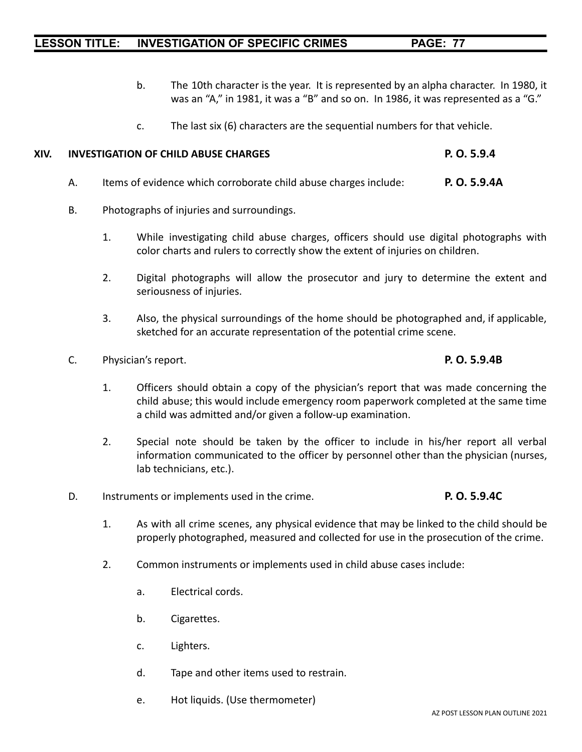- b. The 10th character is the year. It is represented by an alpha character. In 1980, it was an "A," in 1981, it was a "B" and so on. In 1986, it was represented as a "G."
- c. The last six (6) characters are the sequential numbers for that vehicle.

#### **XIV. INVESTIGATION OF CHILD ABUSE CHARGES P. O. 5.9.4**

- A. Items of evidence which corroborate child abuse charges include: **P. O. 5.9.4A**
- B. Photographs of injuries and surroundings.
	- 1. While investigating child abuse charges, officers should use digital photographs with color charts and rulers to correctly show the extent of injuries on children.
	- 2. Digital photographs will allow the prosecutor and jury to determine the extent and seriousness of injuries.
	- 3. Also, the physical surroundings of the home should be photographed and, if applicable, sketched for an accurate representation of the potential crime scene.
- C. Physician's report. **P. O. 5.9.4B**
	- 1. Officers should obtain a copy of the physician's report that was made concerning the child abuse; this would include emergency room paperwork completed at the same time a child was admitted and/or given a follow-up examination.
	- 2. Special note should be taken by the officer to include in his/her report all verbal information communicated to the officer by personnel other than the physician (nurses, lab technicians, etc.).
- D. Instruments or implements used in the crime. **P. O. 5.9.4C**
	- 1. As with all crime scenes, any physical evidence that may be linked to the child should be properly photographed, measured and collected for use in the prosecution of the crime.
	- 2. Common instruments or implements used in child abuse cases include:
		- a. Electrical cords.
		- b. Cigarettes.
		- c. Lighters.
		- d. Tape and other items used to restrain.
		- e. Hot liquids. (Use thermometer)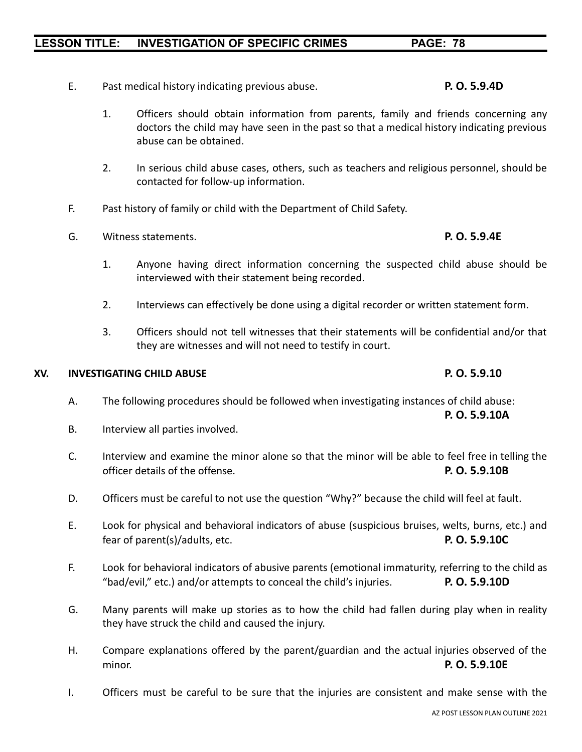#### AZ POST LESSON PLAN OUTLINE 2021

#### **LESSON TITLE: INVESTIGATION OF SPECIFIC CRIMES PAGE: 78**

- E. Past medical history indicating previous abuse. **P. O. 5.9.4D**
	- 1. Officers should obtain information from parents, family and friends concerning any doctors the child may have seen in the past so that a medical history indicating previous abuse can be obtained.
	- 2. In serious child abuse cases, others, such as teachers and religious personnel, should be contacted for follow-up information.
- F. Past history of family or child with the Department of Child Safety.
- G. Witness statements. **P. O. 5.9.4E**
	- 1. Anyone having direct information concerning the suspected child abuse should be interviewed with their statement being recorded.
	- 2. Interviews can effectively be done using a digital recorder or written statement form.
	- 3. Officers should not tell witnesses that their statements will be confidential and/or that they are witnesses and will not need to testify in court.

#### **XV. INVESTIGATING CHILD ABUSE P. O. 5.9.10**

- A. The following procedures should be followed when investigating instances of child abuse:
- B. Interview all parties involved.
- C. Interview and examine the minor alone so that the minor will be able to feel free in telling the officer details of the offense. **P. O. 5.9.10B**
- D. Officers must be careful to not use the question "Why?" because the child will feel at fault.
- E. Look for physical and behavioral indicators of abuse (suspicious bruises, welts, burns, etc.) and fear of parent(s)/adults, etc. **P. O. 5.9.10C**
- F. Look for behavioral indicators of abusive parents (emotional immaturity, referring to the child as "bad/evil," etc.) and/or attempts to conceal the child's injuries. **P. O. 5.9.10D**
- G. Many parents will make up stories as to how the child had fallen during play when in reality they have struck the child and caused the injury.
- H. Compare explanations offered by the parent/guardian and the actual injuries observed of the minor. **P. O. 5.9.10E**
- I. Officers must be careful to be sure that the injuries are consistent and make sense with the

**P. O. 5.9.10A**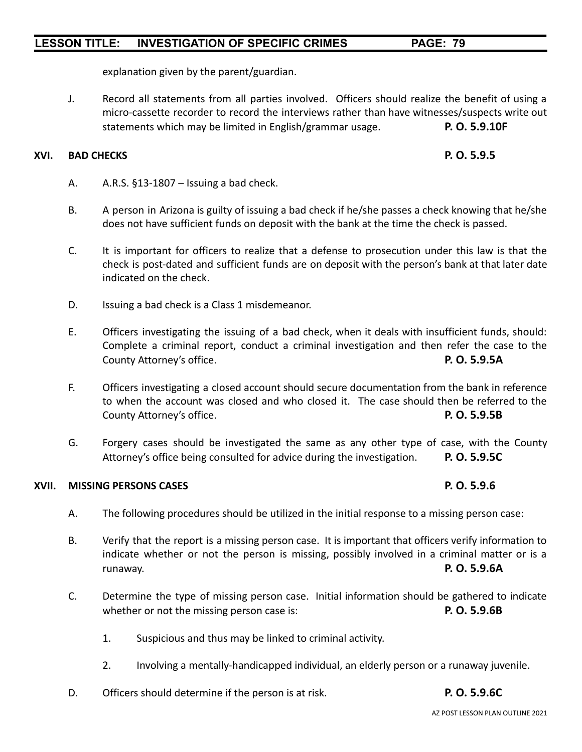explanation given by the parent/guardian.

J. Record all statements from all parties involved. Officers should realize the benefit of using a micro-cassette recorder to record the interviews rather than have witnesses/suspects write out statements which may be limited in English/grammar usage. **P. O. 5.9.10F**

#### **XVI. BAD CHECKS P. O. 5.9.5**

- A. A.R.S. §13-1807 Issuing a bad check.
- B. A person in Arizona is guilty of issuing a bad check if he/she passes a check knowing that he/she does not have sufficient funds on deposit with the bank at the time the check is passed.
- C. It is important for officers to realize that a defense to prosecution under this law is that the check is post-dated and sufficient funds are on deposit with the person's bank at that later date indicated on the check.
- D. Issuing a bad check is a Class 1 misdemeanor.
- E. Officers investigating the issuing of a bad check, when it deals with insufficient funds, should: Complete a criminal report, conduct a criminal investigation and then refer the case to the County Attorney's office. **P. O. 5.9.5A**
- F. Officers investigating a closed account should secure documentation from the bank in reference to when the account was closed and who closed it. The case should then be referred to the County Attorney's office. **P. O. 5.9.5B**
- G. Forgery cases should be investigated the same as any other type of case, with the County Attorney's office being consulted for advice during the investigation. **P. O. 5.9.5C**

#### **XVII. MISSING PERSONS CASES P. O. 5.9.6**

- A. The following procedures should be utilized in the initial response to a missing person case:
- B. Verify that the report is a missing person case. It is important that officers verify information to indicate whether or not the person is missing, possibly involved in a criminal matter or is a runaway. **P. O. 5.9.6A**
- C. Determine the type of missing person case. Initial information should be gathered to indicate whether or not the missing person case is: **P. O. 5.9.6B**
	- 1. Suspicious and thus may be linked to criminal activity.
	- 2. Involving a mentally-handicapped individual, an elderly person or a runaway juvenile.
- D. Officers should determine if the person is at risk. **P. O. 5.9.6C**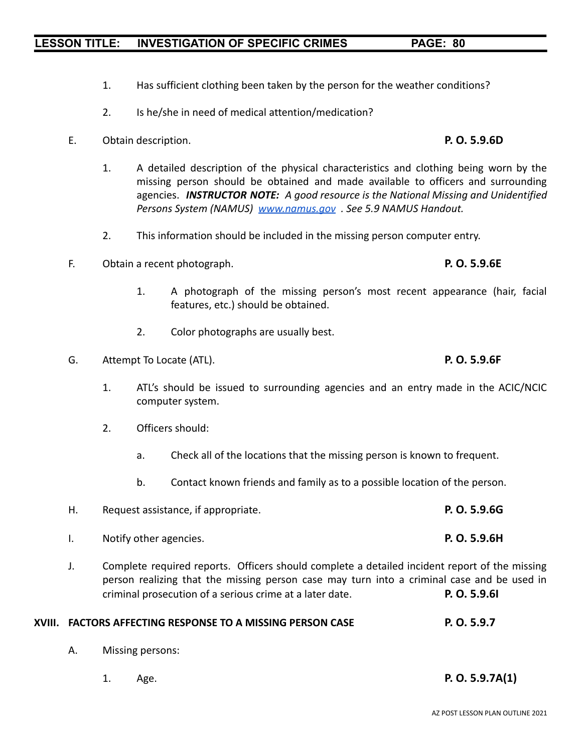- 1. Has sufficient clothing been taken by the person for the weather conditions?
- 2. Is he/she in need of medical attention/medication?
- E. Obtain description. **P. O. 5.9.6D**
	- 1. A detailed description of the physical characteristics and clothing being worn by the missing person should be obtained and made available to officers and surrounding agencies. *INSTRUCTOR NOTE: A good resource is the National Missing and Unidentified Persons System (NAMUS) [www.namus.gov](http://www.namus.gov) . See 5.9 NAMUS Handout.*
	- 2. This information should be included in the missing person computer entry.
- F. Obtain a recent photograph. **P. O. 5.9.6E**
	- 1. A photograph of the missing person's most recent appearance (hair, facial features, etc.) should be obtained.
	- 2. Color photographs are usually best.
- G. Attempt To Locate (ATL). **P. O. 5.9.6F**
	- 1. ATL's should be issued to surrounding agencies and an entry made in the ACIC/NCIC computer system.
	- 2. Officers should:
		- a. Check all of the locations that the missing person is known to frequent.
		- b. Contact known friends and family as to a possible location of the person.
- H. Request assistance, if appropriate. **P. O. 5.9.6G** I. Notify other agencies. **P. O. 5.9.6H**
- J. Complete required reports. Officers should complete a detailed incident report of the missing person realizing that the missing person case may turn into a criminal case and be used in criminal prosecution of a serious crime at a later date. **P. O. 5.9.6I**

#### **XVIII. FACTORS AFFECTING RESPONSE TO A MISSING PERSON CASE P. O. 5.9.7**

- A. Missing persons:
	- 1. Age. **P. O. 5.9.7A(1)**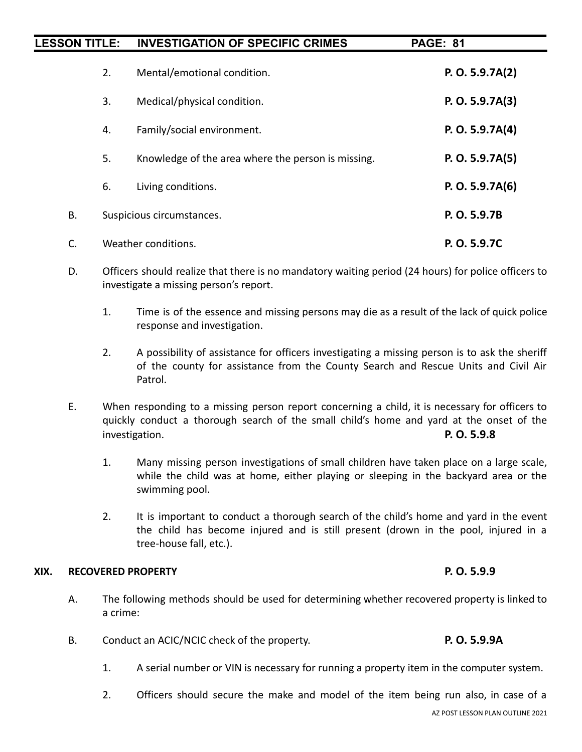| <b>LESSON TITLE:</b> |    | <b>INVESTIGATION OF SPECIFIC CRIMES</b>            | <b>PAGE: 81</b>   |
|----------------------|----|----------------------------------------------------|-------------------|
|                      | 2. | Mental/emotional condition.                        | P. O. 5.9.7A(2)   |
|                      | 3. | Medical/physical condition.                        | P. O. 5.9.7A(3)   |
|                      | 4. | Family/social environment.                         | P. O. $5.9.7A(4)$ |
|                      | 5. | Knowledge of the area where the person is missing. | P. O. 5.9.7A(5)   |
|                      | 6. | Living conditions.                                 | P. O. 5.9.7A(6)   |
| Β.                   |    | Suspicious circumstances.                          | P. O. 5.9.7B      |
| C.                   |    | Weather conditions.                                | P. O. 5.9.7C      |

- D. Officers should realize that there is no mandatory waiting period (24 hours) for police officers to investigate a missing person's report.
	- 1. Time is of the essence and missing persons may die as a result of the lack of quick police response and investigation.
	- 2. A possibility of assistance for officers investigating a missing person is to ask the sheriff of the county for assistance from the County Search and Rescue Units and Civil Air Patrol.
- E. When responding to a missing person report concerning a child, it is necessary for officers to quickly conduct a thorough search of the small child's home and yard at the onset of the investigation. **P. O. 5.9.8**
	- 1. Many missing person investigations of small children have taken place on a large scale, while the child was at home, either playing or sleeping in the backyard area or the swimming pool.
	- 2. It is important to conduct a thorough search of the child's home and yard in the event the child has become injured and is still present (drown in the pool, injured in a tree-house fall, etc.).

#### **XIX. RECOVERED PROPERTY P. O. 5.9.9**

- A. The following methods should be used for determining whether recovered property is linked to a crime:
- B. Conduct an ACIC/NCIC check of the property. **P. O. 5.9.9A**
	- 1. A serial number or VIN is necessary for running a property item in the computer system.
	- 2. Officers should secure the make and model of the item being run also, in case of a AZ POST LESSON PLAN OUTLINE 2021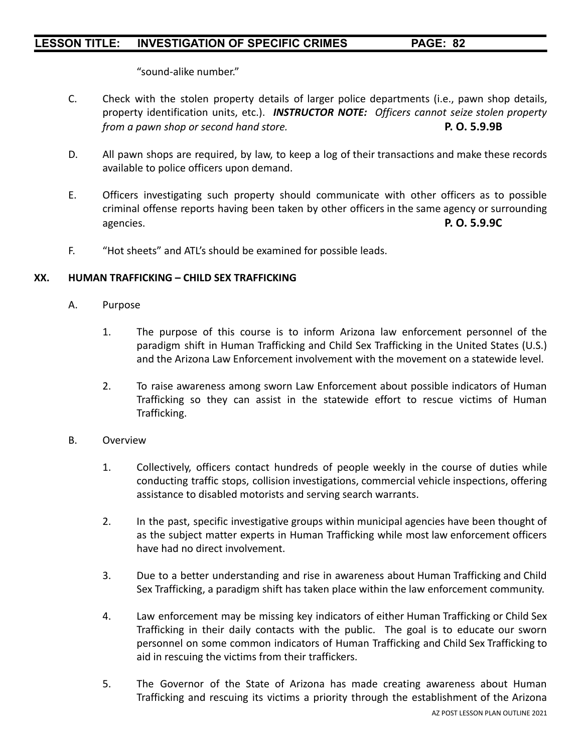"sound-alike number."

- C. Check with the stolen property details of larger police departments (i.e., pawn shop details, property identification units, etc.). *INSTRUCTOR NOTE: Officers cannot seize stolen property from a pawn shop or second hand store.* **P. O. 5.9.9B**
- D. All pawn shops are required, by law, to keep a log of their transactions and make these records available to police officers upon demand.
- E. Officers investigating such property should communicate with other officers as to possible criminal offense reports having been taken by other officers in the same agency or surrounding agencies. **P. O. 5.9.9C**
- F. "Hot sheets" and ATL's should be examined for possible leads.

#### **XX. HUMAN TRAFFICKING – CHILD SEX TRAFFICKING**

- A. Purpose
	- 1. The purpose of this course is to inform Arizona law enforcement personnel of the paradigm shift in Human Trafficking and Child Sex Trafficking in the United States (U.S.) and the Arizona Law Enforcement involvement with the movement on a statewide level.
	- 2. To raise awareness among sworn Law Enforcement about possible indicators of Human Trafficking so they can assist in the statewide effort to rescue victims of Human Trafficking.

#### B. Overview

- 1. Collectively, officers contact hundreds of people weekly in the course of duties while conducting traffic stops, collision investigations, commercial vehicle inspections, offering assistance to disabled motorists and serving search warrants.
- 2. In the past, specific investigative groups within municipal agencies have been thought of as the subject matter experts in Human Trafficking while most law enforcement officers have had no direct involvement.
- 3. Due to a better understanding and rise in awareness about Human Trafficking and Child Sex Trafficking, a paradigm shift has taken place within the law enforcement community.
- 4. Law enforcement may be missing key indicators of either Human Trafficking or Child Sex Trafficking in their daily contacts with the public. The goal is to educate our sworn personnel on some common indicators of Human Trafficking and Child Sex Trafficking to aid in rescuing the victims from their traffickers.
- 5. The Governor of the State of Arizona has made creating awareness about Human Trafficking and rescuing its victims a priority through the establishment of the Arizona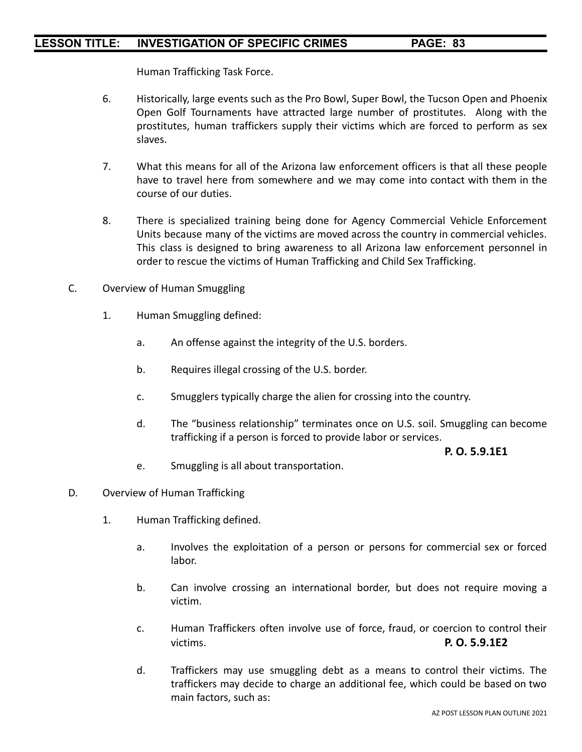Human Trafficking Task Force.

- 6. Historically, large events such as the Pro Bowl, Super Bowl, the Tucson Open and Phoenix Open Golf Tournaments have attracted large number of prostitutes. Along with the prostitutes, human traffickers supply their victims which are forced to perform as sex slaves.
- 7. What this means for all of the Arizona law enforcement officers is that all these people have to travel here from somewhere and we may come into contact with them in the course of our duties.
- 8. There is specialized training being done for Agency Commercial Vehicle Enforcement Units because many of the victims are moved across the country in commercial vehicles. This class is designed to bring awareness to all Arizona law enforcement personnel in order to rescue the victims of Human Trafficking and Child Sex Trafficking.
- C. Overview of Human Smuggling
	- 1. Human Smuggling defined:
		- a. An offense against the integrity of the U.S. borders.
		- b. Requires illegal crossing of the U.S. border.
		- c. Smugglers typically charge the alien for crossing into the country.
		- d. The "business relationship" terminates once on U.S. soil. Smuggling can become trafficking if a person is forced to provide labor or services.

#### **P. O. 5.9.1E1**

- e. Smuggling is all about transportation.
- D. Overview of Human Trafficking
	- 1. Human Trafficking defined.
		- a. Involves the exploitation of a person or persons for commercial sex or forced labor.
		- b. Can involve crossing an international border, but does not require moving a victim.
		- c. Human Traffickers often involve use of force, fraud, or coercion to control their victims. **P. O. 5.9.1E2**
		- d. Traffickers may use smuggling debt as a means to control their victims. The traffickers may decide to charge an additional fee, which could be based on two main factors, such as: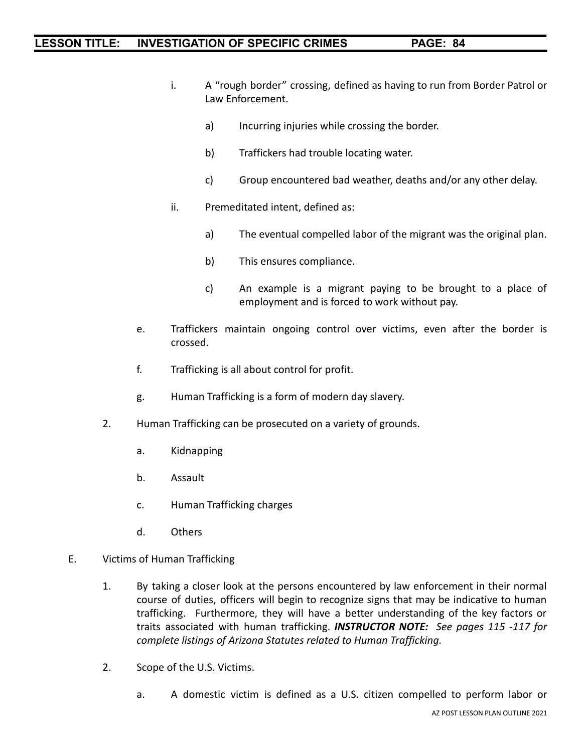- i. A "rough border" crossing, defined as having to run from Border Patrol or Law Enforcement.
	- a) Incurring injuries while crossing the border.
	- b) Traffickers had trouble locating water.
	- c) Group encountered bad weather, deaths and/or any other delay.
- ii. Premeditated intent, defined as:
	- a) The eventual compelled labor of the migrant was the original plan.
	- b) This ensures compliance.
	- c) An example is a migrant paying to be brought to a place of employment and is forced to work without pay.
- e. Traffickers maintain ongoing control over victims, even after the border is crossed.
- f. Trafficking is all about control for profit.
- g. Human Trafficking is a form of modern day slavery.
- 2. Human Trafficking can be prosecuted on a variety of grounds.
	- a. Kidnapping
	- b. Assault
	- c. Human Trafficking charges
	- d. Others
- E. Victims of Human Trafficking
	- 1. By taking a closer look at the persons encountered by law enforcement in their normal course of duties, officers will begin to recognize signs that may be indicative to human trafficking. Furthermore, they will have a better understanding of the key factors or traits associated with human trafficking. *INSTRUCTOR NOTE: See pages 115 -117 for complete listings of Arizona Statutes related to Human Trafficking.*
	- 2. Scope of the U.S. Victims.
		- a. A domestic victim is defined as a U.S. citizen compelled to perform labor or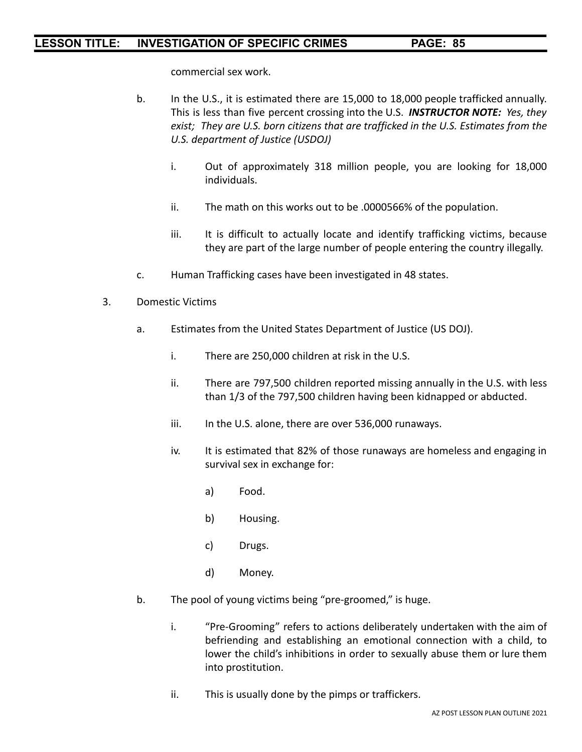commercial sex work.

- b. In the U.S., it is estimated there are 15,000 to 18,000 people trafficked annually. This is less than five percent crossing into the U.S. *INSTRUCTOR NOTE: Yes, they exist; They are U.S. born citizens that are trafficked in the U.S. Estimates from the U.S. department of Justice (USDOJ)*
	- i. Out of approximately 318 million people, you are looking for 18,000 individuals.
	- ii. The math on this works out to be .0000566% of the population.
	- iii. It is difficult to actually locate and identify trafficking victims, because they are part of the large number of people entering the country illegally.
- c. Human Trafficking cases have been investigated in 48 states.
- 3. Domestic Victims
	- a. Estimates from the United States Department of Justice (US DOJ).
		- i. There are 250,000 children at risk in the U.S.
		- ii. There are 797,500 children reported missing annually in the U.S. with less than 1/3 of the 797,500 children having been kidnapped or abducted.
		- iii. In the U.S. alone, there are over 536,000 runaways.
		- iv. It is estimated that 82% of those runaways are homeless and engaging in survival sex in exchange for:
			- a) Food.
			- b) Housing.
			- c) Drugs.
			- d) Money.
	- b. The pool of young victims being "pre-groomed," is huge.
		- i. "Pre-Grooming" refers to actions deliberately undertaken with the aim of befriending and establishing an emotional connection with a child, to lower the child's inhibitions in order to sexually abuse them or lure them into prostitution.
		- ii. This is usually done by the pimps or traffickers.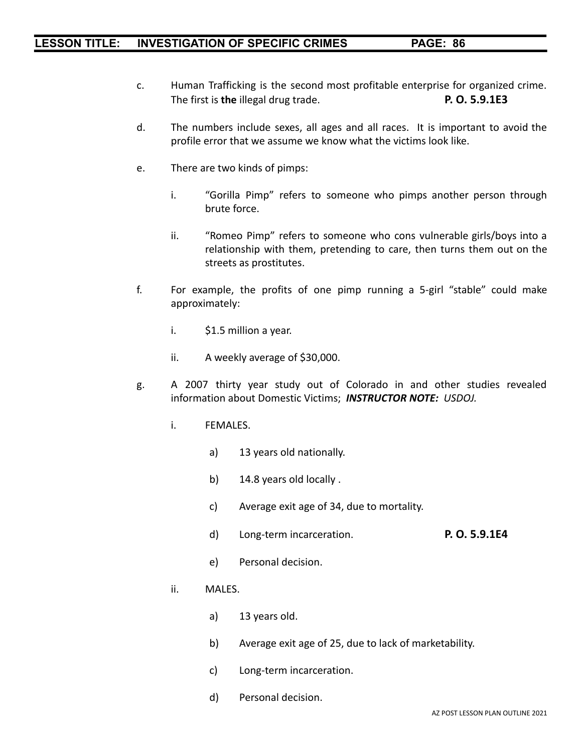- c. Human Trafficking is the second most profitable enterprise for organized crime. The first is **the** illegal drug trade. **P. O. 5.9.1E3**
- d. The numbers include sexes, all ages and all races. It is important to avoid the profile error that we assume we know what the victims look like.
- e. There are two kinds of pimps:
	- i. "Gorilla Pimp" refers to someone who pimps another person through brute force.
	- ii. "Romeo Pimp" refers to someone who cons vulnerable girls/boys into a relationship with them, pretending to care, then turns them out on the streets as prostitutes.
- f. For example, the profits of one pimp running a 5-girl "stable" could make approximately:
	- i. \$1.5 million a year.
	- ii. A weekly average of \$30,000.
- g. A 2007 thirty year study out of Colorado in and other studies revealed information about Domestic Victims; *INSTRUCTOR NOTE: USDOJ.*
	- i. FEMALES.
		- a) 13 years old nationally.
		- b) 14.8 years old locally .
		- c) Average exit age of 34, due to mortality.
		- d) Long-term incarceration. **P. O. 5.9.1E4**
		- e) Personal decision.
	- ii. MALES.
		- a) 13 years old.
		- b) Average exit age of 25, due to lack of marketability.
		- c) Long-term incarceration.
		- d) Personal decision.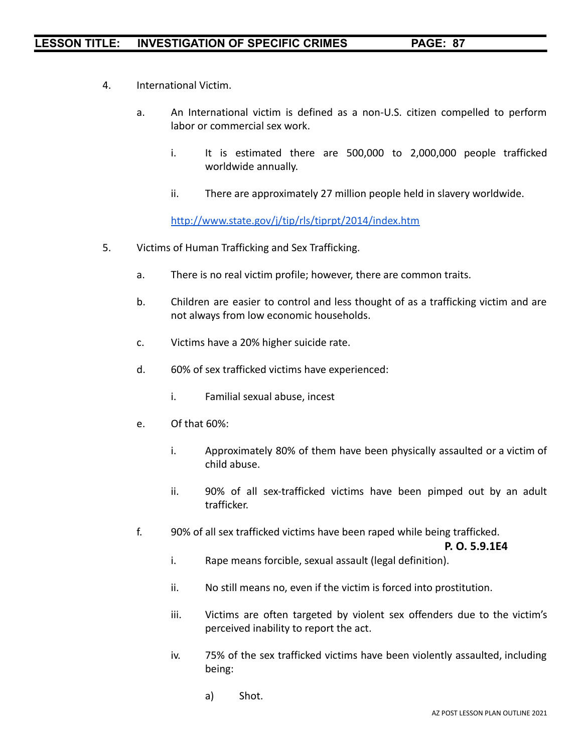- 4. International Victim.
	- a. An International victim is defined as a non-U.S. citizen compelled to perform labor or commercial sex work.
		- i. It is estimated there are 500,000 to 2,000,000 people trafficked worldwide annually.
		- ii. There are approximately 27 million people held in slavery worldwide.

<http://www.state.gov/j/tip/rls/tiprpt/2014/index.htm>

- 5. Victims of Human Trafficking and Sex Trafficking.
	- a. There is no real victim profile; however, there are common traits.
	- b. Children are easier to control and less thought of as a trafficking victim and are not always from low economic households.
	- c. Victims have a 20% higher suicide rate.
	- d. 60% of sex trafficked victims have experienced:
		- i. Familial sexual abuse, incest
	- e. Of that 60%:
		- i. Approximately 80% of them have been physically assaulted or a victim of child abuse.
		- ii. 90% of all sex-trafficked victims have been pimped out by an adult trafficker.
	- f. 90% of all sex trafficked victims have been raped while being trafficked.

**P. O. 5.9.1E4**

- i. Rape means forcible, sexual assault (legal definition).
- ii. No still means no, even if the victim is forced into prostitution.
- iii. Victims are often targeted by violent sex offenders due to the victim's perceived inability to report the act.
- iv. 75% of the sex trafficked victims have been violently assaulted, including being:
	- a) Shot.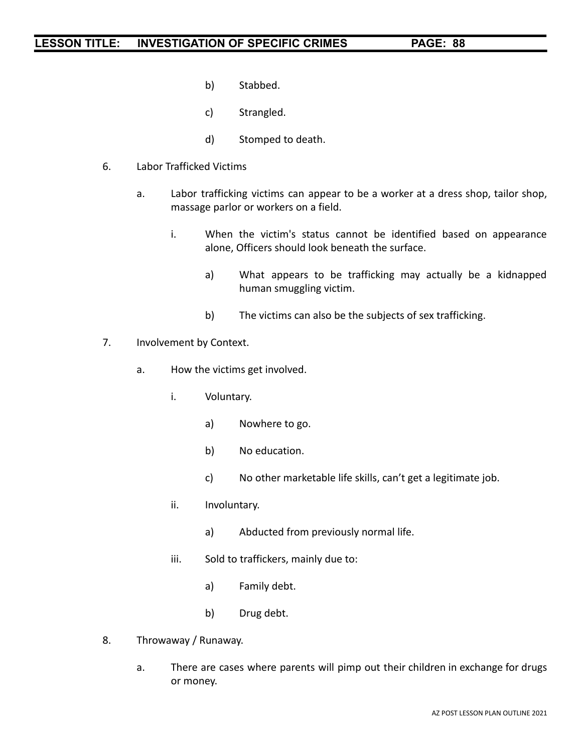- b) Stabbed.
- c) Strangled.
- d) Stomped to death.
- 6. Labor Trafficked Victims
	- a. Labor trafficking victims can appear to be a worker at a dress shop, tailor shop, massage parlor or workers on a field.
		- i. When the victim's status cannot be identified based on appearance alone, Officers should look beneath the surface.
			- a) What appears to be trafficking may actually be a kidnapped human smuggling victim.
			- b) The victims can also be the subjects of sex trafficking.
- 7. Involvement by Context.
	- a. How the victims get involved.
		- i. Voluntary.
			- a) Nowhere to go.
			- b) No education.
			- c) No other marketable life skills, can't get a legitimate job.
		- ii. Involuntary.
			- a) Abducted from previously normal life.
		- iii. Sold to traffickers, mainly due to:
			- a) Family debt.
			- b) Drug debt.
- 8. Throwaway / Runaway.
	- a. There are cases where parents will pimp out their children in exchange for drugs or money.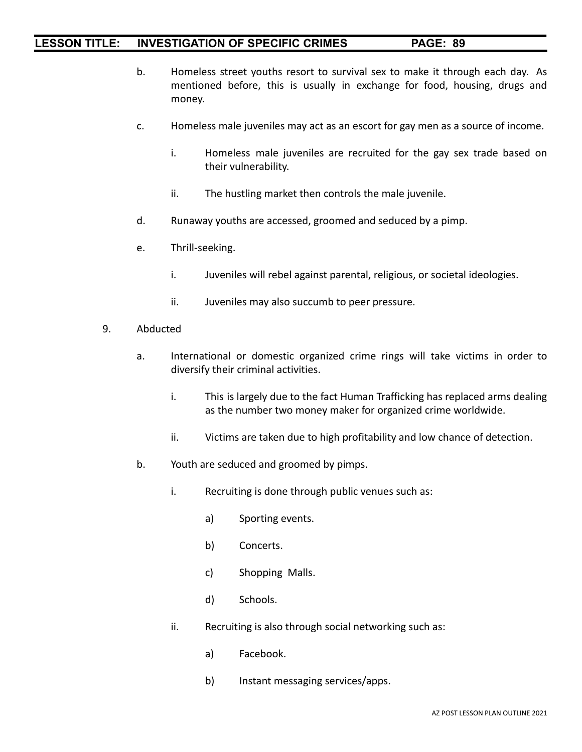- b. Homeless street youths resort to survival sex to make it through each day. As mentioned before, this is usually in exchange for food, housing, drugs and money.
- c. Homeless male juveniles may act as an escort for gay men as a source of income.
	- i. Homeless male juveniles are recruited for the gay sex trade based on their vulnerability.
	- ii. The hustling market then controls the male juvenile.
- d. Runaway youths are accessed, groomed and seduced by a pimp.
- e. Thrill-seeking.
	- i. Juveniles will rebel against parental, religious, or societal ideologies.
	- ii. Juveniles may also succumb to peer pressure.
- 9. Abducted
	- a. International or domestic organized crime rings will take victims in order to diversify their criminal activities.
		- i. This is largely due to the fact Human Trafficking has replaced arms dealing as the number two money maker for organized crime worldwide.
		- ii. Victims are taken due to high profitability and low chance of detection.
	- b. Youth are seduced and groomed by pimps.
		- i. Recruiting is done through public venues such as:
			- a) Sporting events.
			- b) Concerts.
			- c) Shopping Malls.
			- d) Schools.
		- ii. Recruiting is also through social networking such as:
			- a) Facebook.
			- b) Instant messaging services/apps.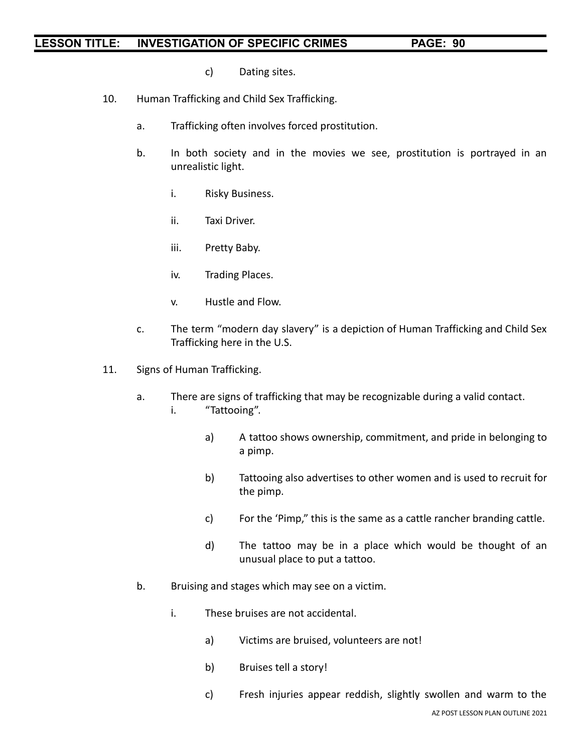- c) Dating sites.
- 10. Human Trafficking and Child Sex Trafficking.
	- a. Trafficking often involves forced prostitution.
	- b. In both society and in the movies we see, prostitution is portrayed in an unrealistic light.
		- i. Risky Business.
		- ii. Taxi Driver.
		- iii. Pretty Baby.
		- iv. Trading Places.
		- v. Hustle and Flow.
	- c. The term "modern day slavery" is a depiction of Human Trafficking and Child Sex Trafficking here in the U.S.
- 11. Signs of Human Trafficking.
	- a. There are signs of trafficking that may be recognizable during a valid contact. i. "Tattooing".
		- a) A tattoo shows ownership, commitment, and pride in belonging to a pimp.
		- b) Tattooing also advertises to other women and is used to recruit for the pimp.
		- c) For the 'Pimp," this is the same as a cattle rancher branding cattle.
		- d) The tattoo may be in a place which would be thought of an unusual place to put a tattoo.
	- b. Bruising and stages which may see on a victim.
		- i. These bruises are not accidental.
			- a) Victims are bruised, volunteers are not!
			- b) Bruises tell a story!
			- c) Fresh injuries appear reddish, slightly swollen and warm to the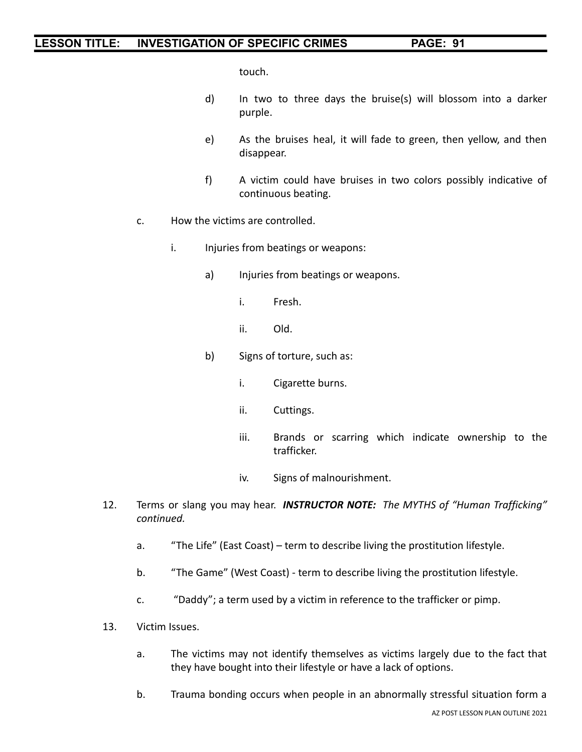touch.

- d) In two to three days the bruise(s) will blossom into a darker purple.
- e) As the bruises heal, it will fade to green, then yellow, and then disappear.
- f) A victim could have bruises in two colors possibly indicative of continuous beating.
- c. How the victims are controlled.
	- i. Injuries from beatings or weapons:
		- a) Injuries from beatings or weapons.
			- i. Fresh.
			- ii. Old.
		- b) Signs of torture, such as:
			- i. Cigarette burns.
			- ii. Cuttings.
			- iii. Brands or scarring which indicate ownership to the trafficker.
			- iv. Signs of malnourishment.
- 12. Terms or slang you may hear. *INSTRUCTOR NOTE: The MYTHS of "Human Trafficking" continued.*
	- a. "The Life" (East Coast) term to describe living the prostitution lifestyle.
	- b. "The Game" (West Coast) term to describe living the prostitution lifestyle.
	- c. "Daddy"; a term used by a victim in reference to the trafficker or pimp.
- 13. Victim Issues.
	- a. The victims may not identify themselves as victims largely due to the fact that they have bought into their lifestyle or have a lack of options.
	- b. Trauma bonding occurs when people in an abnormally stressful situation form a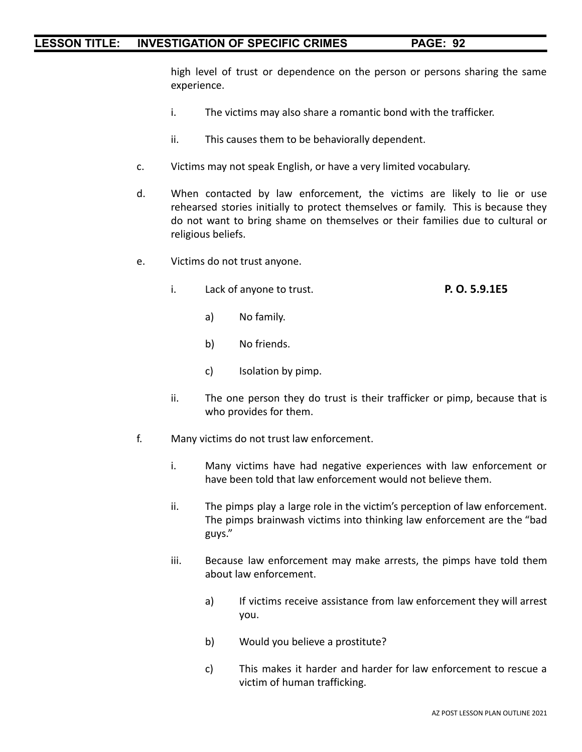high level of trust or dependence on the person or persons sharing the same experience.

- i. The victims may also share a romantic bond with the trafficker.
- ii. This causes them to be behaviorally dependent.
- c. Victims may not speak English, or have a very limited vocabulary.
- d. When contacted by law enforcement, the victims are likely to lie or use rehearsed stories initially to protect themselves or family. This is because they do not want to bring shame on themselves or their families due to cultural or religious beliefs.
- e. Victims do not trust anyone.
	- i. Lack of anyone to trust. **P. O. 5.9.1E5**
		- a) No family.
		- b) No friends.
		- c) Isolation by pimp.
	- ii. The one person they do trust is their trafficker or pimp, because that is who provides for them.
- f. Many victims do not trust law enforcement.
	- i. Many victims have had negative experiences with law enforcement or have been told that law enforcement would not believe them.
	- ii. The pimps play a large role in the victim's perception of law enforcement. The pimps brainwash victims into thinking law enforcement are the "bad guys."
	- iii. Because law enforcement may make arrests, the pimps have told them about law enforcement.
		- a) If victims receive assistance from law enforcement they will arrest you.
		- b) Would you believe a prostitute?
		- c) This makes it harder and harder for law enforcement to rescue a victim of human trafficking.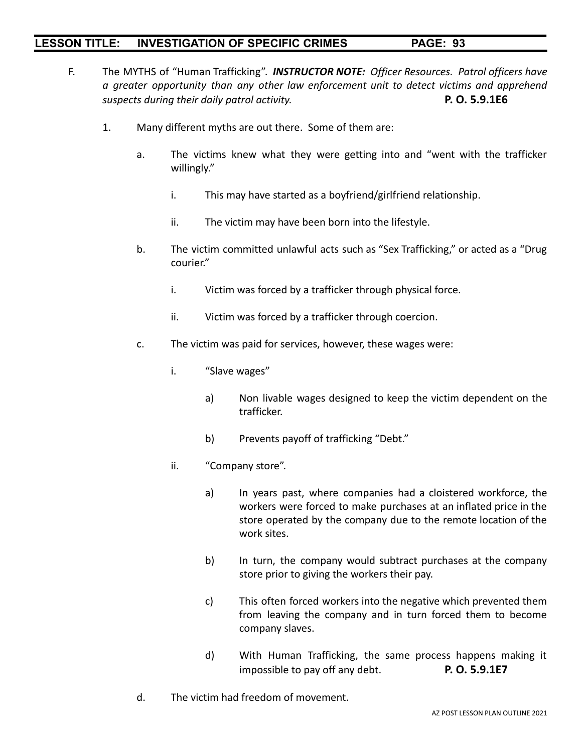- F. The MYTHS of "Human Trafficking". *INSTRUCTOR NOTE: Officer Resources. Patrol officers have a greater opportunity than any other law enforcement unit to detect victims and apprehend suspects during their daily patrol activity.* **P. O. 5.9.1E6**
	- 1. Many different myths are out there. Some of them are:
		- a. The victims knew what they were getting into and "went with the trafficker willingly."
			- i. This may have started as a boyfriend/girlfriend relationship.
			- ii. The victim may have been born into the lifestyle.
		- b. The victim committed unlawful acts such as "Sex Trafficking," or acted as a "Drug courier."
			- i. Victim was forced by a trafficker through physical force.
			- ii. Victim was forced by a trafficker through coercion.
		- c. The victim was paid for services, however, these wages were:
			- i. "Slave wages"
				- a) Non livable wages designed to keep the victim dependent on the trafficker.
				- b) Prevents payoff of trafficking "Debt."
			- ii. "Company store".
				- a) In years past, where companies had a cloistered workforce, the workers were forced to make purchases at an inflated price in the store operated by the company due to the remote location of the work sites.
				- b) In turn, the company would subtract purchases at the company store prior to giving the workers their pay.
				- c) This often forced workers into the negative which prevented them from leaving the company and in turn forced them to become company slaves.
				- d) With Human Trafficking, the same process happens making it impossible to pay off any debt. **P. O. 5.9.1E7**
		- d. The victim had freedom of movement.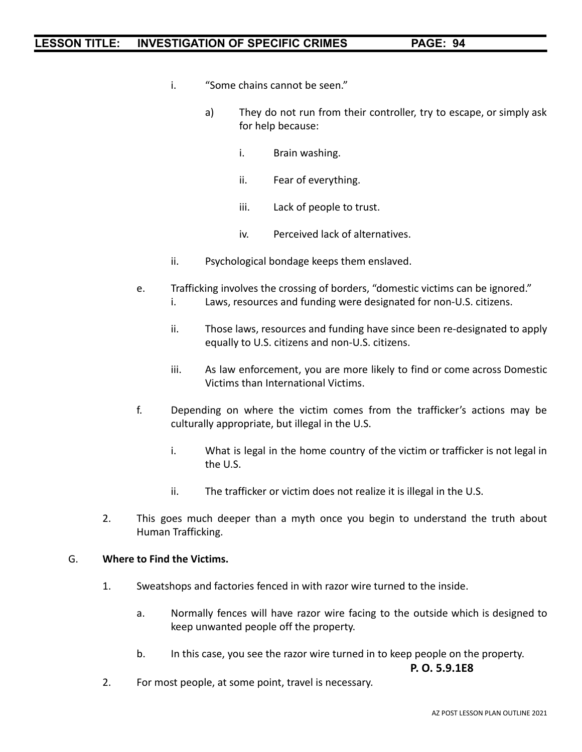- i. "Some chains cannot be seen."
	- a) They do not run from their controller, try to escape, or simply ask for help because:
		- i. Brain washing.
		- ii. Fear of everything.
		- iii. Lack of people to trust.
		- iv. Perceived lack of alternatives.
- ii. Psychological bondage keeps them enslaved.
- e. Trafficking involves the crossing of borders, "domestic victims can be ignored."
	- i. Laws, resources and funding were designated for non-U.S. citizens.
	- ii. Those laws, resources and funding have since been re-designated to apply equally to U.S. citizens and non-U.S. citizens.
	- iii. As law enforcement, you are more likely to find or come across Domestic Victims than International Victims.
- f. Depending on where the victim comes from the trafficker's actions may be culturally appropriate, but illegal in the U.S.
	- i. What is legal in the home country of the victim or trafficker is not legal in the U.S.
	- ii. The trafficker or victim does not realize it is illegal in the U.S.
- 2. This goes much deeper than a myth once you begin to understand the truth about Human Trafficking.

#### G. **Where to Find the Victims.**

- 1. Sweatshops and factories fenced in with razor wire turned to the inside.
	- a. Normally fences will have razor wire facing to the outside which is designed to keep unwanted people off the property.
	- b. In this case, you see the razor wire turned in to keep people on the property.

**P. O. 5.9.1E8**

2. For most people, at some point, travel is necessary.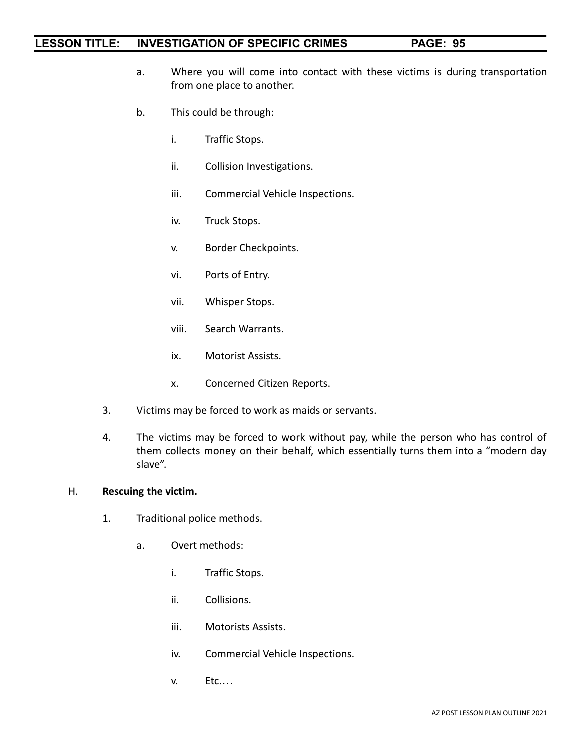- a. Where you will come into contact with these victims is during transportation from one place to another.
- b. This could be through:
	- i. Traffic Stops.
	- ii. Collision Investigations.
	- iii. Commercial Vehicle Inspections.
	- iv. Truck Stops.
	- v. Border Checkpoints.
	- vi. Ports of Entry.
	- vii. Whisper Stops.
	- viii. Search Warrants.
	- ix. Motorist Assists.
	- x. Concerned Citizen Reports.
- 3. Victims may be forced to work as maids or servants.
- 4. The victims may be forced to work without pay, while the person who has control of them collects money on their behalf, which essentially turns them into a "modern day slave".

### H. **Rescuing the victim.**

- 1. Traditional police methods.
	- a. Overt methods:
		- i. Traffic Stops.
		- ii. Collisions.
		- iii. Motorists Assists.
		- iv. Commercial Vehicle Inspections.
		- v. Etc.…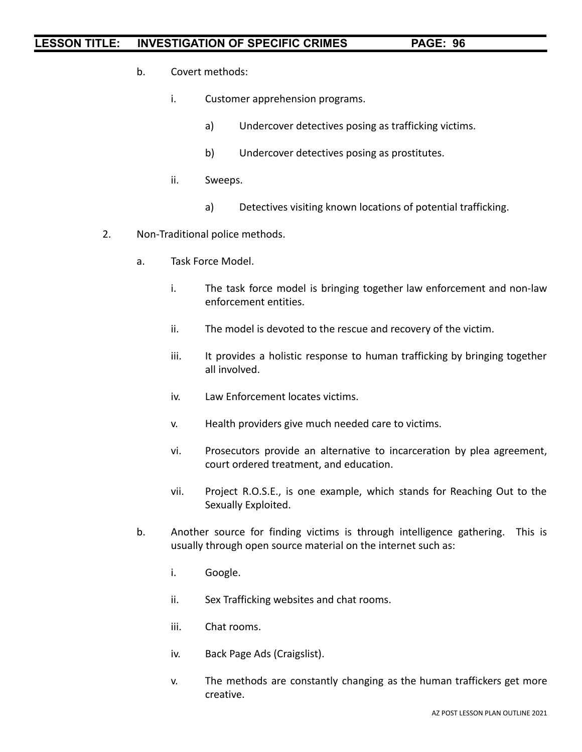- b. Covert methods:
	- i. Customer apprehension programs.
		- a) Undercover detectives posing as trafficking victims.
		- b) Undercover detectives posing as prostitutes.
	- ii. Sweeps.
		- a) Detectives visiting known locations of potential trafficking.
- 2. Non-Traditional police methods.
	- a. Task Force Model.
		- i. The task force model is bringing together law enforcement and non-law enforcement entities.
		- ii. The model is devoted to the rescue and recovery of the victim.
		- iii. It provides a holistic response to human trafficking by bringing together all involved.
		- iv. Law Enforcement locates victims.
		- v. Health providers give much needed care to victims.
		- vi. Prosecutors provide an alternative to incarceration by plea agreement, court ordered treatment, and education.
		- vii. Project R.O.S.E., is one example, which stands for Reaching Out to the Sexually Exploited.
	- b. Another source for finding victims is through intelligence gathering. This is usually through open source material on the internet such as:
		- i. Google.
		- ii. Sex Trafficking websites and chat rooms.
		- iii. Chat rooms.
		- iv. Back Page Ads (Craigslist).
		- v. The methods are constantly changing as the human traffickers get more creative.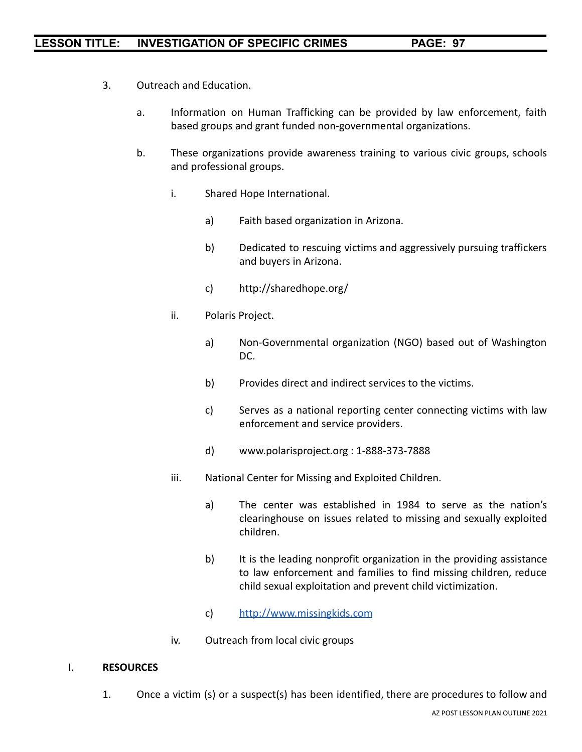- 3. Outreach and Education.
	- a. Information on Human Trafficking can be provided by law enforcement, faith based groups and grant funded non-governmental organizations.
	- b. These organizations provide awareness training to various civic groups, schools and professional groups.
		- i. Shared Hope International.
			- a) Faith based organization in Arizona.
			- b) Dedicated to rescuing victims and aggressively pursuing traffickers and buyers in Arizona.
			- c) http://sharedhope.org/
		- ii. Polaris Project.
			- a) Non-Governmental organization (NGO) based out of Washington DC.
			- b) Provides direct and indirect services to the victims.
			- c) Serves as a national reporting center connecting victims with law enforcement and service providers.
			- d) www.polarisproject.org : 1-888-373-7888
		- iii. National Center for Missing and Exploited Children.
			- a) The center was established in 1984 to serve as the nation's clearinghouse on issues related to missing and sexually exploited children.
			- b) It is the leading nonprofit organization in the providing assistance to law enforcement and families to find missing children, reduce child sexual exploitation and prevent child victimization.
			- c) <http://www.missingkids.com>
		- iv. Outreach from local civic groups

#### I. **RESOURCES**

1. Once a victim (s) or a suspect(s) has been identified, there are procedures to follow and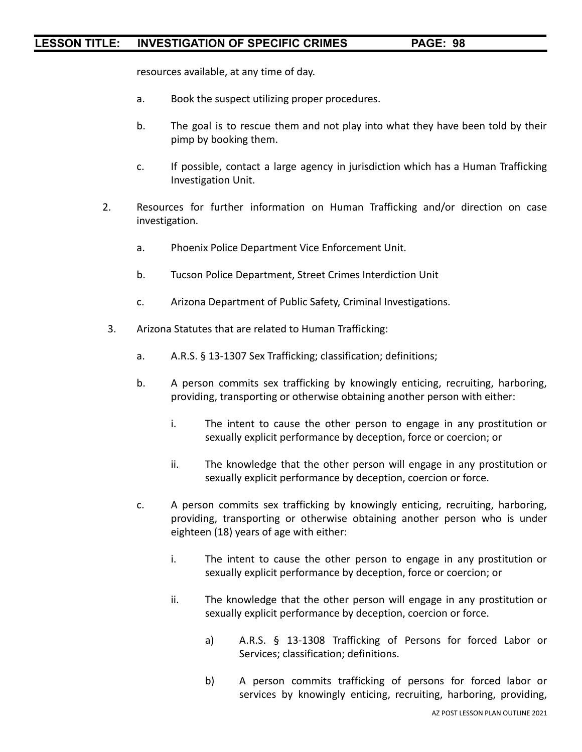resources available, at any time of day.

- a. Book the suspect utilizing proper procedures.
- b. The goal is to rescue them and not play into what they have been told by their pimp by booking them.
- c. If possible, contact a large agency in jurisdiction which has a Human Trafficking Investigation Unit.
- 2. Resources for further information on Human Trafficking and/or direction on case investigation.
	- a. Phoenix Police Department Vice Enforcement Unit.
	- b. Tucson Police Department, Street Crimes Interdiction Unit
	- c. Arizona Department of Public Safety, Criminal Investigations.
- 3. Arizona Statutes that are related to Human Trafficking:
	- a. A.R.S. § 13-1307 Sex Trafficking; classification; definitions;
	- b. A person commits sex trafficking by knowingly enticing, recruiting, harboring, providing, transporting or otherwise obtaining another person with either:
		- i. The intent to cause the other person to engage in any prostitution or sexually explicit performance by deception, force or coercion; or
		- ii. The knowledge that the other person will engage in any prostitution or sexually explicit performance by deception, coercion or force.
	- c. A person commits sex trafficking by knowingly enticing, recruiting, harboring, providing, transporting or otherwise obtaining another person who is under eighteen (18) years of age with either:
		- i. The intent to cause the other person to engage in any prostitution or sexually explicit performance by deception, force or coercion; or
		- ii. The knowledge that the other person will engage in any prostitution or sexually explicit performance by deception, coercion or force.
			- a) A.R.S. § 13-1308 Trafficking of Persons for forced Labor or Services; classification; definitions.
			- b) A person commits trafficking of persons for forced labor or services by knowingly enticing, recruiting, harboring, providing,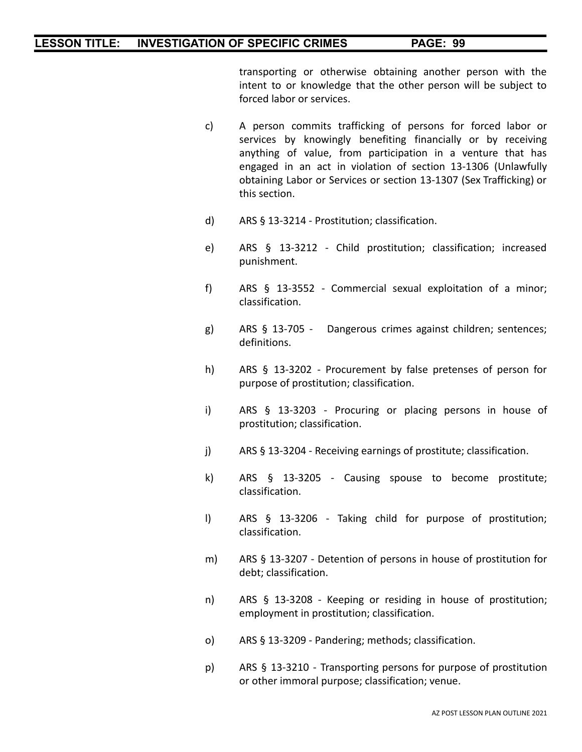transporting or otherwise obtaining another person with the intent to or knowledge that the other person will be subject to forced labor or services.

- c) A person commits trafficking of persons for forced labor or services by knowingly benefiting financially or by receiving anything of value, from participation in a venture that has engaged in an act in violation of section 13-1306 (Unlawfully obtaining Labor or Services or section 13-1307 (Sex Trafficking) or this section.
- d) ARS § 13-3214 Prostitution; classification.
- e) ARS § 13-3212 Child prostitution; classification; increased punishment.
- f) ARS § 13-3552 Commercial sexual exploitation of a minor; classification.
- g) ARS § 13-705 Dangerous crimes against children; sentences; definitions.
- h) ARS § 13-3202 Procurement by false pretenses of person for purpose of prostitution; classification.
- i) ARS § 13-3203 Procuring or placing persons in house of prostitution; classification.
- j) ARS § 13-3204 Receiving earnings of prostitute; classification.
- k) ARS § 13-3205 Causing spouse to become prostitute; classification.
- l) ARS § 13-3206 Taking child for purpose of prostitution; classification.
- m) ARS § 13-3207 Detention of persons in house of prostitution for debt; classification.
- n) ARS § 13-3208 Keeping or residing in house of prostitution; employment in prostitution; classification.
- o) ARS § 13-3209 Pandering; methods; classification.
- p) ARS § 13-3210 Transporting persons for purpose of prostitution or other immoral purpose; classification; venue.